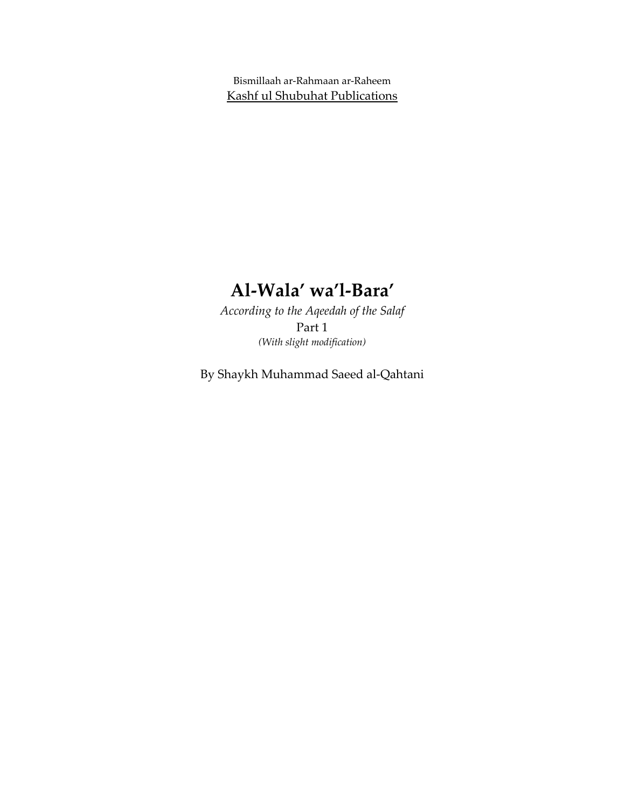Bismillaah ar‐Rahmaan ar‐Raheem Kashf ul Shubuhat Publications

# **Al‐Wala' wa'l‐Bara'**

*According to the Aqeedah of the Salaf* Part 1 *(With slight modification)*

By Shaykh Muhammad Saeed al‐Qahtani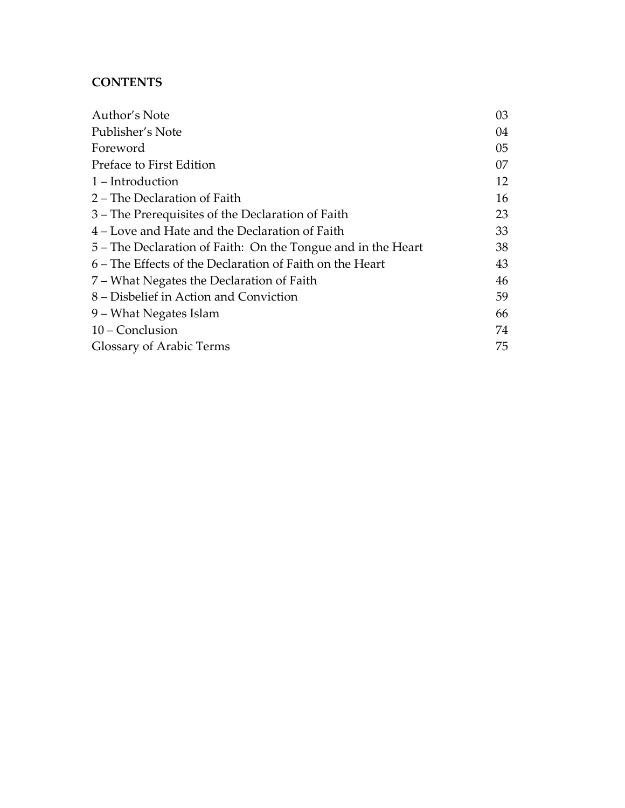# **CONTENTS**

| Author's Note                                                | 03 |
|--------------------------------------------------------------|----|
| Publisher's Note                                             | 04 |
| Foreword                                                     | 05 |
| Preface to First Edition                                     | 07 |
| 1 – Introduction                                             | 12 |
| 2 – The Declaration of Faith                                 | 16 |
| 3 – The Prerequisites of the Declaration of Faith            | 23 |
| 4 – Love and Hate and the Declaration of Faith               | 33 |
| 5 – The Declaration of Faith: On the Tongue and in the Heart | 38 |
| 6 – The Effects of the Declaration of Faith on the Heart     | 43 |
| 7 – What Negates the Declaration of Faith                    | 46 |
| 8 – Disbelief in Action and Conviction                       | 59 |
| 9 – What Negates Islam                                       | 66 |
| 10 – Conclusion                                              | 74 |
| <b>Glossary of Arabic Terms</b>                              | 75 |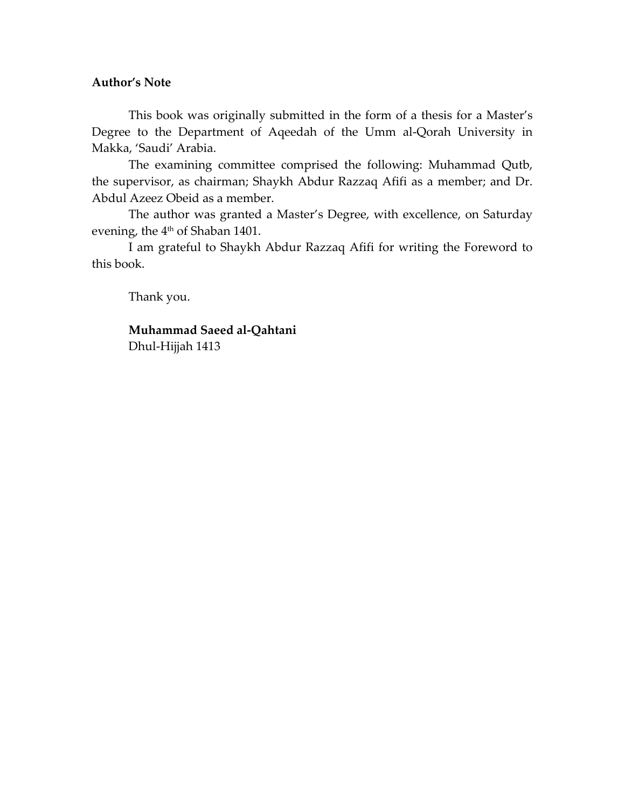### **Author's Note**

This book was originally submitted in the form of a thesis for a Master's Degree to the Department of Aqeedah of the Umm al‐Qorah University in Makka, 'Saudi' Arabia.

The examining committee comprised the following: Muhammad Qutb, the supervisor, as chairman; Shaykh Abdur Razzaq Afifi as a member; and Dr. Abdul Azeez Obeid as a member.

The author was granted a Master's Degree, with excellence, on Saturday evening, the 4<sup>th</sup> of Shaban 1401.

I am grateful to Shaykh Abdur Razzaq Afifi for writing the Foreword to this book.

Thank you.

**Muhammad Saeed al‐Qahtani** Dhul‐Hijjah 1413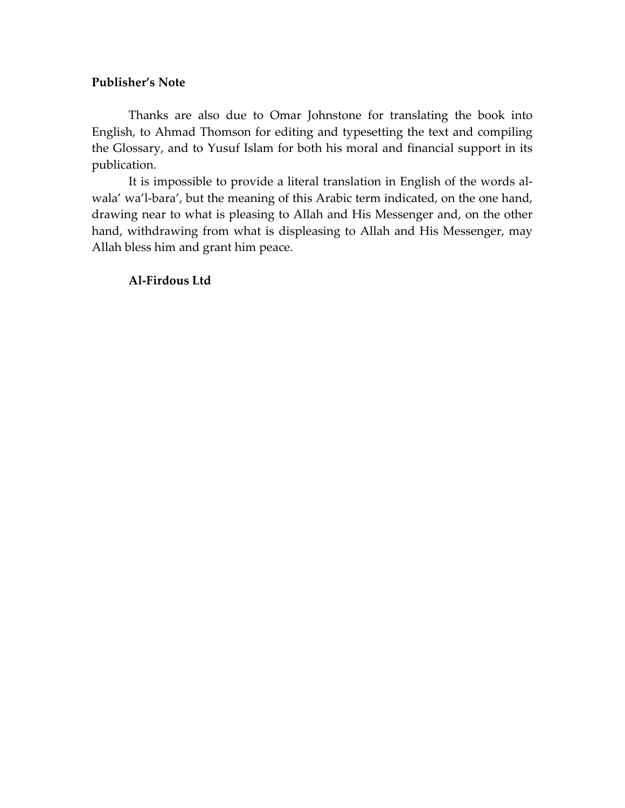### **Publisher's Note**

Thanks are also due to Omar Johnstone for translating the book into English, to Ahmad Thomson for editing and typesetting the text and compiling the Glossary, and to Yusuf Islam for both his moral and financial support in its publication.

It is impossible to provide a literal translation in English of the words al‐ wala' wa'l-bara', but the meaning of this Arabic term indicated, on the one hand, drawing near to what is pleasing to Allah and His Messenger and, on the other hand, withdrawing from what is displeasing to Allah and His Messenger, may Allah bless him and grant him peace.

### **Al‐Firdous Ltd**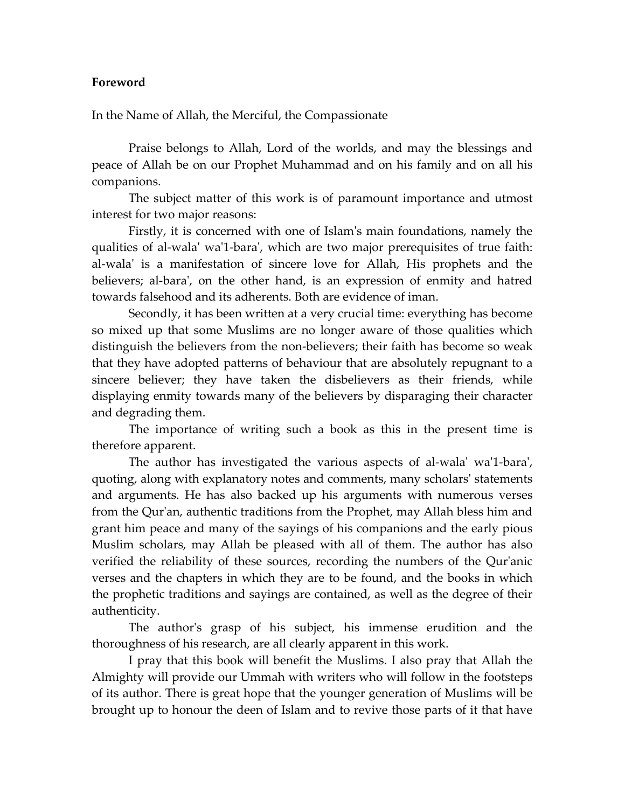### **Foreword**

In the Name of Allah, the Merciful, the Compassionate

Praise belongs to Allah, Lord of the worlds, and may the blessings and peace of Allah be on our Prophet Muhammad and on his family and on all his companions.

The subject matter of this work is of paramount importance and utmost interest for two major reasons:

Firstly, it is concerned with one of Islamʹs main foundations, namely the qualities of al‐walaʹ waʹ1‐baraʹ, which are two major prerequisites of true faith: al‐walaʹ is a manifestation of sincere love for Allah, His prophets and the believers; al‐baraʹ, on the other hand, is an expression of enmity and hatred towards falsehood and its adherents. Both are evidence of iman.

Secondly, it has been written at a very crucial time: everything has become so mixed up that some Muslims are no longer aware of those qualities which distinguish the believers from the non‐believers; their faith has become so weak that they have adopted patterns of behaviour that are absolutely repugnant to a sincere believer; they have taken the disbelievers as their friends, while displaying enmity towards many of the believers by disparaging their character and degrading them.

The importance of writing such a book as this in the present time is therefore apparent.

The author has investigated the various aspects of al-wala' wa'1-bara', quoting, along with explanatory notes and comments, many scholars' statements and arguments. He has also backed up his arguments with numerous verses from the Qur'an, authentic traditions from the Prophet, may Allah bless him and grant him peace and many of the sayings of his companions and the early pious Muslim scholars, may Allah be pleased with all of them. The author has also verified the reliability of these sources, recording the numbers of the Qurʹanic verses and the chapters in which they are to be found, and the books in which the prophetic traditions and sayings are contained, as well as the degree of their authenticity.

The author's grasp of his subject, his immense erudition and the thoroughness of his research, are all clearly apparent in this work.

I pray that this book will benefit the Muslims. I also pray that Allah the Almighty will provide our Ummah with writers who will follow in the footsteps of its author. There is great hope that the younger generation of Muslims will be brought up to honour the deen of Islam and to revive those parts of it that have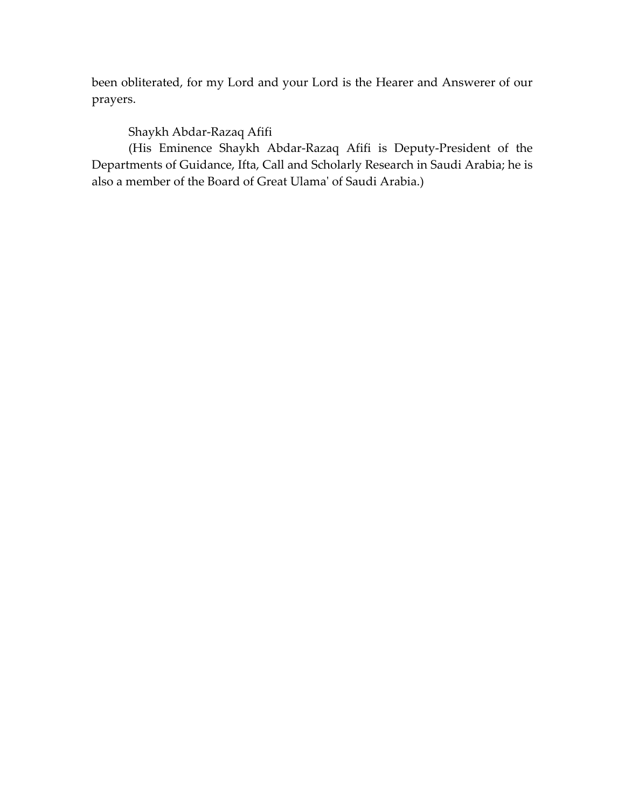been obliterated, for my Lord and your Lord is the Hearer and Answerer of our prayers.

Shaykh Abdar‐Razaq Afifi

(His Eminence Shaykh Abdar‐Razaq Afifi is Deputy‐President of the Departments of Guidance, Ifta, Call and Scholarly Research in Saudi Arabia; he is also a member of the Board of Great Ulamaʹ of Saudi Arabia.)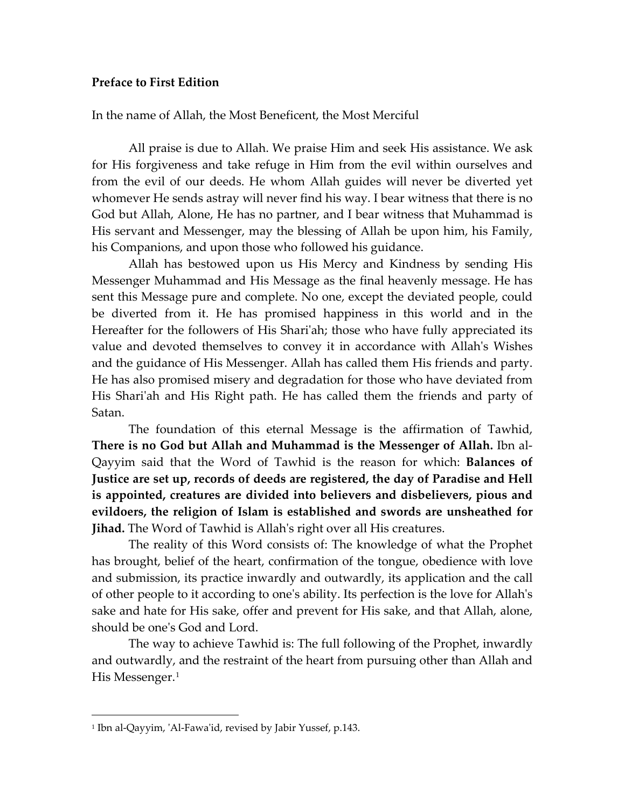### **Preface to First Edition**

In the name of Allah, the Most Beneficent, the Most Merciful

All praise is due to Allah. We praise Him and seek His assistance. We ask for His forgiveness and take refuge in Him from the evil within ourselves and from the evil of our deeds. He whom Allah guides will never be diverted yet whomever He sends astray will never find his way. I bear witness that there is no God but Allah, Alone, He has no partner, and I bear witness that Muhammad is His servant and Messenger, may the blessing of Allah be upon him, his Family, his Companions, and upon those who followed his guidance.

Allah has bestowed upon us His Mercy and Kindness by sending His Messenger Muhammad and His Message as the final heavenly message. He has sent this Message pure and complete. No one, except the deviated people, could be diverted from it. He has promised happiness in this world and in the Hereafter for the followers of His Shari'ah; those who have fully appreciated its value and devoted themselves to convey it in accordance with Allahʹs Wishes and the guidance of His Messenger. Allah has called them His friends and party. He has also promised misery and degradation for those who have deviated from His Shari'ah and His Right path. He has called them the friends and party of Satan.

The foundation of this eternal Message is the affirmation of Tawhid, **There is no God but Allah and Muhammad is the Messenger of Allah.** Ibn al‐ Qayyim said that the Word of Tawhid is the reason for which: **Balances of Justice are set up, records of deeds are registered, the day of Paradise and Hell is appointed, creatures are divided into believers and disbelievers, pious and evildoers, the religion of Islam is established and swords are unsheathed for Jihad.** The Word of Tawhid is Allahʹs right over all His creatures.

The reality of this Word consists of: The knowledge of what the Prophet has brought, belief of the heart, confirmation of the tongue, obedience with love and submission, its practice inwardly and outwardly, its application and the call of other people to it according to oneʹs ability. Its perfection is the love for Allahʹs sake and hate for His sake, offer and prevent for His sake, and that Allah, alone, should be oneʹs God and Lord.

The way to achieve Tawhid is: The full following of the Prophet, inwardly and outwardly, and the restraint of the heart from pursuing other than Allah and His Messenger.<sup>[1](#page-6-0)</sup>

<span id="page-6-0"></span><sup>&</sup>lt;sup>1</sup> Ibn al-Qayyim, 'Al-Fawa'id, revised by Jabir Yussef, p.143.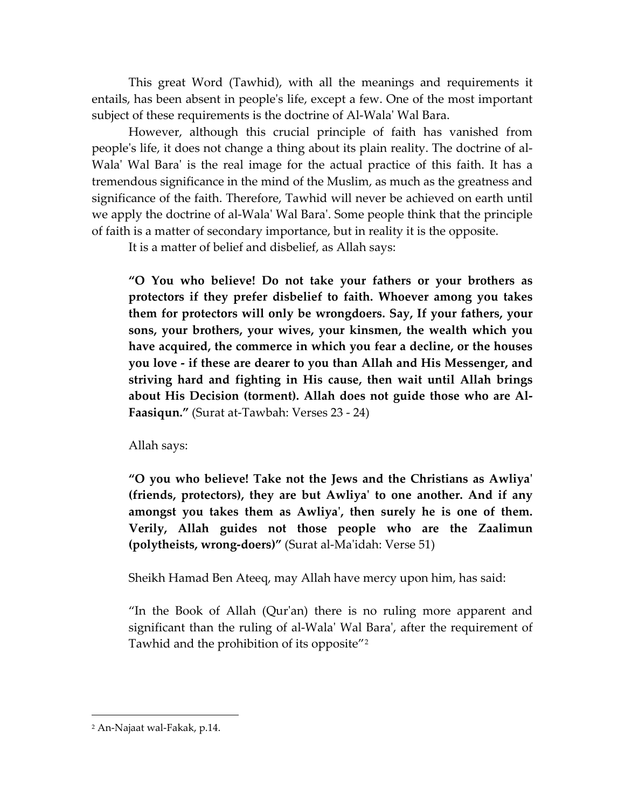This great Word (Tawhid), with all the meanings and requirements it entails, has been absent in peopleʹs life, except a few. One of the most important subject of these requirements is the doctrine of Al-Wala' Wal Bara.

However, although this crucial principle of faith has vanished from peopleʹs life, it does not change a thing about its plain reality. The doctrine of al‐ Wala' Wal Bara' is the real image for the actual practice of this faith. It has a tremendous significance in the mind of the Muslim, as much as the greatness and significance of the faith. Therefore, Tawhid will never be achieved on earth until we apply the doctrine of al‐Walaʹ Wal Baraʹ. Some people think that the principle of faith is a matter of secondary importance, but in reality it is the opposite.

It is a matter of belief and disbelief, as Allah says:

**"O You who believe! Do not take your fathers or your brothers as protectors if they prefer disbelief to faith. Whoever among you takes them for protectors will only be wrongdoers. Say, If your fathers, your sons, your brothers, your wives, your kinsmen, the wealth which you have acquired, the commerce in which you fear a decline, or the houses you love ‐ if these are dearer to you than Allah and His Messenger, and striving hard and fighting in His cause, then wait until Allah brings about His Decision (torment). Allah does not guide those who are Al‐ Faasiqun."** (Surat at‐Tawbah: Verses 23 ‐ 24)

Allah says:

**"O you who believe! Take not the Jews and the Christians as Awliyaʹ (friends, protectors), they are but Awliyaʹ to one another. And if any amongst you takes them as Awliyaʹ, then surely he is one of them. Verily, Allah guides not those people who are the Zaalimun (polytheists, wrong‐doers)"** (Surat al‐Maʹidah: Verse 51)

Sheikh Hamad Ben Ateeq, may Allah have mercy upon him, has said:

"In the Book of Allah (Qurʹan) there is no ruling more apparent and significant than the ruling of al‐Walaʹ Wal Baraʹ, after the requirement of Tawhid and the prohibition of its opposite"[2](#page-7-0)

<span id="page-7-0"></span><sup>2</sup> An‐Najaat wal‐Fakak, p.14.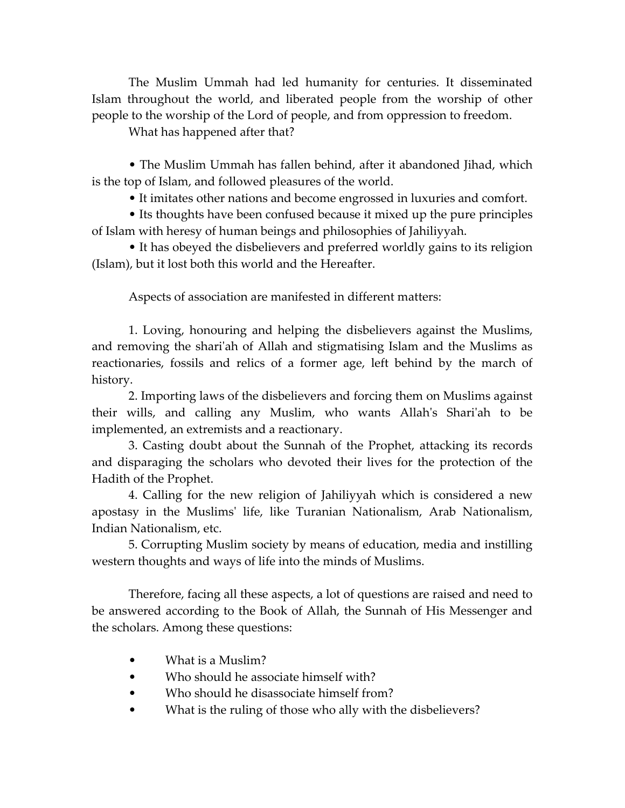The Muslim Ummah had led humanity for centuries. It disseminated Islam throughout the world, and liberated people from the worship of other people to the worship of the Lord of people, and from oppression to freedom.

What has happened after that?

• The Muslim Ummah has fallen behind, after it abandoned Jihad, which is the top of Islam, and followed pleasures of the world.

• It imitates other nations and become engrossed in luxuries and comfort.

• Its thoughts have been confused because it mixed up the pure principles of Islam with heresy of human beings and philosophies of Jahiliyyah.

• It has obeyed the disbelievers and preferred worldly gains to its religion (Islam), but it lost both this world and the Hereafter.

Aspects of association are manifested in different matters:

1. Loving, honouring and helping the disbelievers against the Muslims, and removing the shari'ah of Allah and stigmatising Islam and the Muslims as reactionaries, fossils and relics of a former age, left behind by the march of history.

2. Importing laws of the disbelievers and forcing them on Muslims against their wills, and calling any Muslim, who wants Allahʹs Shariʹah to be implemented, an extremists and a reactionary.

3. Casting doubt about the Sunnah of the Prophet, attacking its records and disparaging the scholars who devoted their lives for the protection of the Hadith of the Prophet.

4. Calling for the new religion of Jahiliyyah which is considered a new apostasy in the Muslimsʹ life, like Turanian Nationalism, Arab Nationalism, Indian Nationalism, etc.

5. Corrupting Muslim society by means of education, media and instilling western thoughts and ways of life into the minds of Muslims.

Therefore, facing all these aspects, a lot of questions are raised and need to be answered according to the Book of Allah, the Sunnah of His Messenger and the scholars. Among these questions:

- What is a Muslim?
- Who should he associate himself with?
- Who should he disassociate himself from?
- What is the ruling of those who ally with the disbelievers?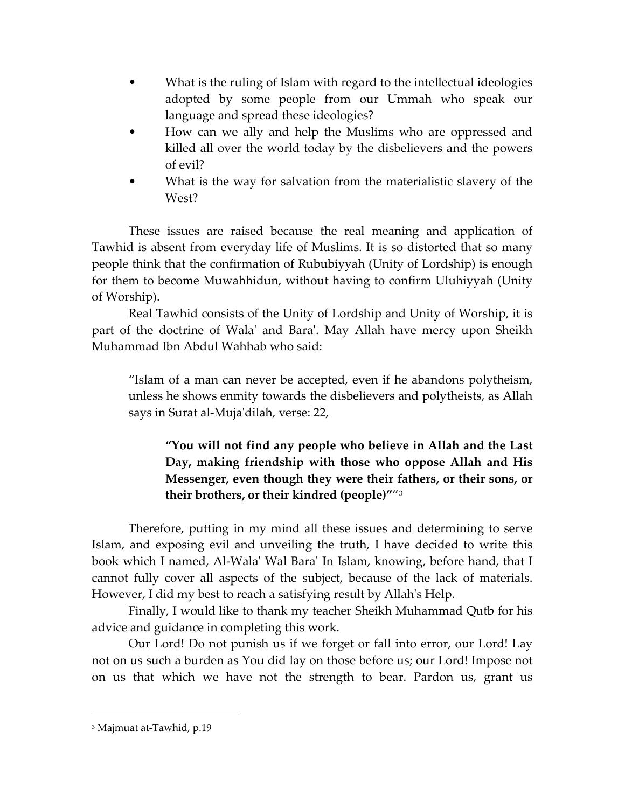- What is the ruling of Islam with regard to the intellectual ideologies adopted by some people from our Ummah who speak our language and spread these ideologies?
- How can we ally and help the Muslims who are oppressed and killed all over the world today by the disbelievers and the powers of evil?
- What is the way for salvation from the materialistic slavery of the West?

These issues are raised because the real meaning and application of Tawhid is absent from everyday life of Muslims. It is so distorted that so many people think that the confirmation of Rububiyyah (Unity of Lordship) is enough for them to become Muwahhidun, without having to confirm Uluhiyyah (Unity of Worship).

Real Tawhid consists of the Unity of Lordship and Unity of Worship, it is part of the doctrine of Walaʹ and Baraʹ. May Allah have mercy upon Sheikh Muhammad Ibn Abdul Wahhab who said:

"Islam of a man can never be accepted, even if he abandons polytheism, unless he shows enmity towards the disbelievers and polytheists, as Allah says in Surat al‐Mujaʹdilah, verse: 22,

**"You will not find any people who believe in Allah and the Last Day, making friendship with those who oppose Allah and His Messenger, even though they were their fathers, or their sons, or their brothers, or their kindred (people)"**"[3](#page-9-0)

Therefore, putting in my mind all these issues and determining to serve Islam, and exposing evil and unveiling the truth, I have decided to write this book which I named, Al‐Walaʹ Wal Baraʹ In Islam, knowing, before hand, that I cannot fully cover all aspects of the subject, because of the lack of materials. However, I did my best to reach a satisfying result by Allahʹs Help.

Finally, I would like to thank my teacher Sheikh Muhammad Qutb for his advice and guidance in completing this work.

Our Lord! Do not punish us if we forget or fall into error, our Lord! Lay not on us such a burden as You did lay on those before us; our Lord! Impose not on us that which we have not the strength to bear. Pardon us, grant us

<span id="page-9-0"></span><sup>&</sup>lt;sup>3</sup> Majmuat at-Tawhid, p.19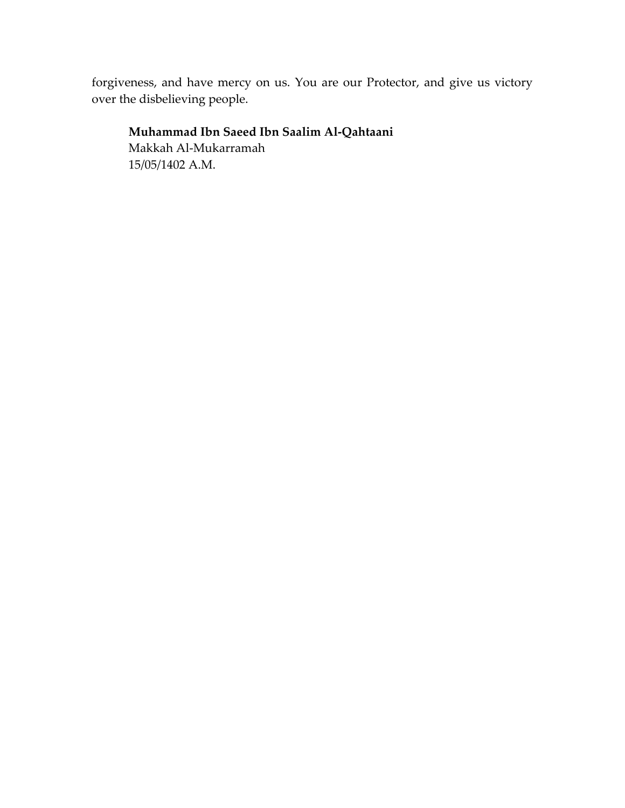forgiveness, and have mercy on us. You are our Protector, and give us victory over the disbelieving people.

# **Muhammad Ibn Saeed Ibn Saalim Al‐Qahtaani**

Makkah Al‐Mukarramah 15/05/1402 A.M.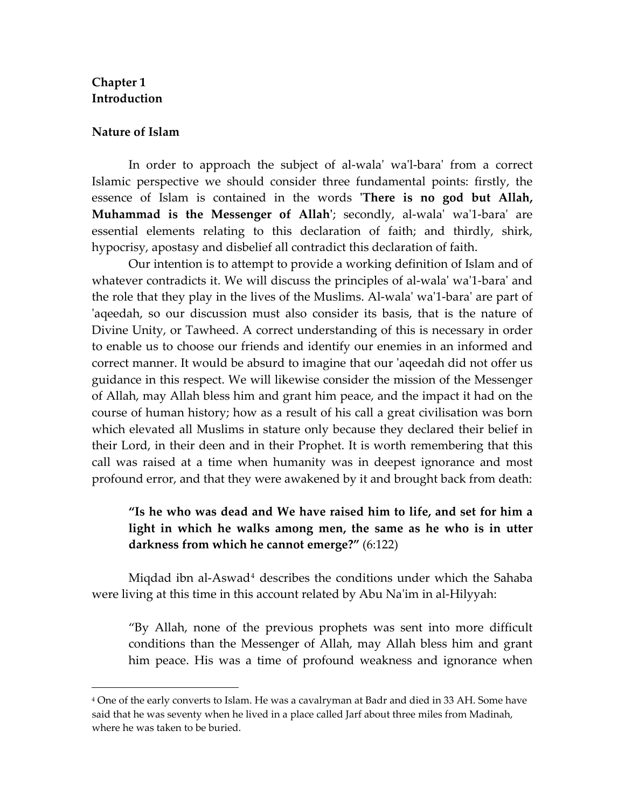### **Chapter 1 Introduction**

 $\overline{a}$ 

### **Nature of Islam**

In order to approach the subject of al-wala' wa'l-bara' from a correct Islamic perspective we should consider three fundamental points: firstly, the essence of Islam is contained in the words **ʹThere is no god but Allah, Muhammad is the Messenger of Allahʹ**; secondly, al‐walaʹ waʹ1‐baraʹ are essential elements relating to this declaration of faith; and thirdly, shirk, hypocrisy, apostasy and disbelief all contradict this declaration of faith.

Our intention is to attempt to provide a working definition of Islam and of whatever contradicts it. We will discuss the principles of al-wala' wa'1-bara' and the role that they play in the lives of the Muslims. Al‐walaʹ waʹ1‐baraʹ are part of 'aqeedah, so our discussion must also consider its basis, that is the nature of Divine Unity, or Tawheed. A correct understanding of this is necessary in order to enable us to choose our friends and identify our enemies in an informed and correct manner. It would be absurd to imagine that our ʹaqeedah did not offer us guidance in this respect. We will likewise consider the mission of the Messenger of Allah, may Allah bless him and grant him peace, and the impact it had on the course of human history; how as a result of his call a great civilisation was born which elevated all Muslims in stature only because they declared their belief in their Lord, in their deen and in their Prophet. It is worth remembering that this call was raised at a time when humanity was in deepest ignorance and most profound error, and that they were awakened by it and brought back from death:

# **"Is he who was dead and We have raised him to life, and set for him a light in which he walks among men, the same as he who is in utter darkness from which he cannot emerge?"** (6:122)

Miqdad ibn al-Aswad<sup>[4](#page-11-0)</sup> describes the conditions under which the Sahaba were living at this time in this account related by Abu Na'im in al-Hilyyah:

"By Allah, none of the previous prophets was sent into more difficult conditions than the Messenger of Allah, may Allah bless him and grant him peace. His was a time of profound weakness and ignorance when

<span id="page-11-0"></span><sup>4</sup> One of the early converts to Islam. He was a cavalryman at Badr and died in 33 AH. Some have said that he was seventy when he lived in a place called Jarf about three miles from Madinah, where he was taken to be buried.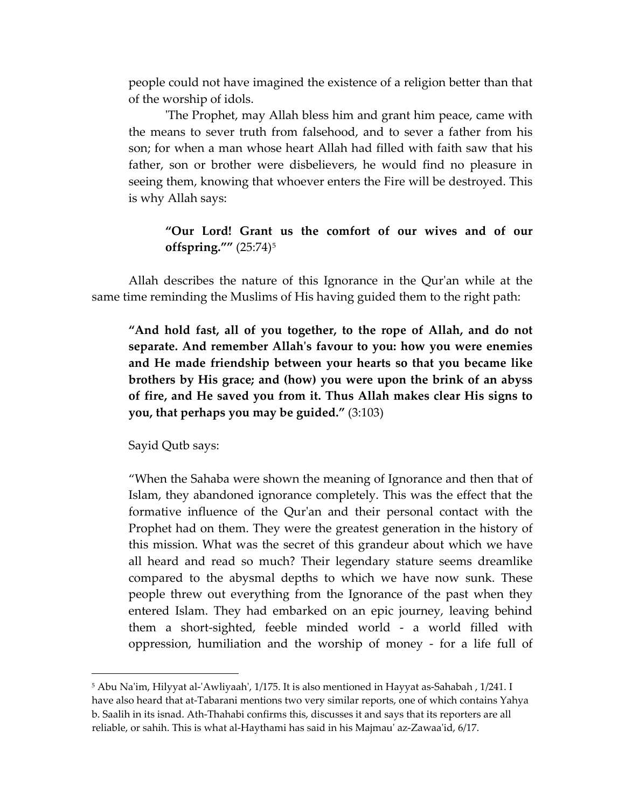people could not have imagined the existence of a religion better than that of the worship of idols.

ʹThe Prophet, may Allah bless him and grant him peace, came with the means to sever truth from falsehood, and to sever a father from his son; for when a man whose heart Allah had filled with faith saw that his father, son or brother were disbelievers, he would find no pleasure in seeing them, knowing that whoever enters the Fire will be destroyed. This is why Allah says:

### **"Our Lord! Grant us the comfort of our wives and of our offspring.""** (25:74)[5](#page-12-0)

Allah describes the nature of this Ignorance in the Qurʹan while at the same time reminding the Muslims of His having guided them to the right path:

**"And hold fast, all of you together, to the rope of Allah, and do not separate. And remember Allahʹs favour to you: how you were enemies and He made friendship between your hearts so that you became like brothers by His grace; and (how) you were upon the brink of an abyss of fire, and He saved you from it. Thus Allah makes clear His signs to you, that perhaps you may be guided."** (3:103)

Sayid Qutb says:

 $\overline{a}$ 

"When the Sahaba were shown the meaning of Ignorance and then that of Islam, they abandoned ignorance completely. This was the effect that the formative influence of the Qurʹan and their personal contact with the Prophet had on them. They were the greatest generation in the history of this mission. What was the secret of this grandeur about which we have all heard and read so much? Their legendary stature seems dreamlike compared to the abysmal depths to which we have now sunk. These people threw out everything from the Ignorance of the past when they entered Islam. They had embarked on an epic journey, leaving behind them a short‐sighted, feeble minded world ‐ a world filled with oppression, humiliation and the worship of money ‐ for a life full of

<span id="page-12-0"></span><sup>5</sup> Abu Na'im, Hilyyat al-'Awliyaah', 1/175. It is also mentioned in Hayyat as-Sahabah , 1/241. I have also heard that at‐Tabarani mentions two very similar reports, one of which contains Yahya b. Saalih in its isnad. Ath‐Thahabi confirms this, discusses it and says that its reporters are all reliable, or sahih. This is what al‐Haythami has said in his Majmauʹ az‐Zawaaʹid, 6/17.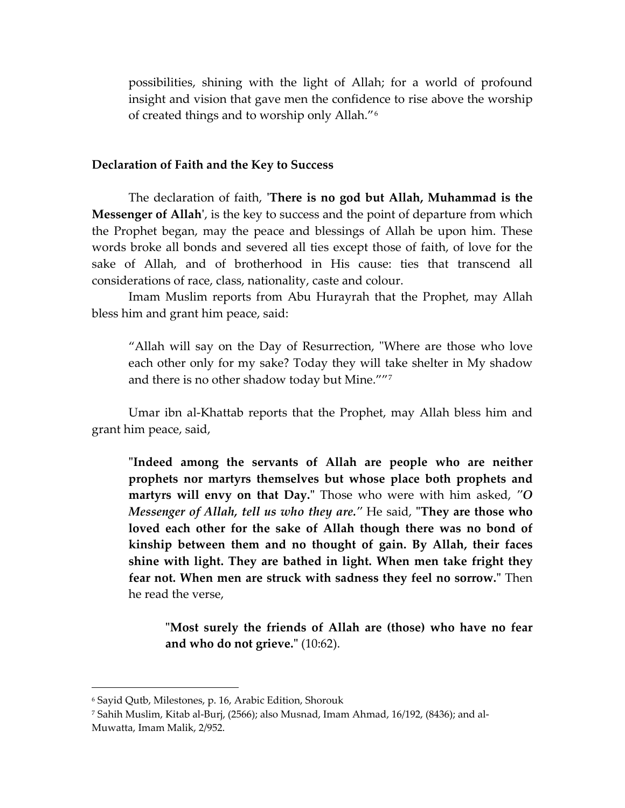possibilities, shining with the light of Allah; for a world of profound insight and vision that gave men the confidence to rise above the worship of created things and to worship only Allah."[6](#page-13-0)

#### **Declaration of Faith and the Key to Success**

The declaration of faith, **ʹThere is no god but Allah, Muhammad is the Messenger of Allahʹ**, is the key to success and the point of departure from which the Prophet began, may the peace and blessings of Allah be upon him. These words broke all bonds and severed all ties except those of faith, of love for the sake of Allah, and of brotherhood in His cause: ties that transcend all considerations of race, class, nationality, caste and colour.

Imam Muslim reports from Abu Hurayrah that the Prophet, may Allah bless him and grant him peace, said:

"Allah will say on the Day of Resurrection, "Where are those who love each other only for my sake? Today they will take shelter in My shadow and there is no other shadow today but Mine.""[7](#page-13-1)

Umar ibn al‐Khattab reports that the Prophet, may Allah bless him and grant him peace, said,

**ʺIndeed among the servants of Allah are people who are neither prophets nor martyrs themselves but whose place both prophets and martyrs will envy on that Day.ʺ** Those who were with him asked, *ʺO Messenger of Allah, tell us who they are.ʺ* He said, **ʺThey are those who loved each other for the sake of Allah though there was no bond of kinship between them and no thought of gain. By Allah, their faces shine with light. They are bathed in light. When men take fright they fear not. When men are struck with sadness they feel no sorrow.ʺ** Then he read the verse,

**ʺMost surely the friends of Allah are (those) who have no fear and who do not grieve.ʺ** (10:62).

<span id="page-13-0"></span><sup>6</sup> Sayid Qutb, Milestones, p. 16, Arabic Edition, Shorouk

<span id="page-13-1"></span><sup>7</sup> Sahih Muslim, Kitab al‐Burj, (2566); also Musnad, Imam Ahmad, 16/192, (8436); and al‐ Muwatta, Imam Malik, 2/952.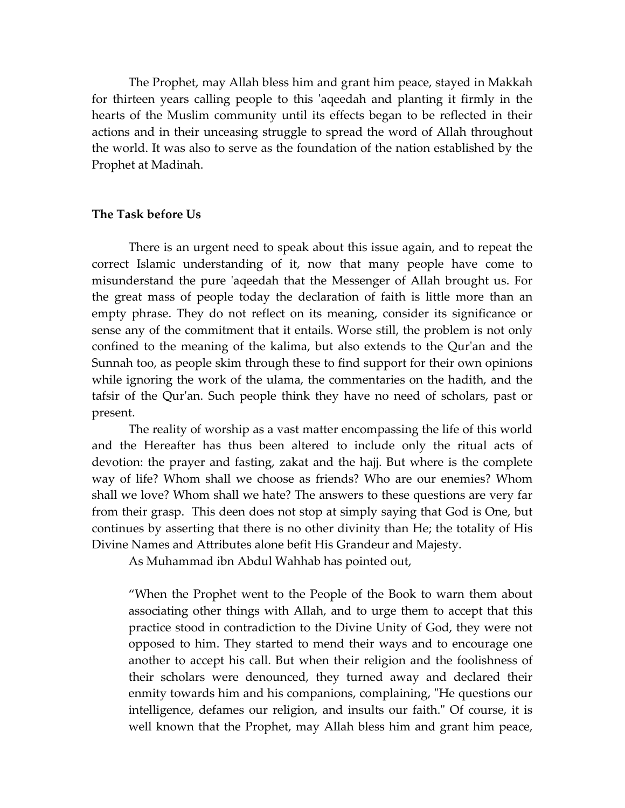The Prophet, may Allah bless him and grant him peace, stayed in Makkah for thirteen years calling people to this 'aqeedah and planting it firmly in the hearts of the Muslim community until its effects began to be reflected in their actions and in their unceasing struggle to spread the word of Allah throughout the world. It was also to serve as the foundation of the nation established by the Prophet at Madinah.

#### **The Task before Us**

There is an urgent need to speak about this issue again, and to repeat the correct Islamic understanding of it, now that many people have come to misunderstand the pure 'aqeedah that the Messenger of Allah brought us. For the great mass of people today the declaration of faith is little more than an empty phrase. They do not reflect on its meaning, consider its significance or sense any of the commitment that it entails. Worse still, the problem is not only confined to the meaning of the kalima, but also extends to the Qurʹan and the Sunnah too, as people skim through these to find support for their own opinions while ignoring the work of the ulama, the commentaries on the hadith, and the tafsir of the Qurʹan. Such people think they have no need of scholars, past or present.

The reality of worship as a vast matter encompassing the life of this world and the Hereafter has thus been altered to include only the ritual acts of devotion: the prayer and fasting, zakat and the hajj. But where is the complete way of life? Whom shall we choose as friends? Who are our enemies? Whom shall we love? Whom shall we hate? The answers to these questions are very far from their grasp. This deen does not stop at simply saying that God is One, but continues by asserting that there is no other divinity than He; the totality of His Divine Names and Attributes alone befit His Grandeur and Majesty.

As Muhammad ibn Abdul Wahhab has pointed out,

"When the Prophet went to the People of the Book to warn them about associating other things with Allah, and to urge them to accept that this practice stood in contradiction to the Divine Unity of God, they were not opposed to him. They started to mend their ways and to encourage one another to accept his call. But when their religion and the foolishness of their scholars were denounced, they turned away and declared their enmity towards him and his companions, complaining, "He questions our intelligence, defames our religion, and insults our faith." Of course, it is well known that the Prophet, may Allah bless him and grant him peace,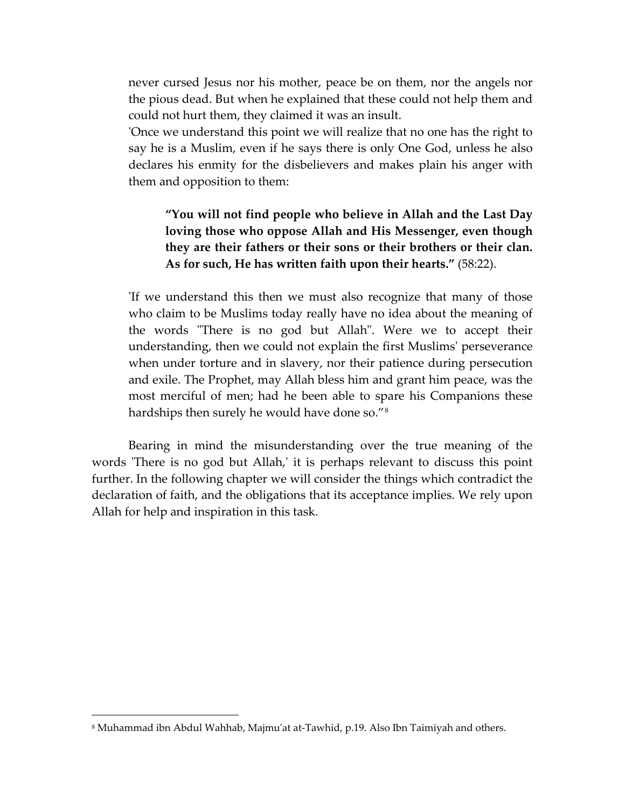never cursed Jesus nor his mother, peace be on them, nor the angels nor the pious dead. But when he explained that these could not help them and could not hurt them, they claimed it was an insult.

ʹOnce we understand this point we will realize that no one has the right to say he is a Muslim, even if he says there is only One God, unless he also declares his enmity for the disbelievers and makes plain his anger with them and opposition to them:

**"You will not find people who believe in Allah and the Last Day loving those who oppose Allah and His Messenger, even though they are their fathers or their sons or their brothers or their clan. As for such, He has written faith upon their hearts."** (58:22).

ʹIf we understand this then we must also recognize that many of those who claim to be Muslims today really have no idea about the meaning of the words "There is no god but Allah". Were we to accept their understanding, then we could not explain the first Muslimsʹ perseverance when under torture and in slavery, nor their patience during persecution and exile. The Prophet, may Allah bless him and grant him peace, was the most merciful of men; had he been able to spare his Companions these hardships then surely he would have done so."<sup>[8](#page-15-0)</sup>

Bearing in mind the misunderstanding over the true meaning of the words 'There is no god but Allah,' it is perhaps relevant to discuss this point further. In the following chapter we will consider the things which contradict the declaration of faith, and the obligations that its acceptance implies. We rely upon Allah for help and inspiration in this task.

<span id="page-15-0"></span><sup>&</sup>lt;sup>8</sup> Muhammad ibn Abdul Wahhab, Majmu'at at-Tawhid, p.19. Also Ibn Taimiyah and others.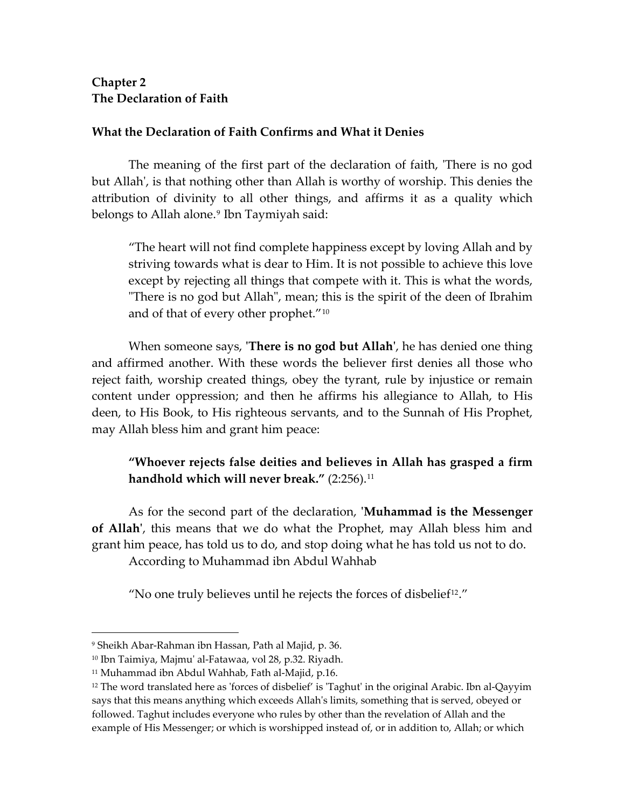### **Chapter 2 The Declaration of Faith**

### **What the Declaration of Faith Confirms and What it Denies**

The meaning of the first part of the declaration of faith, There is no god but Allahʹ, is that nothing other than Allah is worthy of worship. This denies the attribution of divinity to all other things, and affirms it as a quality which belongs to Allah alone.<sup>[9](#page-16-0)</sup> Ibn Taymiyah said:

"The heart will not find complete happiness except by loving Allah and by striving towards what is dear to Him. It is not possible to achieve this love except by rejecting all things that compete with it. This is what the words, "There is no god but Allah", mean; this is the spirit of the deen of Ibrahim and of that of every other prophet."[10](#page-16-1)

When someone says, **ʹThere is no god but Allahʹ**, he has denied one thing and affirmed another. With these words the believer first denies all those who reject faith, worship created things, obey the tyrant, rule by injustice or remain content under oppression; and then he affirms his allegiance to Allah, to His deen, to His Book, to His righteous servants, and to the Sunnah of His Prophet, may Allah bless him and grant him peace:

# **"Whoever rejects false deities and believes in Allah has grasped a firm handhold which will never break."** (2:256).[11](#page-16-2)

As for the second part of the declaration, **ʹMuhammad is the Messenger of Allahʹ**, this means that we do what the Prophet, may Allah bless him and grant him peace, has told us to do, and stop doing what he has told us not to do.

According to Muhammad ibn Abdul Wahhab

"No one truly believes until he rejects the forces of disbelief<sup>[12](#page-16-3)</sup>."

<span id="page-16-0"></span><sup>9</sup> Sheikh Abar‐Rahman ibn Hassan, Path al Majid, p. 36.

<span id="page-16-1"></span><sup>10</sup> Ibn Taimiya, Majmuʹ al‐Fatawaa, vol 28, p.32. Riyadh.

<span id="page-16-2"></span><sup>11</sup> Muhammad ibn Abdul Wahhab, Fath al‐Majid, p.16.

<span id="page-16-3"></span> $12$  The word translated here as 'forces of disbelief' is 'Taghut' in the original Arabic. Ibn al-Qayyim says that this means anything which exceeds Allahʹs limits, something that is served, obeyed or followed. Taghut includes everyone who rules by other than the revelation of Allah and the example of His Messenger; or which is worshipped instead of, or in addition to, Allah; or which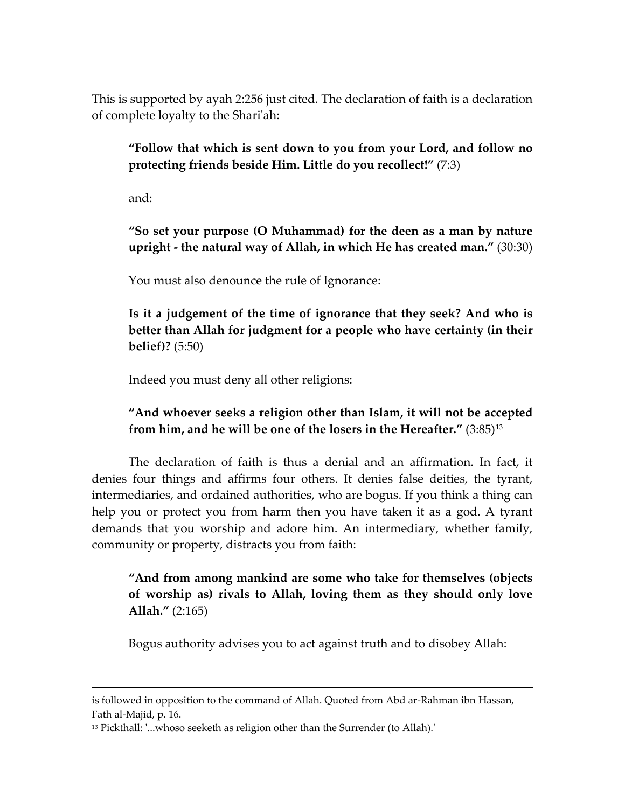This is supported by ayah 2:256 just cited. The declaration of faith is a declaration of complete loyalty to the Shariʹah:

**"Follow that which is sent down to you from your Lord, and follow no protecting friends beside Him. Little do you recollect!"** (7:3)

and:

 $\overline{a}$ 

**"So set your purpose (O Muhammad) for the deen as a man by nature upright ‐ the natural way of Allah, in which He has created man."** (30:30)

You must also denounce the rule of Ignorance:

**Is it a judgement of the time of ignorance that they seek? And who is better than Allah for judgment for a people who have certainty (in their belief)?** (5:50)

Indeed you must deny all other religions:

### **"And whoever seeks a religion other than Islam, it will not be accepted from him, and he will be one of the losers in the Hereafter."** (3:85)[13](#page-17-0)

The declaration of faith is thus a denial and an affirmation. In fact, it denies four things and affirms four others. It denies false deities, the tyrant, intermediaries, and ordained authorities, who are bogus. If you think a thing can help you or protect you from harm then you have taken it as a god. A tyrant demands that you worship and adore him. An intermediary, whether family, community or property, distracts you from faith:

**"And from among mankind are some who take for themselves (objects of worship as) rivals to Allah, loving them as they should only love Allah."** (2:165)

Bogus authority advises you to act against truth and to disobey Allah:

is followed in opposition to the command of Allah. Quoted from Abd ar-Rahman ibn Hassan, Fath al‐Majid, p. 16.

<span id="page-17-0"></span><sup>&</sup>lt;sup>13</sup> Pickthall: '...whoso seeketh as religion other than the Surrender (to Allah).'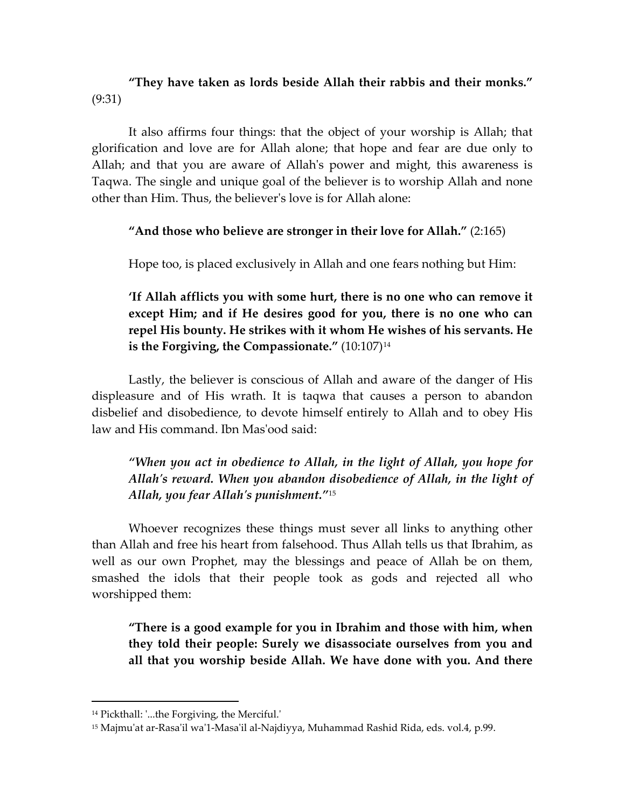## **"They have taken as lords beside Allah their rabbis and their monks."** (9:31)

It also affirms four things: that the object of your worship is Allah; that glorification and love are for Allah alone; that hope and fear are due only to Allah; and that you are aware of Allah's power and might, this awareness is Taqwa. The single and unique goal of the believer is to worship Allah and none other than Him. Thus, the believerʹs love is for Allah alone:

### **"And those who believe are stronger in their love for Allah."** (2:165)

Hope too, is placed exclusively in Allah and one fears nothing but Him:

**'If Allah afflicts you with some hurt, there is no one who can remove it except Him; and if He desires good for you, there is no one who can repel His bounty. He strikes with it whom He wishes of his servants. He is the Forgiving, the Compassionate."** (10:107)[14](#page-18-0)

Lastly, the believer is conscious of Allah and aware of the danger of His displeasure and of His wrath. It is taqwa that causes a person to abandon disbelief and disobedience, to devote himself entirely to Allah and to obey His law and His command. Ibn Masʹood said:

*"When you act in obedience to Allah, in the light of Allah, you hope for Allahʹs reward. When you abandon disobedience of Allah, in the light of Allah, you fear Allahʹs punishment."*[15](#page-18-1)

Whoever recognizes these things must sever all links to anything other than Allah and free his heart from falsehood. Thus Allah tells us that Ibrahim, as well as our own Prophet, may the blessings and peace of Allah be on them, smashed the idols that their people took as gods and rejected all who worshipped them:

**"There is a good example for you in Ibrahim and those with him, when they told their people: Surely we disassociate ourselves from you and all that you worship beside Allah. We have done with you. And there**

<span id="page-18-0"></span><sup>&</sup>lt;sup>14</sup> Pickthall: '...the Forgiving, the Merciful.'

<span id="page-18-1"></span><sup>15</sup> Majmuʹat ar‐Rasaʹil waʹ1‐Masaʹil al‐Najdiyya, Muhammad Rashid Rida, eds. vol.4, p.99.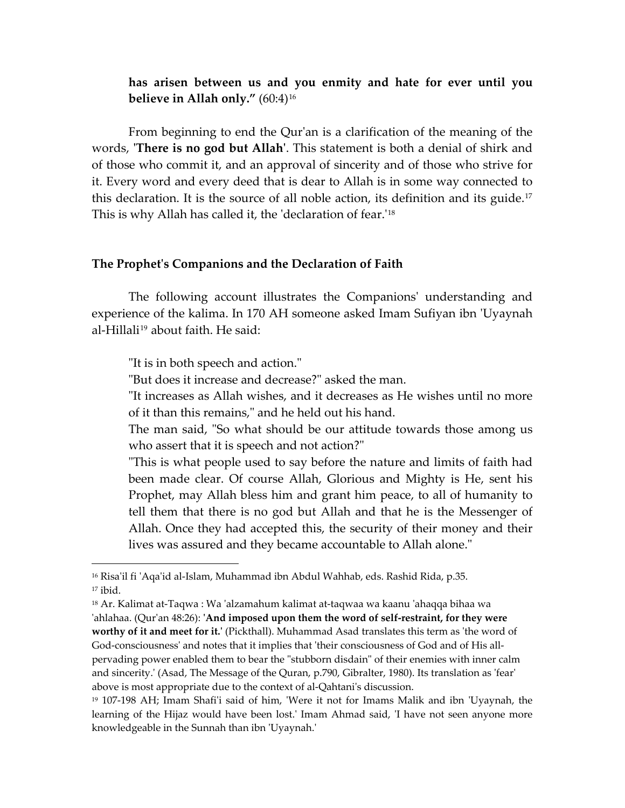### **has arisen between us and you enmity and hate for ever until you believe in Allah only."** (60:4)[16](#page-19-0)

From beginning to end the Qurʹan is a clarification of the meaning of the words, **ʹThere is no god but Allahʹ**. This statement is both a denial of shirk and of those who commit it, and an approval of sincerity and of those who strive for it. Every word and every deed that is dear to Allah is in some way connected to this declaration. It is the source of all noble action, its definition and its guide[.17](#page-19-1) This is why Allah has called it, the 'declaration of fear.' $^{\rm 18}$  $^{\rm 18}$  $^{\rm 18}$ 

#### **The Prophetʹs Companions and the Declaration of Faith**

The following account illustrates the Companions' understanding and experience of the kalima. In 170 AH someone asked Imam Sufiyan ibn ʹUyaynah al-Hillali<sup>[19](#page-19-3)</sup> about faith. He said:

"It is in both speech and action."

 $\overline{a}$ 

"But does it increase and decrease?" asked the man.

ʺIt increases as Allah wishes, and it decreases as He wishes until no more of it than this remains," and he held out his hand.

The man said, "So what should be our attitude towards those among us who assert that it is speech and not action?"

ʺThis is what people used to say before the nature and limits of faith had been made clear. Of course Allah, Glorious and Mighty is He, sent his Prophet, may Allah bless him and grant him peace, to all of humanity to tell them that there is no god but Allah and that he is the Messenger of Allah. Once they had accepted this, the security of their money and their lives was assured and they became accountable to Allah alone."

<span id="page-19-1"></span><span id="page-19-0"></span><sup>&</sup>lt;sup>16</sup> Risa'il fi 'Aqa'id al-Islam, Muhammad ibn Abdul Wahhab, eds. Rashid Rida, p.35. <sup>17</sup> ibid.

<span id="page-19-2"></span><sup>&</sup>lt;sup>18</sup> Ar. Kalimat at-Taqwa : Wa 'alzamahum kalimat at-taqwaa wa kaanu 'ahaqqa bihaa wa ʹahlahaa. (Qurʹan 48:26): **ʹAnd imposed upon them the word of self‐restraint, for they were worthy of it and meet for it.ʹ** (Pickthall). Muhammad Asad translates this term as ʹthe word of God-consciousness' and notes that it implies that 'their consciousness of God and of His allpervading power enabled them to bear the "stubborn disdain" of their enemies with inner calm and sincerity.' (Asad, The Message of the Quran, p.790, Gibralter, 1980). Its translation as 'fear' above is most appropriate due to the context of al‐Qahtaniʹs discussion.

<span id="page-19-3"></span><sup>&</sup>lt;sup>19</sup> 107-198 AH; Imam Shafi'i said of him, 'Were it not for Imams Malik and ibn 'Uyaynah, the learning of the Hijaz would have been lost.' Imam Ahmad said, 'I have not seen anyone more knowledgeable in the Sunnah than ibn 'Uyaynah.'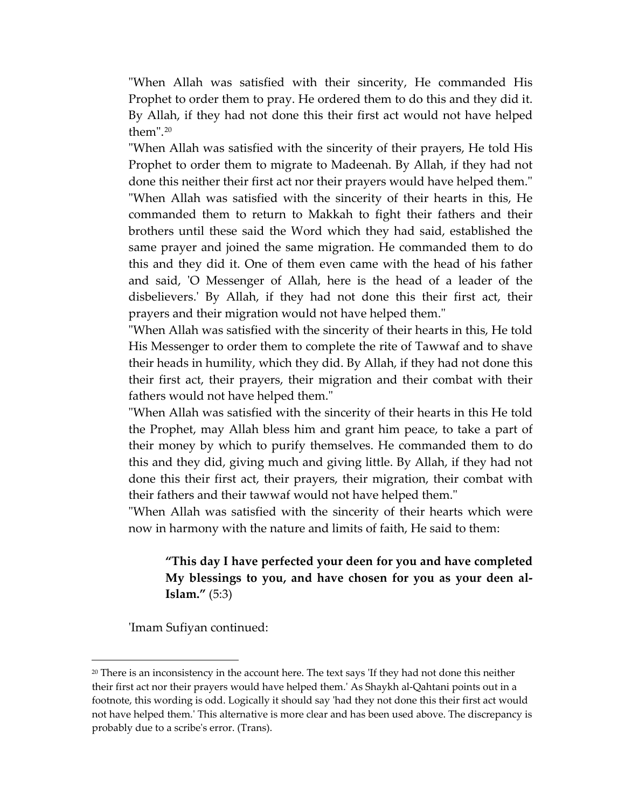ʺWhen Allah was satisfied with their sincerity, He commanded His Prophet to order them to pray. He ordered them to do this and they did it. By Allah, if they had not done this their first act would not have helped them".<sup>[20](#page-20-0)</sup>

ʺWhen Allah was satisfied with the sincerity of their prayers, He told His Prophet to order them to migrate to Madeenah. By Allah, if they had not done this neither their first act nor their prayers would have helped them." ʺWhen Allah was satisfied with the sincerity of their hearts in this, He commanded them to return to Makkah to fight their fathers and their brothers until these said the Word which they had said, established the same prayer and joined the same migration. He commanded them to do this and they did it. One of them even came with the head of his father and said, 'O Messenger of Allah, here is the head of a leader of the disbelievers.' By Allah, if they had not done this their first act, their prayers and their migration would not have helped them."

ʺWhen Allah was satisfied with the sincerity of their hearts in this, He told His Messenger to order them to complete the rite of Tawwaf and to shave their heads in humility, which they did. By Allah, if they had not done this their first act, their prayers, their migration and their combat with their fathers would not have helped them."

ʺWhen Allah was satisfied with the sincerity of their hearts in this He told the Prophet, may Allah bless him and grant him peace, to take a part of their money by which to purify themselves. He commanded them to do this and they did, giving much and giving little. By Allah, if they had not done this their first act, their prayers, their migration, their combat with their fathers and their tawwaf would not have helped them."

ʺWhen Allah was satisfied with the sincerity of their hearts which were now in harmony with the nature and limits of faith, He said to them:

# **"This day I have perfected your deen for you and have completed My blessings to you, and have chosen for you as your deen al‐ Islam."** (5:3)

ʹImam Sufiyan continued:

<span id="page-20-0"></span><sup>&</sup>lt;sup>20</sup> There is an inconsistency in the account here. The text says 'If they had not done this neither their first act nor their prayers would have helped them.ʹ As Shaykh al‐Qahtani points out in a footnote, this wording is odd. Logically it should say ʹhad they not done this their first act would not have helped them.ʹ This alternative is more clear and has been used above. The discrepancy is probably due to a scribeʹs error. (Trans).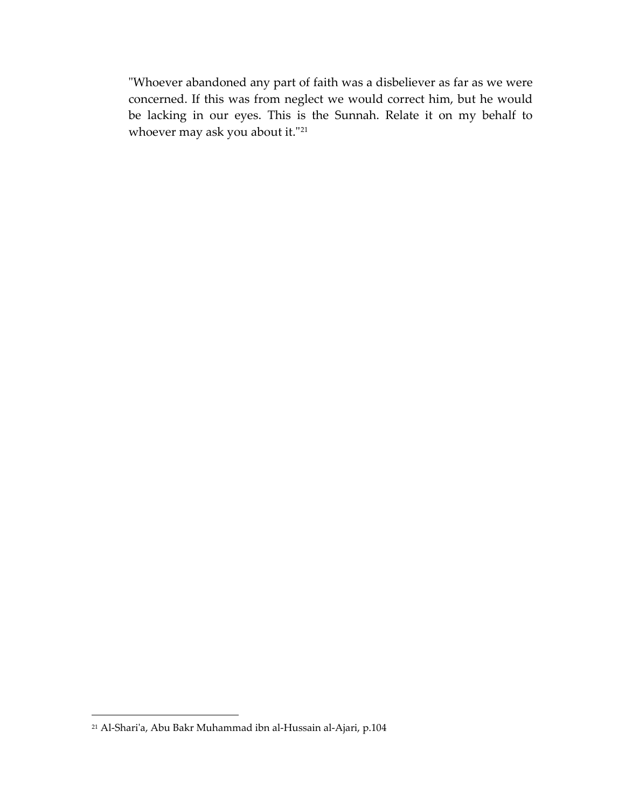ʺWhoever abandoned any part of faith was a disbeliever as far as we were concerned. If this was from neglect we would correct him, but he would be lacking in our eyes. This is the Sunnah. Relate it on my behalf to whoever may ask you about it."<sup>[21](#page-21-0)</sup>

<span id="page-21-0"></span><sup>&</sup>lt;sup>21</sup> Al-Shari'a, Abu Bakr Muhammad ibn al-Hussain al-Ajari, p.104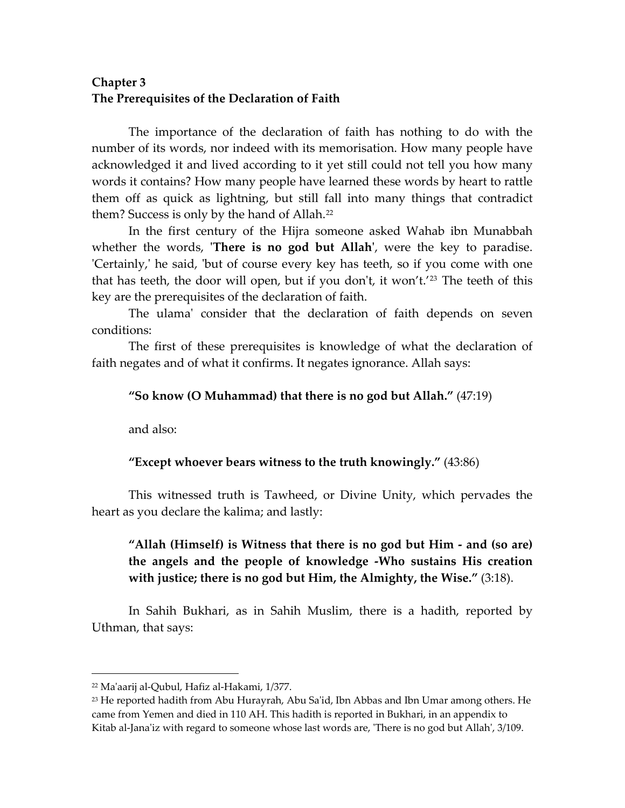# **Chapter 3 The Prerequisites of the Declaration of Faith**

The importance of the declaration of faith has nothing to do with the number of its words, nor indeed with its memorisation. How many people have acknowledged it and lived according to it yet still could not tell you how many words it contains? How many people have learned these words by heart to rattle them off as quick as lightning, but still fall into many things that contradict them? Success is only by the hand of Allah.<sup>[22](#page-22-0)</sup>

In the first century of the Hijra someone asked Wahab ibn Munabbah whether the words, **ʹThere is no god but Allahʹ**, were the key to paradise. 'Certainly,' he said, 'but of course every key has teeth, so if you come with one that has teeth, the door will open, but if you don't, it won't.<sup>'[23](#page-22-1)</sup> The teeth of this key are the prerequisites of the declaration of faith.

The ulama' consider that the declaration of faith depends on seven conditions:

The first of these prerequisites is knowledge of what the declaration of faith negates and of what it confirms. It negates ignorance. Allah says:

### **"So know (O Muhammad) that there is no god but Allah."** (47:19)

and also:

### **"Except whoever bears witness to the truth knowingly."** (43:86)

This witnessed truth is Tawheed, or Divine Unity, which pervades the heart as you declare the kalima; and lastly:

# **"Allah (Himself) is Witness that there is no god but Him ‐ and (so are) the angels and the people of knowledge ‐Who sustains His creation with justice; there is no god but Him, the Almighty, the Wise."** (3:18).

In Sahih Bukhari, as in Sahih Muslim, there is a hadith, reported by Uthman, that says:

<span id="page-22-1"></span><span id="page-22-0"></span><sup>22</sup> Maʹaarij al‐Qubul, Hafiz al‐Hakami, 1/377.

 $23$  He reported hadith from Abu Hurayrah, Abu Sa'id, Ibn Abbas and Ibn Umar among others. He came from Yemen and died in 110 AH. This hadith is reported in Bukhari, in an appendix to Kitab al-Jana'iz with regard to someone whose last words are, 'There is no god but Allah', 3/109.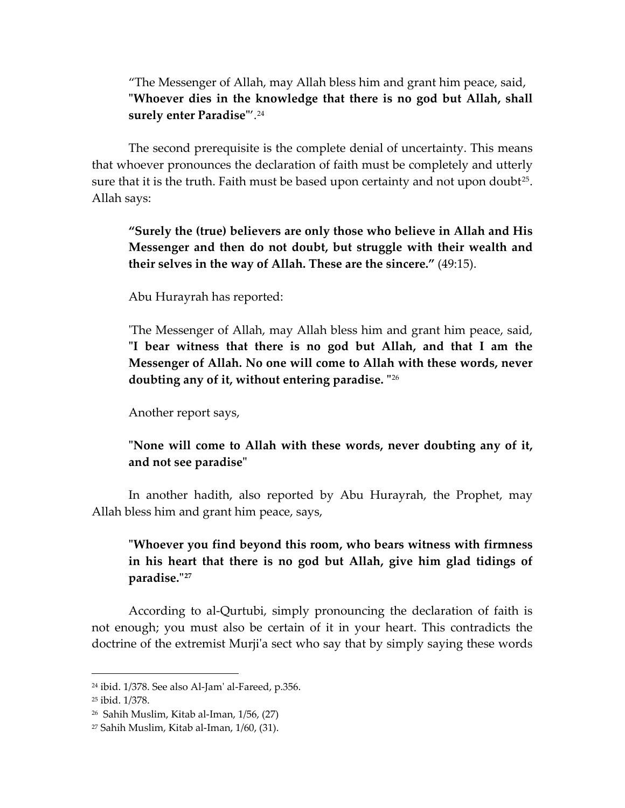"The Messenger of Allah, may Allah bless him and grant him peace, said, **ʺWhoever dies in the knowledge that there is no god but Allah, shall surely enter Paradiseʺ**'.[24](#page-23-0)

The second prerequisite is the complete denial of uncertainty. This means that whoever pronounces the declaration of faith must be completely and utterly sure that it is the truth. Faith must be based upon certainty and not upon doubt<sup>[25](#page-23-1)</sup>. Allah says:

**"Surely the (true) believers are only those who believe in Allah and His Messenger and then do not doubt, but struggle with their wealth and their selves in the way of Allah. These are the sincere."** (49:15).

Abu Hurayrah has reported:

ʹThe Messenger of Allah, may Allah bless him and grant him peace, said, **ʺI bear witness that there is no god but Allah, and that I am the Messenger of Allah. No one will come to Allah with these words, never** doubting any of it, without entering paradise. "[26](#page-23-2)

Another report says,

**ʺNone will come to Allah with these words, never doubting any of it, and not see paradiseʺ** 

In another hadith, also reported by Abu Hurayrah, the Prophet, may Allah bless him and grant him peace, says,

**ʺWhoever you find beyond this room, who bears witness with firmness in his heart that there is no god but Allah, give him glad tidings of paradise.ʺ[27](#page-23-3)**

According to al‐Qurtubi, simply pronouncing the declaration of faith is not enough; you must also be certain of it in your heart. This contradicts the doctrine of the extremist Murji'a sect who say that by simply saying these words

<span id="page-23-0"></span><sup>24</sup> ibid. 1/378. See also Al‐Jamʹ al‐Fareed, p.356.

<span id="page-23-1"></span><sup>25</sup> ibid. 1/378.

<span id="page-23-2"></span><sup>26</sup> Sahih Muslim, Kitab al‐Iman, 1/56, (27)

<span id="page-23-3"></span><sup>27</sup> Sahih Muslim, Kitab al‐Iman, 1/60, (31).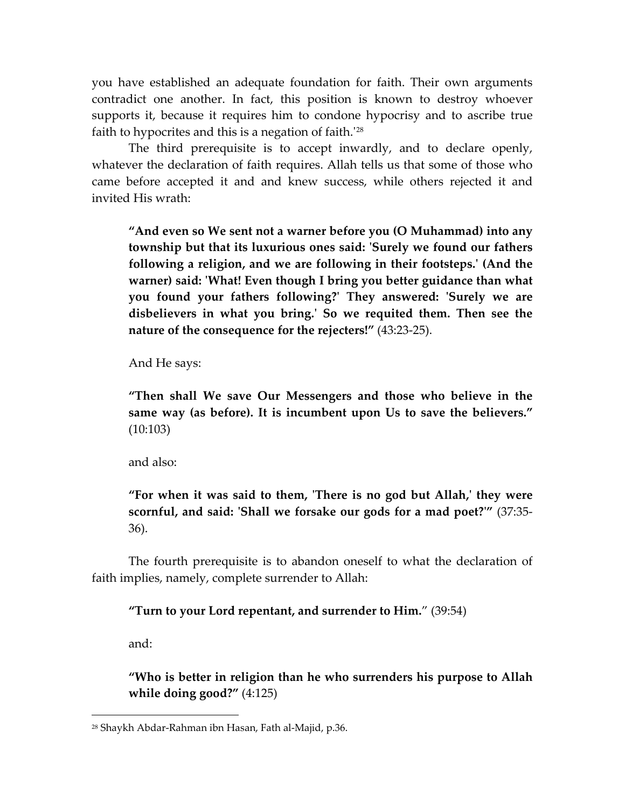you have established an adequate foundation for faith. Their own arguments contradict one another. In fact, this position is known to destroy whoever supports it, because it requires him to condone hypocrisy and to ascribe true faith to hypocrites and this is a negation of faith.' $^{\rm 28}$  $^{\rm 28}$  $^{\rm 28}$ 

The third prerequisite is to accept inwardly, and to declare openly, whatever the declaration of faith requires. Allah tells us that some of those who came before accepted it and and knew success, while others rejected it and invited His wrath:

**"And even so We sent not a warner before you (O Muhammad) into any township but that its luxurious ones said: ʹSurely we found our fathers following a religion, and we are following in their footsteps.ʹ (And the warner) said: ʹWhat! Even though I bring you better guidance than what you found your fathers following?ʹ They answered: ʹSurely we are disbelievers in what you bring.ʹ So we requited them. Then see the nature of the consequence for the rejecters!"** (43:23‐25).

And He says:

**"Then shall We save Our Messengers and those who believe in the same way (as before). It is incumbent upon Us to save the believers."** (10:103)

and also:

**"For when it was said to them, ʹThere is no god but Allah,ʹ they were scornful, and said: ʹShall we forsake our gods for a mad poet?ʹ"** (37:35‐ 36).

The fourth prerequisite is to abandon oneself to what the declaration of faith implies, namely, complete surrender to Allah:

#### **"Turn to your Lord repentant, and surrender to Him.**" (39:54)

and:

 $\overline{a}$ 

**"Who is better in religion than he who surrenders his purpose to Allah while doing good?"** (4:125)

<span id="page-24-0"></span><sup>28</sup> Shaykh Abdar‐Rahman ibn Hasan, Fath al‐Majid, p.36.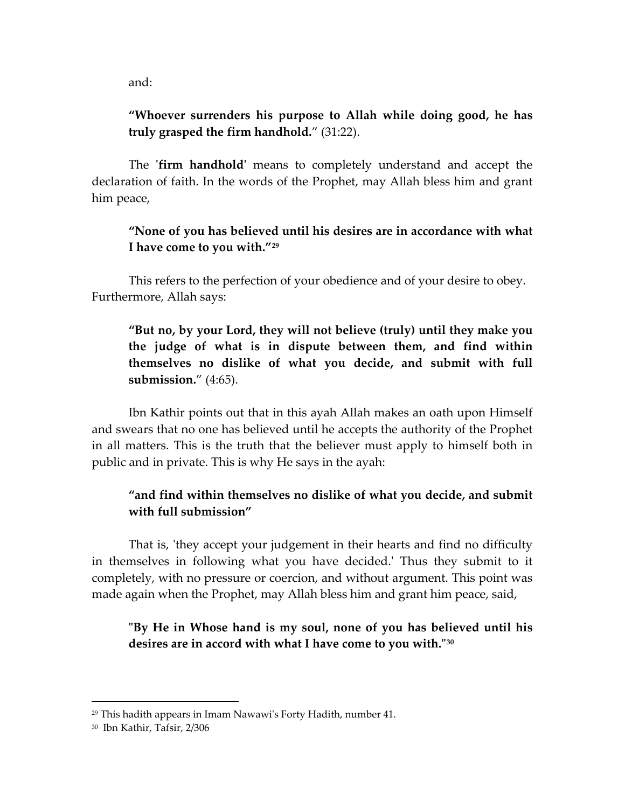and:

### **"Whoever surrenders his purpose to Allah while doing good, he has truly grasped the firm handhold.**" (31:22).

The **ʹfirm handholdʹ** means to completely understand and accept the declaration of faith. In the words of the Prophet, may Allah bless him and grant him peace,

# **"None of you has believed until his desires are in accordance with what I have come to you with."[29](#page-25-0)**

This refers to the perfection of your obedience and of your desire to obey. Furthermore, Allah says:

**"But no, by your Lord, they will not believe (truly) until they make you the judge of what is in dispute between them, and find within themselves no dislike of what you decide, and submit with full submission.**" (4:65).

Ibn Kathir points out that in this ayah Allah makes an oath upon Himself and swears that no one has believed until he accepts the authority of the Prophet in all matters. This is the truth that the believer must apply to himself both in public and in private. This is why He says in the ayah:

# **"and find within themselves no dislike of what you decide, and submit with full submission"**

That is, 'they accept your judgement in their hearts and find no difficulty in themselves in following what you have decided.ʹ Thus they submit to it completely, with no pressure or coercion, and without argument. This point was made again when the Prophet, may Allah bless him and grant him peace, said,

**ʺBy He in Whose hand is my soul, none of you has believed until his desires are in accord with what I have come to you with.ʺ[30](#page-25-1)**

<span id="page-25-0"></span><sup>&</sup>lt;sup>29</sup> This hadith appears in Imam Nawawi's Forty Hadith, number 41.

<span id="page-25-1"></span><sup>30</sup> Ibn Kathir, Tafsir, 2/306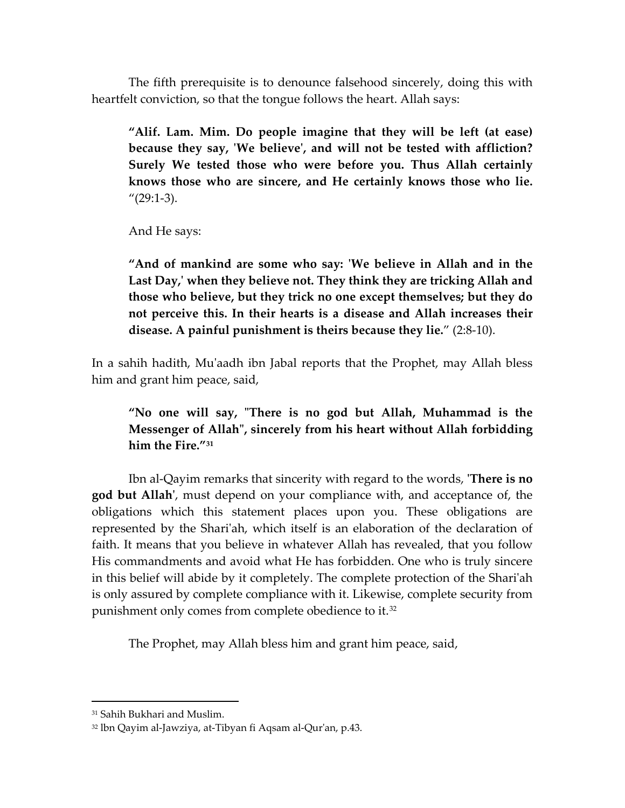The fifth prerequisite is to denounce falsehood sincerely, doing this with heartfelt conviction, so that the tongue follows the heart. Allah says:

**"Alif. Lam. Mim. Do people imagine that they will be left (at ease) because they say, ʹWe believeʹ, and will not be tested with affliction? Surely We tested those who were before you. Thus Allah certainly knows those who are sincere, and He certainly knows those who lie.**  $^{\prime\prime}(29:1-3)$ .

And He says:

**"And of mankind are some who say: ʹWe believe in Allah and in the Last Day,ʹ when they believe not. They think they are tricking Allah and those who believe, but they trick no one except themselves; but they do not perceive this. In their hearts is a disease and Allah increases their disease. A painful punishment is theirs because they lie.**" (2:8‐10).

In a sahih hadith, Muʹaadh ibn Jabal reports that the Prophet, may Allah bless him and grant him peace, said,

**"No one will say, ʺThere is no god but Allah, Muhammad is the Messenger of Allahʺ, sincerely from his heart without Allah forbidding him the Fire."[31](#page-26-0)**

Ibn al‐Qayim remarks that sincerity with regard to the words, **ʹThere is no god but Allahʹ**, must depend on your compliance with, and acceptance of, the obligations which this statement places upon you. These obligations are represented by the Shari'ah, which itself is an elaboration of the declaration of faith. It means that you believe in whatever Allah has revealed, that you follow His commandments and avoid what He has forbidden. One who is truly sincere in this belief will abide by it completely. The complete protection of the Shariʹah is only assured by complete compliance with it. Likewise, complete security from punishment only comes from complete obedience to it.[32](#page-26-1)

The Prophet, may Allah bless him and grant him peace, said,

<span id="page-26-0"></span><sup>31</sup> Sahih Bukhari and Muslim.

<span id="page-26-1"></span><sup>32</sup> lbn Qayim al‐Jawziya, at‐Tibyan fi Aqsam al‐Qurʹan, p.43.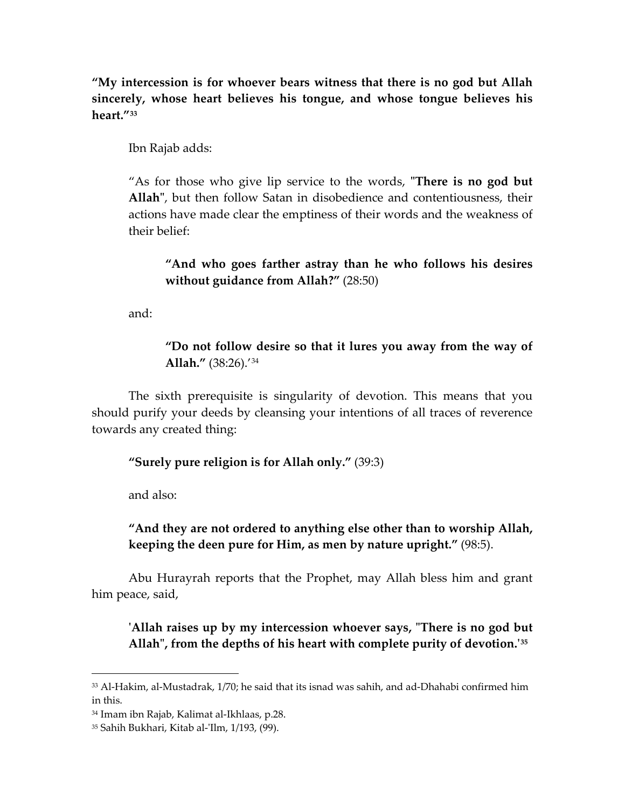**"My intercession is for whoever bears witness that there is no god but Allah sincerely, whose heart believes his tongue, and whose tongue believes his heart."[33](#page-27-0)**

Ibn Rajab adds:

"As for those who give lip service to the words, **ʺThere is no god but** Allah<sup>"</sup>, but then follow Satan in disobedience and contentiousness, their actions have made clear the emptiness of their words and the weakness of their belief:

### **"And who goes farther astray than he who follows his desires without guidance from Allah?"** (28:50)

and:

**"Do not follow desire so that it lures you away from the way of Allah."** (38:26).'[34](#page-27-1)

The sixth prerequisite is singularity of devotion. This means that you should purify your deeds by cleansing your intentions of all traces of reverence towards any created thing:

### **"Surely pure religion is for Allah only."** (39:3)

and also:

 $\overline{a}$ 

**"And they are not ordered to anything else other than to worship Allah, keeping the deen pure for Him, as men by nature upright."** (98:5).

Abu Hurayrah reports that the Prophet, may Allah bless him and grant him peace, said,

**ʹAllah raises up by my intercession whoever says, ʺThere is no god but Allahʺ, from the depths of his heart with complete purity of devotion.ʹ [35](#page-27-2)**

<span id="page-27-0"></span> $33$  Al-Hakim, al-Mustadrak, 1/70; he said that its isnad was sahih, and ad-Dhahabi confirmed him in this.

<span id="page-27-1"></span><sup>34</sup> Imam ibn Rajab, Kalimat al‐Ikhlaas, p.28.

<span id="page-27-2"></span><sup>35</sup> Sahih Bukhari, Kitab al-'Ilm, 1/193, (99).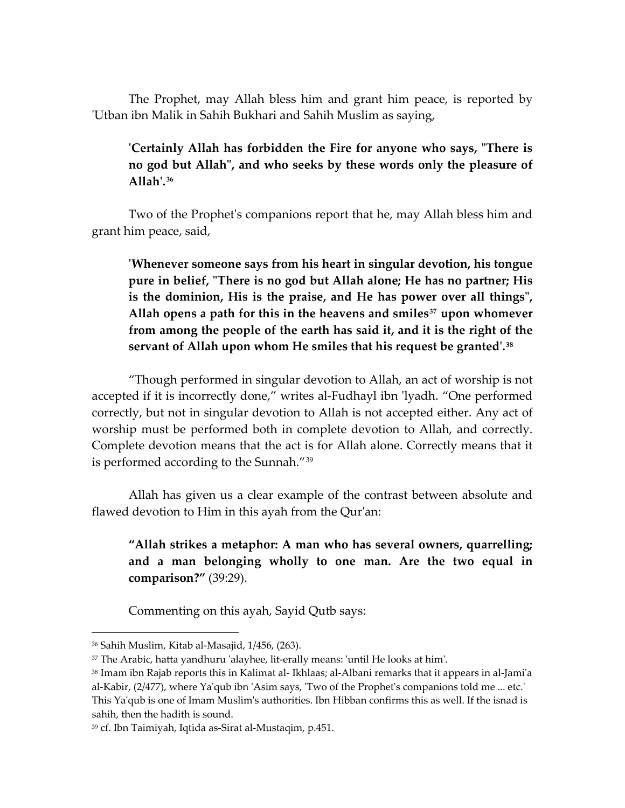The Prophet, may Allah bless him and grant him peace, is reported by ʹUtban ibn Malik in Sahih Bukhari and Sahih Muslim as saying,

# **ʹCertainly Allah has forbidden the Fire for anyone who says, ʺThere is no god but Allahʺ, and who seeks by these words only the pleasure of Allahʹ. [36](#page-28-0)**

Two of the Prophetʹs companions report that he, may Allah bless him and grant him peace, said,

**ʹWhenever someone says from his heart in singular devotion, his tongue pure in belief, ʺThere is no god but Allah alone; He has no partner; His is** the dominion, His is the praise, and He has power over all things", **Allah opens a path for this in the heavens and smiles[37](#page-28-1) upon whomever from among the people of the earth has said it, and it is the right of the servant of Allah upon whom He smiles that his request be grantedʹ.[38](#page-28-2)**

"Though performed in singular devotion to Allah, an act of worship is not accepted if it is incorrectly done," writes al-Fudhayl ibn 'lyadh. "One performed correctly, but not in singular devotion to Allah is not accepted either. Any act of worship must be performed both in complete devotion to Allah, and correctly. Complete devotion means that the act is for Allah alone. Correctly means that it is performed according to the Sunnah."[39](#page-28-3)

Allah has given us a clear example of the contrast between absolute and flawed devotion to Him in this ayah from the Qur'an:

**"Allah strikes a metaphor: A man who has several owners, quarrelling; and a man belonging wholly to one man. Are the two equal in comparison?"** (39:29).

Commenting on this ayah, Sayid Qutb says:

<span id="page-28-0"></span><sup>36</sup> Sahih Muslim, Kitab al‐Masajid, 1/456, (263).

<span id="page-28-1"></span><sup>&</sup>lt;sup>37</sup> The Arabic, hatta yandhuru 'alayhee, lit-erally means: 'until He looks at him'.

<span id="page-28-2"></span><sup>38</sup> Imam ibn Rajab reports this in Kalimat al‐ Ikhlaas; al‐Albani remarks that it appears in al‐Jamiʹa al-Kabir, (2/477), where Ya'qub ibn 'Asim says, 'Two of the Prophet's companions told me ... etc.' This Ya'qub is one of Imam Muslim's authorities. Ibn Hibban confirms this as well. If the isnad is sahih, then the hadith is sound.

<span id="page-28-3"></span><sup>39</sup> cf. Ibn Taimiyah, Iqtida as‐Sirat al‐Mustaqim, p.451.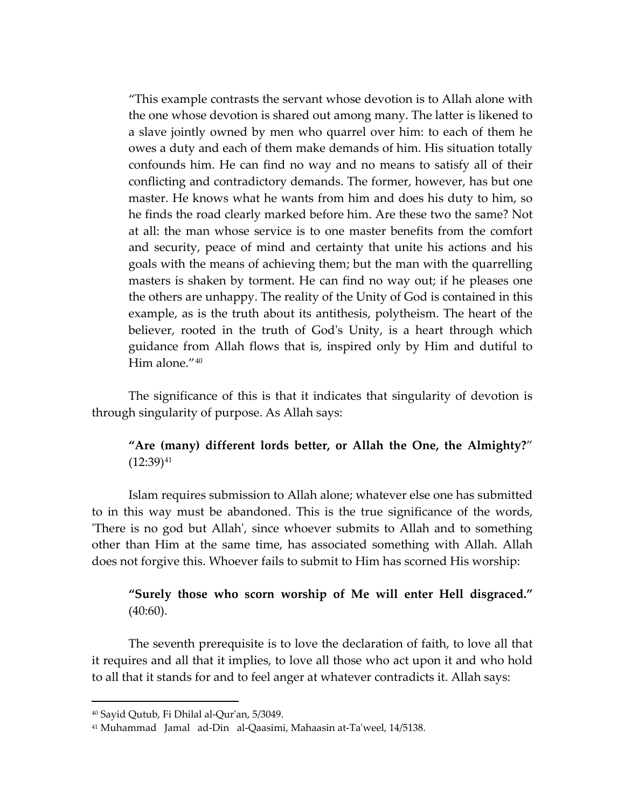"This example contrasts the servant whose devotion is to Allah alone with the one whose devotion is shared out among many. The latter is likened to a slave jointly owned by men who quarrel over him: to each of them he owes a duty and each of them make demands of him. His situation totally confounds him. He can find no way and no means to satisfy all of their conflicting and contradictory demands. The former, however, has but one master. He knows what he wants from him and does his duty to him, so he finds the road clearly marked before him. Are these two the same? Not at all: the man whose service is to one master benefits from the comfort and security, peace of mind and certainty that unite his actions and his goals with the means of achieving them; but the man with the quarrelling masters is shaken by torment. He can find no way out; if he pleases one the others are unhappy. The reality of the Unity of God is contained in this example, as is the truth about its antithesis, polytheism. The heart of the believer, rooted in the truth of God's Unity, is a heart through which guidance from Allah flows that is, inspired only by Him and dutiful to Him alone."<sup>[40](#page-29-0)</sup>

The significance of this is that it indicates that singularity of devotion is through singularity of purpose. As Allah says:

### **"Are (many) different lords better, or Allah the One, the Almighty?**"  $(12:39)^{41}$  $(12:39)^{41}$  $(12:39)^{41}$

Islam requires submission to Allah alone; whatever else one has submitted to in this way must be abandoned. This is the true significance of the words, ʹThere is no god but Allahʹ, since whoever submits to Allah and to something other than Him at the same time, has associated something with Allah. Allah does not forgive this. Whoever fails to submit to Him has scorned His worship:

### **"Surely those who scorn worship of Me will enter Hell disgraced."** (40:60).

The seventh prerequisite is to love the declaration of faith, to love all that it requires and all that it implies, to love all those who act upon it and who hold to all that it stands for and to feel anger at whatever contradicts it. Allah says:

<span id="page-29-0"></span><sup>40</sup> Sayid Qutub, Fi Dhilal al‐Qurʹan, 5/3049.

<span id="page-29-1"></span><sup>41</sup> Muhammad Jamal ad‐Din al‐Qaasimi, Mahaasin at‐Taʹweel, 14/5138.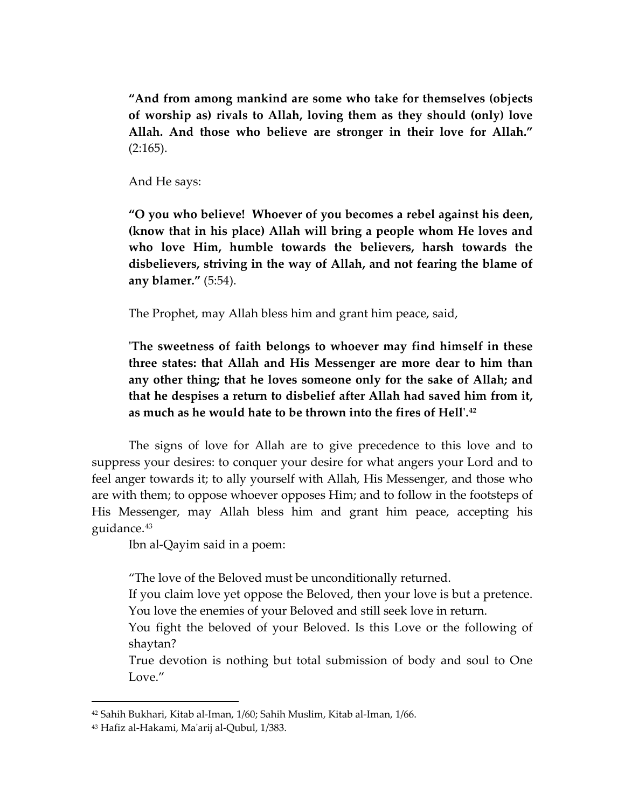**"And from among mankind are some who take for themselves (objects of worship as) rivals to Allah, loving them as they should (only) love Allah. And those who believe are stronger in their love for Allah."**  $(2:165)$ .

And He says:

**"O you who believe! Whoever of you becomes a rebel against his deen, (know that in his place) Allah will bring a people whom He loves and who love Him, humble towards the believers, harsh towards the disbelievers, striving in the way of Allah, and not fearing the blame of any blamer."** (5:54).

The Prophet, may Allah bless him and grant him peace, said,

**ʹThe sweetness of faith belongs to whoever may find himself in these three states: that Allah and His Messenger are more dear to him than any other thing; that he loves someone only for the sake of Allah; and that he despises a return to disbelief after Allah had saved him from it, as much as he would hate to be thrown into the fires of Hellʹ. [42](#page-30-0)**

The signs of love for Allah are to give precedence to this love and to suppress your desires: to conquer your desire for what angers your Lord and to feel anger towards it; to ally yourself with Allah, His Messenger, and those who are with them; to oppose whoever opposes Him; and to follow in the footsteps of His Messenger, may Allah bless him and grant him peace, accepting his guidance.[43](#page-30-1)

Ibn al‐Qayim said in a poem:

"The love of the Beloved must be unconditionally returned.

If you claim love yet oppose the Beloved, then your love is but a pretence. You love the enemies of your Beloved and still seek love in return.

You fight the beloved of your Beloved. Is this Love or the following of shaytan?

True devotion is nothing but total submission of body and soul to One Love."

<span id="page-30-0"></span><sup>42</sup> Sahih Bukhari, Kitab al‐Iman, 1/60; Sahih Muslim, Kitab al‐Iman, 1/66.

<span id="page-30-1"></span><sup>43</sup> Hafiz al‐Hakami, Maʹarij al‐Qubul, 1/383.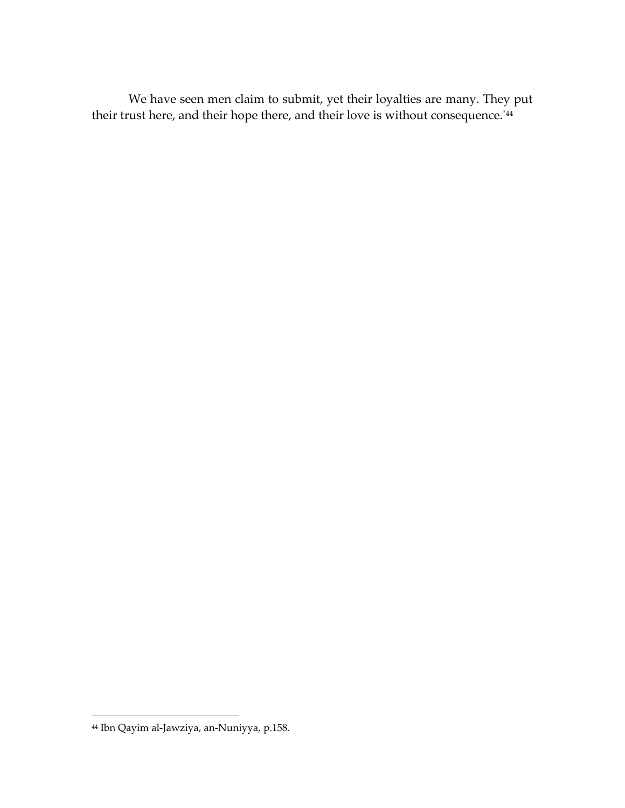We have seen men claim to submit, yet their loyalties are many. They put their trust here, and their hope there, and their love is without consequence.'<sup>[44](#page-31-0)</sup>

<span id="page-31-0"></span><sup>44</sup> Ibn Qayim al‐Jawziya, an‐Nuniyya, p.158.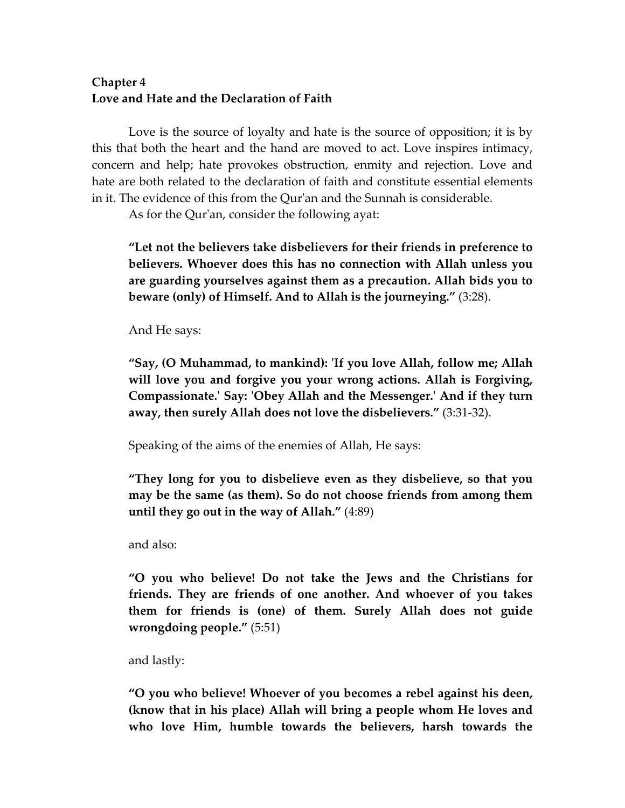# **Chapter 4 Love and Hate and the Declaration of Faith**

Love is the source of loyalty and hate is the source of opposition; it is by this that both the heart and the hand are moved to act. Love inspires intimacy, concern and help; hate provokes obstruction, enmity and rejection. Love and hate are both related to the declaration of faith and constitute essential elements in it. The evidence of this from the Qurʹan and the Sunnah is considerable.

As for the Qur'an, consider the following ayat:

**"Let not the believers take disbelievers for their friends in preference to believers. Whoever does this has no connection with Allah unless you are guarding yourselves against them as a precaution. Allah bids you to beware (only) of Himself. And to Allah is the journeying."** (3:28).

And He says:

**"Say, (O Muhammad, to mankind): ʹIf you love Allah, follow me; Allah will love you and forgive you your wrong actions. Allah is Forgiving, Compassionate.ʹ Say: ʹObey Allah and the Messenger.ʹ And if they turn away, then surely Allah does not love the disbelievers."** (3:31‐32).

Speaking of the aims of the enemies of Allah, He says:

**"They long for you to disbelieve even as they disbelieve, so that you may be the same (as them). So do not choose friends from among them until they go out in the way of Allah."** (4:89)

and also:

**"O you who believe! Do not take the Jews and the Christians for friends. They are friends of one another. And whoever of you takes them for friends is (one) of them. Surely Allah does not guide wrongdoing people."** (5:51)

and lastly:

**"O you who believe! Whoever of you becomes a rebel against his deen, (know that in his place) Allah will bring a people whom He loves and who love Him, humble towards the believers, harsh towards the**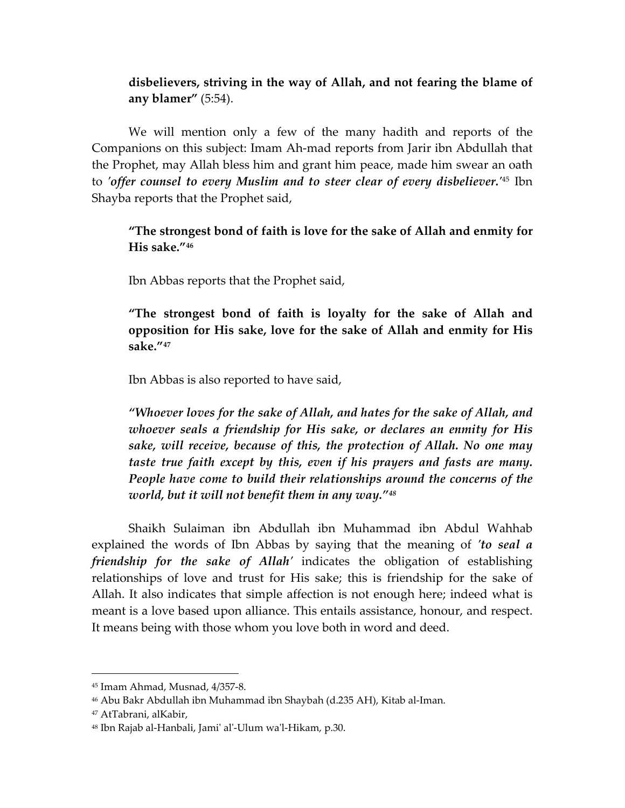### **disbelievers, striving in the way of Allah, and not fearing the blame of any blamer"** (5:54).

We will mention only a few of the many hadith and reports of the Companions on this subject: Imam Ah‐mad reports from Jarir ibn Abdullah that the Prophet, may Allah bless him and grant him peace, made him swear an oath to *ʹoffer counsel to every Muslim and to steer clear of every disbeliever.ʹ* [45](#page-33-0) Ibn Shayba reports that the Prophet said,

**"The strongest bond of faith is love for the sake of Allah and enmity for His sake.["46](#page-33-1)**

Ibn Abbas reports that the Prophet said,

**"The strongest bond of faith is loyalty for the sake of Allah and opposition for His sake, love for the sake of Allah and enmity for His sake."[47](#page-33-2)**

Ibn Abbas is also reported to have said,

*"Whoever loves for the sake of Allah, and hates for the sake of Allah, and whoever seals a friendship for His sake, or declares an enmity for His sake, will receive, because of this, the protection of Allah. No one may taste true faith except by this, even if his prayers and fasts are many. People have come to build their relationships around the concerns of the world, but it will not benefit them in any way."[48](#page-33-3)*

Shaikh Sulaiman ibn Abdullah ibn Muhammad ibn Abdul Wahhab explained the words of Ibn Abbas by saying that the meaning of *ʹto seal a friendship for the sake of Allahʹ* indicates the obligation of establishing relationships of love and trust for His sake; this is friendship for the sake of Allah. It also indicates that simple affection is not enough here; indeed what is meant is a love based upon alliance. This entails assistance, honour, and respect. It means being with those whom you love both in word and deed.

<span id="page-33-0"></span><sup>45</sup> Imam Ahmad, Musnad, 4/357‐8.

<span id="page-33-1"></span><sup>46</sup> Abu Bakr Abdullah ibn Muhammad ibn Shaybah (d.235 AH), Kitab al‐Iman.

<span id="page-33-2"></span><sup>47</sup> AtTabrani, alKabir,

<span id="page-33-3"></span><sup>48</sup> Ibn Rajab al‐Hanbali, Jamiʹ alʹ‐Ulum waʹl‐Hikam, p.30.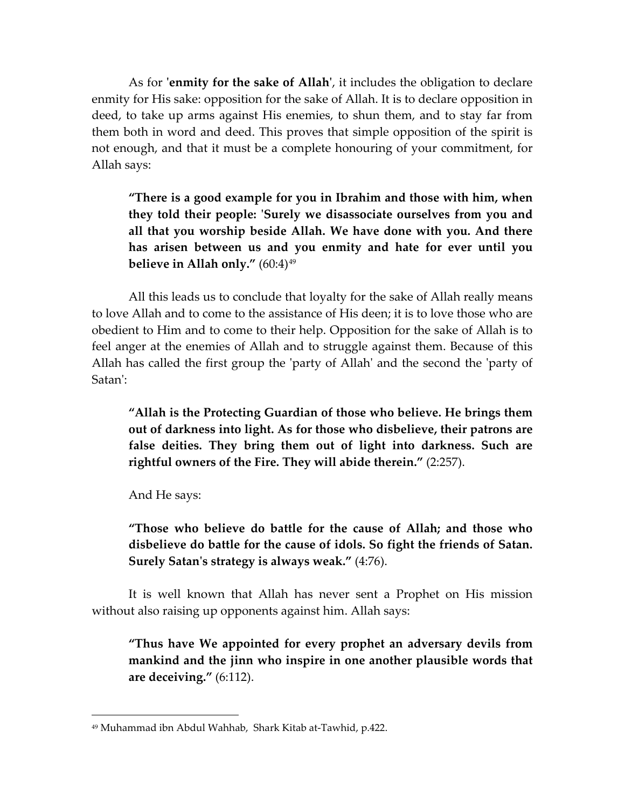As for **ʹenmity for the sake of Allahʹ**, it includes the obligation to declare enmity for His sake: opposition for the sake of Allah. It is to declare opposition in deed, to take up arms against His enemies, to shun them, and to stay far from them both in word and deed. This proves that simple opposition of the spirit is not enough, and that it must be a complete honouring of your commitment, for Allah says:

**"There is a good example for you in Ibrahim and those with him, when they told their people: ʹSurely we disassociate ourselves from you and all that you worship beside Allah. We have done with you. And there has arisen between us and you enmity and hate for ever until you believe in Allah only."**  $(60:4)^{49}$  $(60:4)^{49}$  $(60:4)^{49}$ 

All this leads us to conclude that loyalty for the sake of Allah really means to love Allah and to come to the assistance of His deen; it is to love those who are obedient to Him and to come to their help. Opposition for the sake of Allah is to feel anger at the enemies of Allah and to struggle against them. Because of this Allah has called the first group the 'party of Allah' and the second the 'party of Satanʹ:

**"Allah is the Protecting Guardian of those who believe. He brings them out of darkness into light. As for those who disbelieve, their patrons are false deities. They bring them out of light into darkness. Such are rightful owners of the Fire. They will abide therein."** (2:257).

And He says:

 $\overline{a}$ 

**"Those who believe do battle for the cause of Allah; and those who disbelieve do battle for the cause of idols. So fight the friends of Satan. Surely Satanʹs strategy is always weak."** (4:76).

It is well known that Allah has never sent a Prophet on His mission without also raising up opponents against him. Allah says:

**"Thus have We appointed for every prophet an adversary devils from mankind and the jinn who inspire in one another plausible words that are deceiving."** (6:112).

<span id="page-34-0"></span><sup>49</sup> Muhammad ibn Abdul Wahhab, Shark Kitab at‐Tawhid, p.422.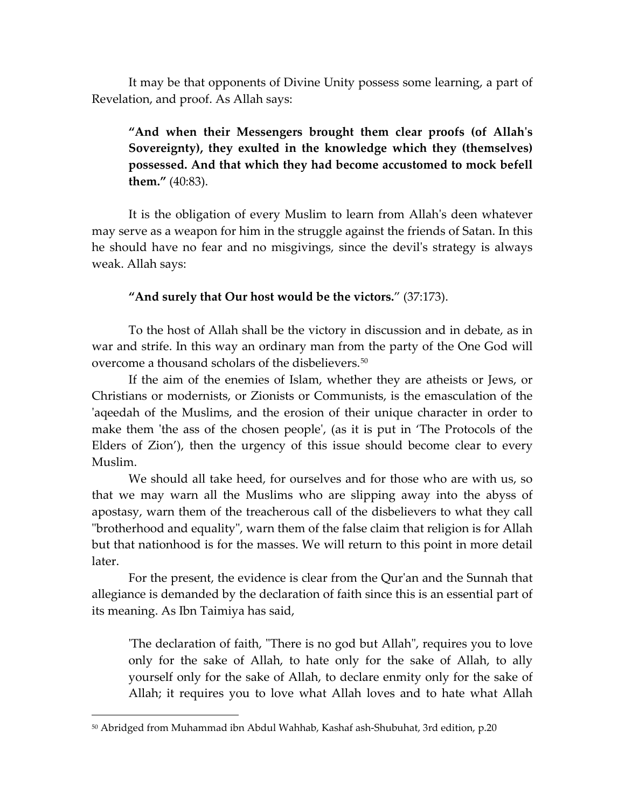It may be that opponents of Divine Unity possess some learning, a part of Revelation, and proof. As Allah says:

**"And when their Messengers brought them clear proofs (of Allahʹs Sovereignty), they exulted in the knowledge which they (themselves) possessed. And that which they had become accustomed to mock befell them."** (40:83).

It is the obligation of every Muslim to learn from Allahʹs deen whatever may serve as a weapon for him in the struggle against the friends of Satan. In this he should have no fear and no misgivings, since the devilʹs strategy is always weak. Allah says:

#### **"And surely that Our host would be the victors.**" (37:173).

To the host of Allah shall be the victory in discussion and in debate, as in war and strife. In this way an ordinary man from the party of the One God will overcome a thousand scholars of the disbelievers.<sup>[50](#page-35-0)</sup>

If the aim of the enemies of Islam, whether they are atheists or Jews, or Christians or modernists, or Zionists or Communists, is the emasculation of the ʹaqeedah of the Muslims, and the erosion of their unique character in order to make them 'the ass of the chosen people', (as it is put in 'The Protocols of the Elders of Zion'), then the urgency of this issue should become clear to every Muslim.

We should all take heed, for ourselves and for those who are with us, so that we may warn all the Muslims who are slipping away into the abyss of apostasy, warn them of the treacherous call of the disbelievers to what they call "brotherhood and equality", warn them of the false claim that religion is for Allah but that nationhood is for the masses. We will return to this point in more detail later.

For the present, the evidence is clear from the Qur'an and the Sunnah that allegiance is demanded by the declaration of faith since this is an essential part of its meaning. As Ibn Taimiya has said,

The declaration of faith, "There is no god but Allah", requires you to love only for the sake of Allah, to hate only for the sake of Allah, to ally yourself only for the sake of Allah, to declare enmity only for the sake of Allah; it requires you to love what Allah loves and to hate what Allah

<span id="page-35-0"></span><sup>50</sup> Abridged from Muhammad ibn Abdul Wahhab, Kashaf ash‐Shubuhat, 3rd edition, p.20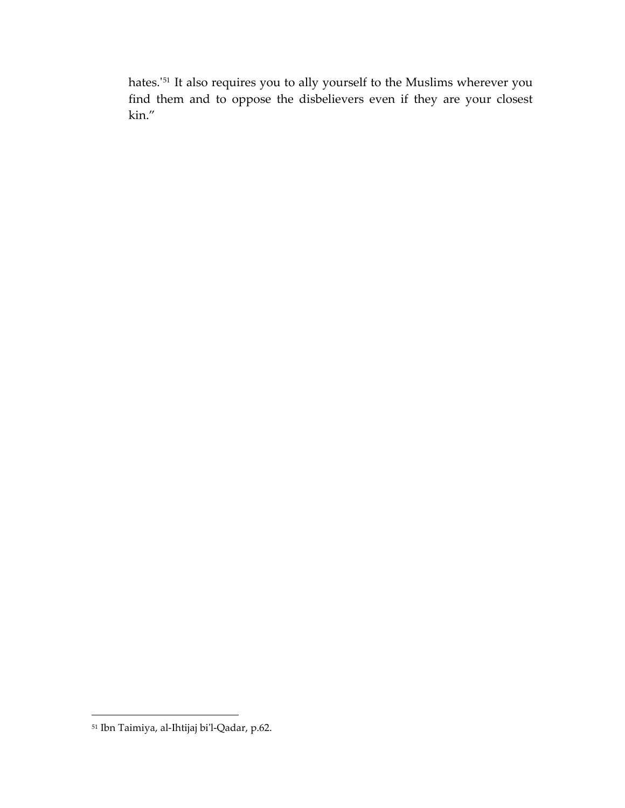hates.ʹ [51](#page-36-0) It also requires you to ally yourself to the Muslims wherever you find them and to oppose the disbelievers even if they are your closest kin."

<span id="page-36-0"></span><sup>&</sup>lt;sup>51</sup> Ibn Taimiya, al-Ihtijaj bi'l-Qadar, p.62.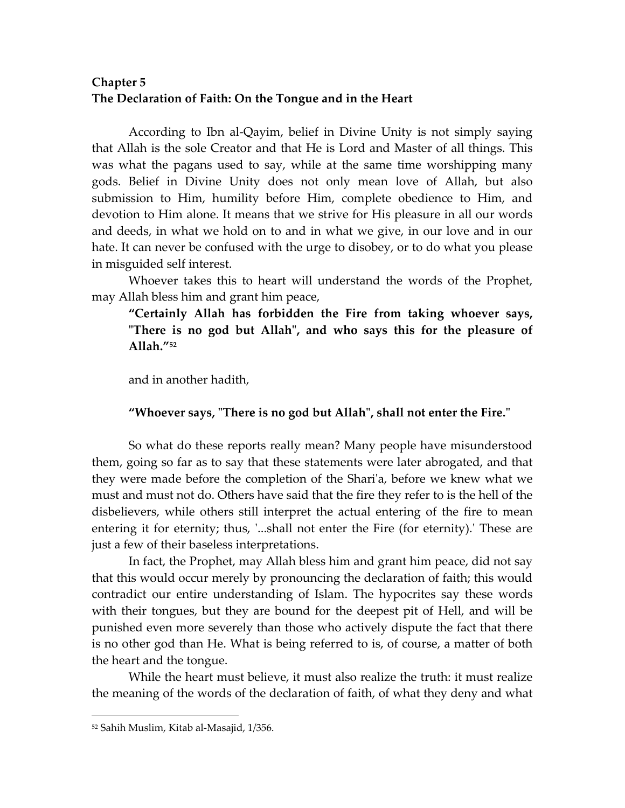# **Chapter 5 The Declaration of Faith: On the Tongue and in the Heart**

According to Ibn al‐Qayim, belief in Divine Unity is not simply saying that Allah is the sole Creator and that He is Lord and Master of all things. This was what the pagans used to say, while at the same time worshipping many gods. Belief in Divine Unity does not only mean love of Allah, but also submission to Him, humility before Him, complete obedience to Him, and devotion to Him alone. It means that we strive for His pleasure in all our words and deeds, in what we hold on to and in what we give, in our love and in our hate. It can never be confused with the urge to disobey, or to do what you please in misguided self interest.

Whoever takes this to heart will understand the words of the Prophet, may Allah bless him and grant him peace,

**"Certainly Allah has forbidden the Fire from taking whoever says, ʺThere is no god but Allahʺ, and who says this for the pleasure of Allah."[52](#page-37-0)**

and in another hadith,

**"Whoever says, ʺThere is no god but Allahʺ, shall not enter the Fire.ʺ** 

So what do these reports really mean? Many people have misunderstood them, going so far as to say that these statements were later abrogated, and that they were made before the completion of the Shariʹa, before we knew what we must and must not do. Others have said that the fire they refer to is the hell of the disbelievers, while others still interpret the actual entering of the fire to mean entering it for eternity; thus, '...shall not enter the Fire (for eternity).' These are just a few of their baseless interpretations.

In fact, the Prophet, may Allah bless him and grant him peace, did not say that this would occur merely by pronouncing the declaration of faith; this would contradict our entire understanding of Islam. The hypocrites say these words with their tongues, but they are bound for the deepest pit of Hell, and will be punished even more severely than those who actively dispute the fact that there is no other god than He. What is being referred to is, of course, a matter of both the heart and the tongue.

While the heart must believe, it must also realize the truth: it must realize the meaning of the words of the declaration of faith, of what they deny and what

<span id="page-37-0"></span><sup>52</sup> Sahih Muslim, Kitab al‐Masajid, 1/356.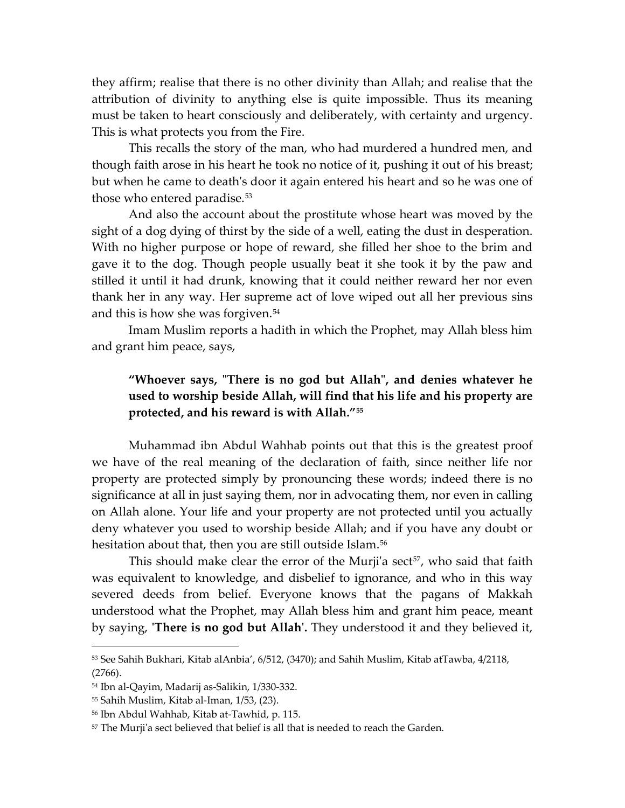they affirm; realise that there is no other divinity than Allah; and realise that the attribution of divinity to anything else is quite impossible. Thus its meaning must be taken to heart consciously and deliberately, with certainty and urgency. This is what protects you from the Fire.

This recalls the story of the man, who had murdered a hundred men, and though faith arose in his heart he took no notice of it, pushing it out of his breast; but when he came to deathʹs door it again entered his heart and so he was one of those who entered paradise.<sup>[53](#page-38-0)</sup>

And also the account about the prostitute whose heart was moved by the sight of a dog dying of thirst by the side of a well, eating the dust in desperation. With no higher purpose or hope of reward, she filled her shoe to the brim and gave it to the dog. Though people usually beat it she took it by the paw and stilled it until it had drunk, knowing that it could neither reward her nor even thank her in any way. Her supreme act of love wiped out all her previous sins and this is how she was forgiven.<sup>[54](#page-38-1)</sup>

Imam Muslim reports a hadith in which the Prophet, may Allah bless him and grant him peace, says,

# **"Whoever says, ʺThere is no god but Allahʺ, and denies whatever he used to worship beside Allah, will find that his life and his property are protected, and his reward is with Allah."[55](#page-38-2)**

Muhammad ibn Abdul Wahhab points out that this is the greatest proof we have of the real meaning of the declaration of faith, since neither life nor property are protected simply by pronouncing these words; indeed there is no significance at all in just saying them, nor in advocating them, nor even in calling on Allah alone. Your life and your property are not protected until you actually deny whatever you used to worship beside Allah; and if you have any doubt or hesitation about that, then you are still outside Islam.<sup>[56](#page-38-3)</sup>

This should make clear the error of the Murji'a sect<sup>[57](#page-38-4)</sup>, who said that faith was equivalent to knowledge, and disbelief to ignorance, and who in this way severed deeds from belief. Everyone knows that the pagans of Makkah understood what the Prophet, may Allah bless him and grant him peace, meant by saying, **ʹThere is no god but Allahʹ.** They understood it and they believed it,

<span id="page-38-0"></span><sup>53</sup> See Sahih Bukhari, Kitab alAnbia', 6/512, (3470); and Sahih Muslim, Kitab atTawba, 4/2118, (2766).

<span id="page-38-2"></span><span id="page-38-1"></span><sup>54</sup> Ibn al‐Qayim, Madarij as‐Salikin, 1/330‐332.

<sup>55</sup> Sahih Muslim, Kitab al‐Iman, 1/53, (23).

<span id="page-38-3"></span><sup>56</sup> Ibn Abdul Wahhab, Kitab at‐Tawhid, p. 115.

<span id="page-38-4"></span><sup>&</sup>lt;sup>57</sup> The Murji'a sect believed that belief is all that is needed to reach the Garden.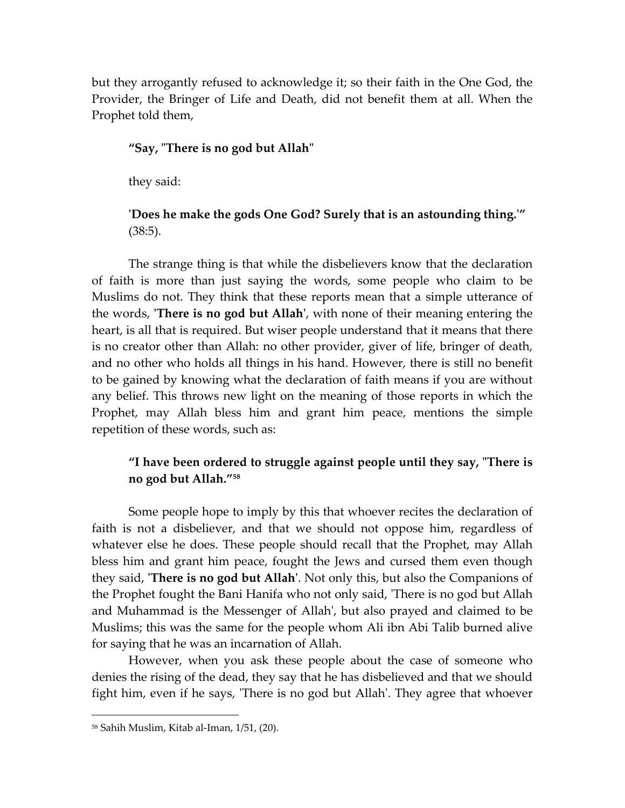but they arrogantly refused to acknowledge it; so their faith in the One God, the Provider, the Bringer of Life and Death, did not benefit them at all. When the Prophet told them,

#### **"Say, ʺThere is no god but Allahʺ**

they said:

### **ʹDoes he make the gods One God? Surely that is an astounding thing.ʹ"**  $(38:5)$ .

The strange thing is that while the disbelievers know that the declaration of faith is more than just saying the words, some people who claim to be Muslims do not. They think that these reports mean that a simple utterance of the words, **ʹThere is no god but Allahʹ**, with none of their meaning entering the heart, is all that is required. But wiser people understand that it means that there is no creator other than Allah: no other provider, giver of life, bringer of death, and no other who holds all things in his hand. However, there is still no benefit to be gained by knowing what the declaration of faith means if you are without any belief. This throws new light on the meaning of those reports in which the Prophet, may Allah bless him and grant him peace, mentions the simple repetition of these words, such as:

### **"I have been ordered to struggle against people until they say, ʺThere is no god but Allah.["58](#page-39-0)**

Some people hope to imply by this that whoever recites the declaration of faith is not a disbeliever, and that we should not oppose him, regardless of whatever else he does. These people should recall that the Prophet, may Allah bless him and grant him peace, fought the Jews and cursed them even though they said, **ʹThere is no god but Allahʹ**. Not only this, but also the Companions of the Prophet fought the Bani Hanifa who not only said, 'There is no god but Allah and Muhammad is the Messenger of Allahʹ, but also prayed and claimed to be Muslims; this was the same for the people whom Ali ibn Abi Talib burned alive for saying that he was an incarnation of Allah.

However, when you ask these people about the case of someone who denies the rising of the dead, they say that he has disbelieved and that we should fight him, even if he says, 'There is no god but Allah'. They agree that whoever

<span id="page-39-0"></span><sup>58</sup> Sahih Muslim, Kitab al‐Iman, 1/51, (20).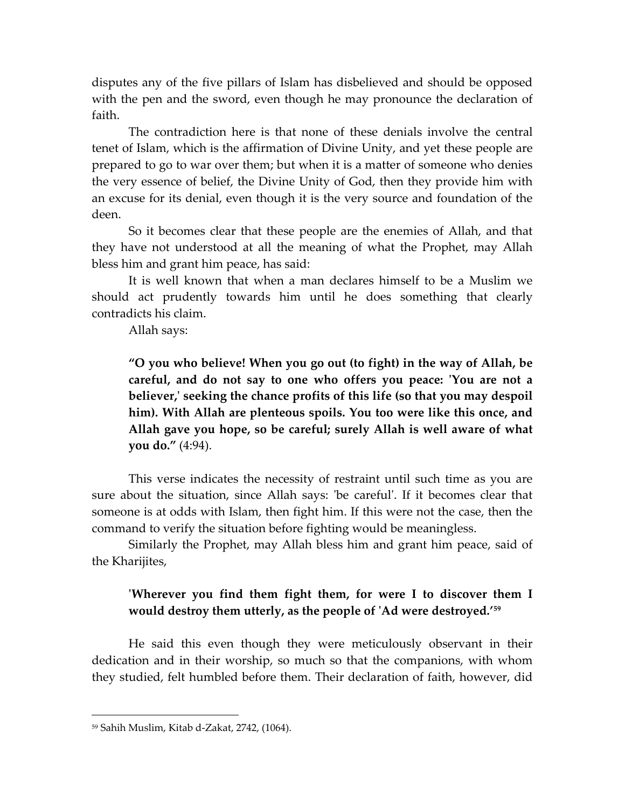disputes any of the five pillars of Islam has disbelieved and should be opposed with the pen and the sword, even though he may pronounce the declaration of faith.

The contradiction here is that none of these denials involve the central tenet of Islam, which is the affirmation of Divine Unity, and yet these people are prepared to go to war over them; but when it is a matter of someone who denies the very essence of belief, the Divine Unity of God, then they provide him with an excuse for its denial, even though it is the very source and foundation of the deen.

So it becomes clear that these people are the enemies of Allah, and that they have not understood at all the meaning of what the Prophet, may Allah bless him and grant him peace, has said:

It is well known that when a man declares himself to be a Muslim we should act prudently towards him until he does something that clearly contradicts his claim.

Allah says:

**"O you who believe! When you go out (to fight) in the way of Allah, be careful, and do not say to one who offers you peace: ʹYou are not a believer,ʹ seeking the chance profits of this life (so that you may despoil him). With Allah are plenteous spoils. You too were like this once, and Allah gave you hope, so be careful; surely Allah is well aware of what you do."** (4:94).

This verse indicates the necessity of restraint until such time as you are sure about the situation, since Allah says: 'be careful'. If it becomes clear that someone is at odds with Islam, then fight him. If this were not the case, then the command to verify the situation before fighting would be meaningless.

Similarly the Prophet, may Allah bless him and grant him peace, said of the Kharijites,

## **ʹWherever you find them fight them, for were I to discover them I would destroy them utterly, as the people of ʹAd were destroyed.'[59](#page-40-0)**

He said this even though they were meticulously observant in their dedication and in their worship, so much so that the companions, with whom they studied, felt humbled before them. Their declaration of faith, however, did

<span id="page-40-0"></span><sup>59</sup> Sahih Muslim, Kitab d‐Zakat, 2742, (1064).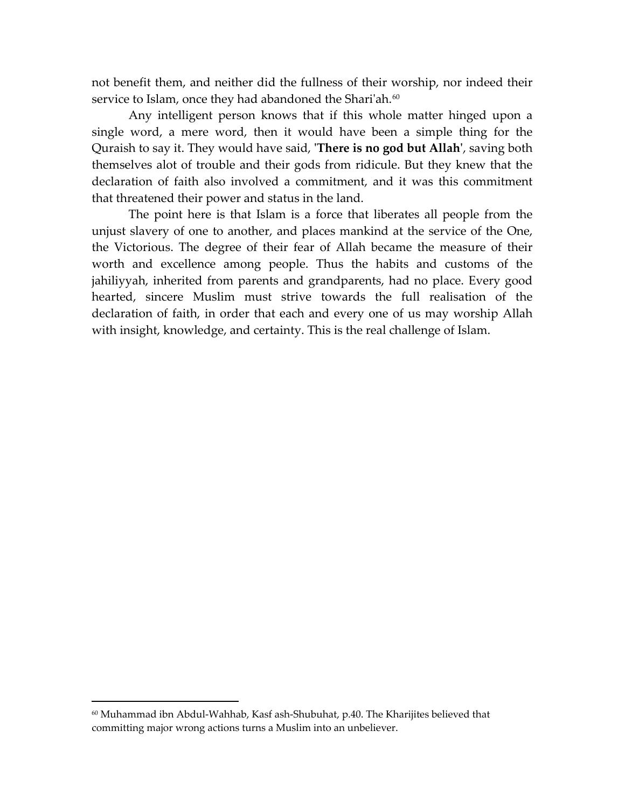not benefit them, and neither did the fullness of their worship, nor indeed their service to Islam, once they had abandoned the Shari'ah.<sup>[60](#page-41-0)</sup>

Any intelligent person knows that if this whole matter hinged upon a single word, a mere word, then it would have been a simple thing for the Quraish to say it. They would have said, **ʹThere is no god but Allahʹ**, saving both themselves alot of trouble and their gods from ridicule. But they knew that the declaration of faith also involved a commitment, and it was this commitment that threatened their power and status in the land.

The point here is that Islam is a force that liberates all people from the unjust slavery of one to another, and places mankind at the service of the One, the Victorious. The degree of their fear of Allah became the measure of their worth and excellence among people. Thus the habits and customs of the jahiliyyah, inherited from parents and grandparents, had no place. Every good hearted, sincere Muslim must strive towards the full realisation of the declaration of faith, in order that each and every one of us may worship Allah with insight, knowledge, and certainty. This is the real challenge of Islam.

<span id="page-41-0"></span> $60$  Muhammad ibn Abdul-Wahhab, Kasf ash-Shubuhat, p.40. The Kharijites believed that committing major wrong actions turns a Muslim into an unbeliever.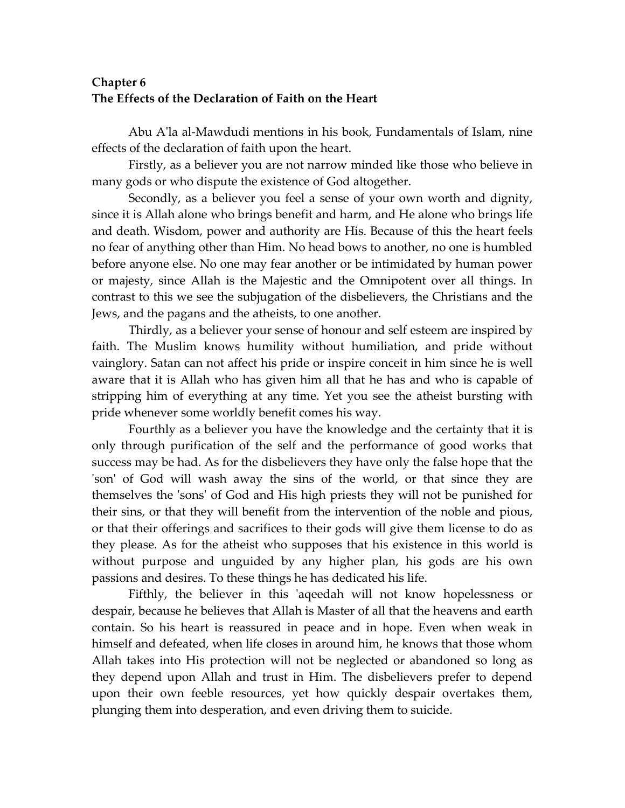# **Chapter 6 The Effects of the Declaration of Faith on the Heart**

Abu Aʹla al‐Mawdudi mentions in his book, Fundamentals of Islam, nine effects of the declaration of faith upon the heart.

Firstly, as a believer you are not narrow minded like those who believe in many gods or who dispute the existence of God altogether.

Secondly, as a believer you feel a sense of your own worth and dignity, since it is Allah alone who brings benefit and harm, and He alone who brings life and death. Wisdom, power and authority are His. Because of this the heart feels no fear of anything other than Him. No head bows to another, no one is humbled before anyone else. No one may fear another or be intimidated by human power or majesty, since Allah is the Majestic and the Omnipotent over all things. In contrast to this we see the subjugation of the disbelievers, the Christians and the Jews, and the pagans and the atheists, to one another.

Thirdly, as a believer your sense of honour and self esteem are inspired by faith. The Muslim knows humility without humiliation, and pride without vainglory. Satan can not affect his pride or inspire conceit in him since he is well aware that it is Allah who has given him all that he has and who is capable of stripping him of everything at any time. Yet you see the atheist bursting with pride whenever some worldly benefit comes his way.

Fourthly as a believer you have the knowledge and the certainty that it is only through purification of the self and the performance of good works that success may be had. As for the disbelievers they have only the false hope that the ʹsonʹ of God will wash away the sins of the world, or that since they are themselves the ʹsonsʹ of God and His high priests they will not be punished for their sins, or that they will benefit from the intervention of the noble and pious, or that their offerings and sacrifices to their gods will give them license to do as they please. As for the atheist who supposes that his existence in this world is without purpose and unguided by any higher plan, his gods are his own passions and desires. To these things he has dedicated his life.

Fifthly, the believer in this 'aqeedah will not know hopelessness or despair, because he believes that Allah is Master of all that the heavens and earth contain. So his heart is reassured in peace and in hope. Even when weak in himself and defeated, when life closes in around him, he knows that those whom Allah takes into His protection will not be neglected or abandoned so long as they depend upon Allah and trust in Him. The disbelievers prefer to depend upon their own feeble resources, yet how quickly despair overtakes them, plunging them into desperation, and even driving them to suicide.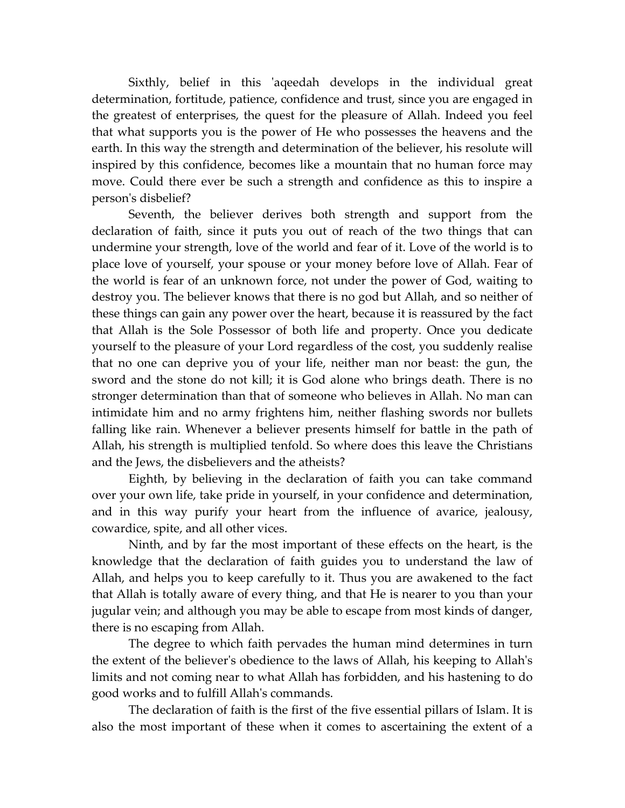Sixthly, belief in this 'aqeedah develops in the individual great determination, fortitude, patience, confidence and trust, since you are engaged in the greatest of enterprises, the quest for the pleasure of Allah. Indeed you feel that what supports you is the power of He who possesses the heavens and the earth. In this way the strength and determination of the believer, his resolute will inspired by this confidence, becomes like a mountain that no human force may move. Could there ever be such a strength and confidence as this to inspire a personʹs disbelief?

Seventh, the believer derives both strength and support from the declaration of faith, since it puts you out of reach of the two things that can undermine your strength, love of the world and fear of it. Love of the world is to place love of yourself, your spouse or your money before love of Allah. Fear of the world is fear of an unknown force, not under the power of God, waiting to destroy you. The believer knows that there is no god but Allah, and so neither of these things can gain any power over the heart, because it is reassured by the fact that Allah is the Sole Possessor of both life and property. Once you dedicate yourself to the pleasure of your Lord regardless of the cost, you suddenly realise that no one can deprive you of your life, neither man nor beast: the gun, the sword and the stone do not kill; it is God alone who brings death. There is no stronger determination than that of someone who believes in Allah. No man can intimidate him and no army frightens him, neither flashing swords nor bullets falling like rain. Whenever a believer presents himself for battle in the path of Allah, his strength is multiplied tenfold. So where does this leave the Christians and the Jews, the disbelievers and the atheists?

Eighth, by believing in the declaration of faith you can take command over your own life, take pride in yourself, in your confidence and determination, and in this way purify your heart from the influence of avarice, jealousy, cowardice, spite, and all other vices.

Ninth, and by far the most important of these effects on the heart, is the knowledge that the declaration of faith guides you to understand the law of Allah, and helps you to keep carefully to it. Thus you are awakened to the fact that Allah is totally aware of every thing, and that He is nearer to you than your jugular vein; and although you may be able to escape from most kinds of danger, there is no escaping from Allah.

The degree to which faith pervades the human mind determines in turn the extent of the believerʹs obedience to the laws of Allah, his keeping to Allahʹs limits and not coming near to what Allah has forbidden, and his hastening to do good works and to fulfill Allahʹs commands.

The declaration of faith is the first of the five essential pillars of Islam. It is also the most important of these when it comes to ascertaining the extent of a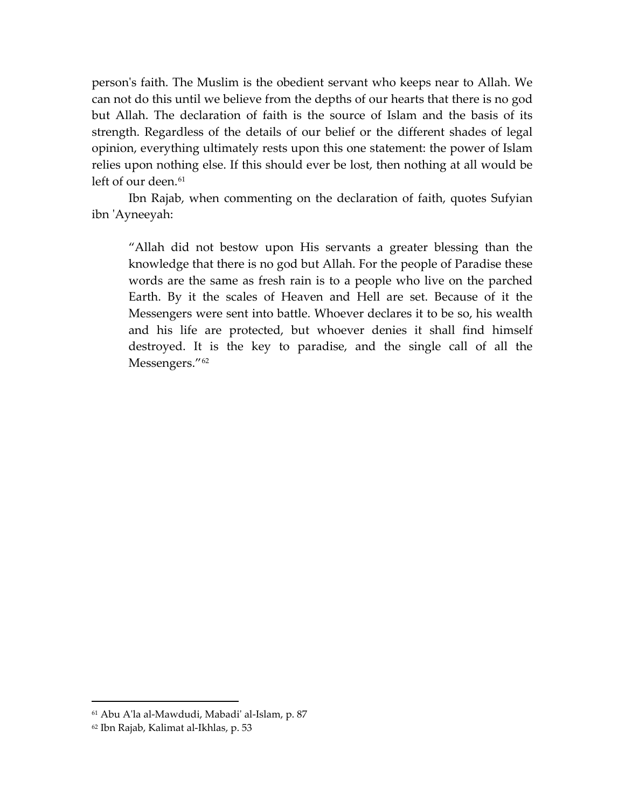personʹs faith. The Muslim is the obedient servant who keeps near to Allah. We can not do this until we believe from the depths of our hearts that there is no god but Allah. The declaration of faith is the source of Islam and the basis of its strength. Regardless of the details of our belief or the different shades of legal opinion, everything ultimately rests upon this one statement: the power of Islam relies upon nothing else. If this should ever be lost, then nothing at all would be left of our deen.<sup>[61](#page-44-0)</sup>

Ibn Rajab, when commenting on the declaration of faith, quotes Sufyian ibn ʹAyneeyah:

"Allah did not bestow upon His servants a greater blessing than the knowledge that there is no god but Allah. For the people of Paradise these words are the same as fresh rain is to a people who live on the parched Earth. By it the scales of Heaven and Hell are set. Because of it the Messengers were sent into battle. Whoever declares it to be so, his wealth and his life are protected, but whoever denies it shall find himself destroyed. It is the key to paradise, and the single call of all the Messengers."<sup>[62](#page-44-1)</sup>

<span id="page-44-0"></span><sup>61</sup> Abu Aʹla al‐Mawdudi, Mabadiʹ al‐Islam, p. 87

<span id="page-44-1"></span><sup>62</sup> Ibn Rajab, Kalimat al‐Ikhlas, p. 53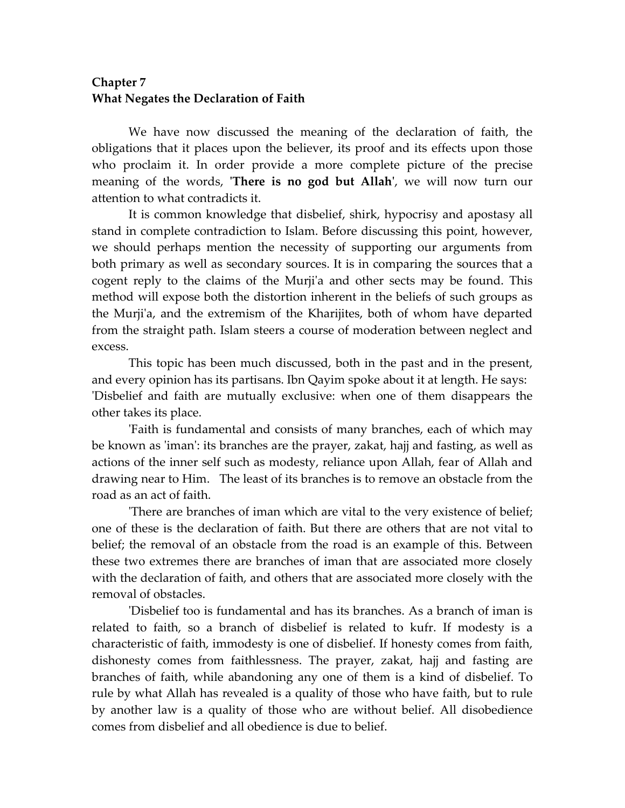## **Chapter 7 What Negates the Declaration of Faith**

We have now discussed the meaning of the declaration of faith, the obligations that it places upon the believer, its proof and its effects upon those who proclaim it. In order provide a more complete picture of the precise meaning of the words, **ʹThere is no god but Allahʹ**, we will now turn our attention to what contradicts it.

It is common knowledge that disbelief, shirk, hypocrisy and apostasy all stand in complete contradiction to Islam. Before discussing this point, however, we should perhaps mention the necessity of supporting our arguments from both primary as well as secondary sources. It is in comparing the sources that a cogent reply to the claims of the Murji'a and other sects may be found. This method will expose both the distortion inherent in the beliefs of such groups as the Murji'a, and the extremism of the Kharijites, both of whom have departed from the straight path. Islam steers a course of moderation between neglect and excess.

This topic has been much discussed, both in the past and in the present, and every opinion has its partisans. Ibn Qayim spoke about it at length. He says: 'Disbelief and faith are mutually exclusive: when one of them disappears the other takes its place.

ʹFaith is fundamental and consists of many branches, each of which may be known as 'iman': its branches are the prayer, zakat, hajj and fasting, as well as actions of the inner self such as modesty, reliance upon Allah, fear of Allah and drawing near to Him. The least of its branches is to remove an obstacle from the road as an act of faith.

ʹThere are branches of iman which are vital to the very existence of belief; one of these is the declaration of faith. But there are others that are not vital to belief; the removal of an obstacle from the road is an example of this. Between these two extremes there are branches of iman that are associated more closely with the declaration of faith, and others that are associated more closely with the removal of obstacles.

ʹDisbelief too is fundamental and has its branches. As a branch of iman is related to faith, so a branch of disbelief is related to kufr. If modesty is a characteristic of faith, immodesty is one of disbelief. If honesty comes from faith, dishonesty comes from faithlessness. The prayer, zakat, hajj and fasting are branches of faith, while abandoning any one of them is a kind of disbelief. To rule by what Allah has revealed is a quality of those who have faith, but to rule by another law is a quality of those who are without belief. All disobedience comes from disbelief and all obedience is due to belief.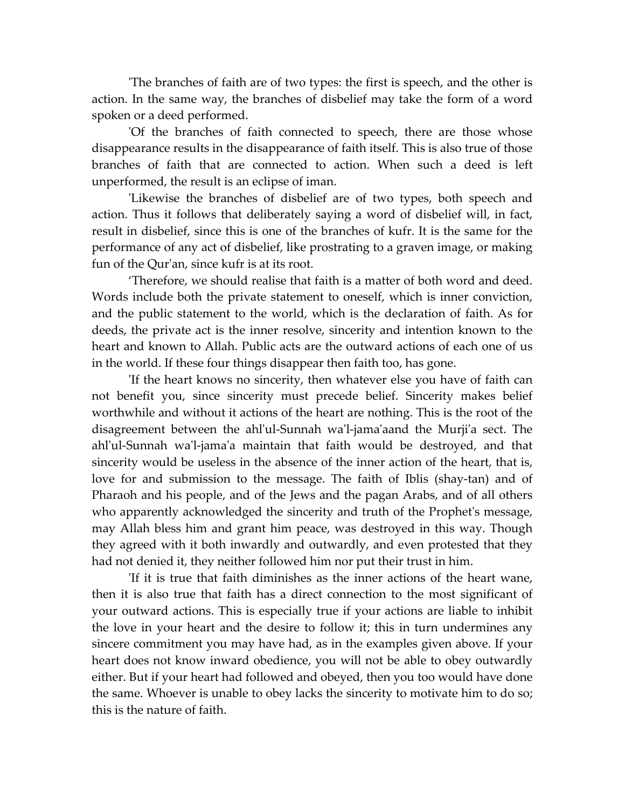ʹThe branches of faith are of two types: the first is speech, and the other is action. In the same way, the branches of disbelief may take the form of a word spoken or a deed performed.

ʹOf the branches of faith connected to speech, there are those whose disappearance results in the disappearance of faith itself. This is also true of those branches of faith that are connected to action. When such a deed is left unperformed, the result is an eclipse of iman.

'Likewise the branches of disbelief are of two types, both speech and action. Thus it follows that deliberately saying a word of disbelief will, in fact, result in disbelief, since this is one of the branches of kufr. It is the same for the performance of any act of disbelief, like prostrating to a graven image, or making fun of the Our'an, since kufr is at its root.

'Therefore, we should realise that faith is a matter of both word and deed. Words include both the private statement to oneself, which is inner conviction, and the public statement to the world, which is the declaration of faith. As for deeds, the private act is the inner resolve, sincerity and intention known to the heart and known to Allah. Public acts are the outward actions of each one of us in the world. If these four things disappear then faith too, has gone.

ʹIf the heart knows no sincerity, then whatever else you have of faith can not benefit you, since sincerity must precede belief. Sincerity makes belief worthwhile and without it actions of the heart are nothing. This is the root of the disagreement between the ahlʹul‐Sunnah waʹl‐jamaʹaand the Murjiʹa sect. The ahl'ul-Sunnah wa'l-jama'a maintain that faith would be destroyed, and that sincerity would be useless in the absence of the inner action of the heart, that is, love for and submission to the message. The faith of Iblis (shay-tan) and of Pharaoh and his people, and of the Jews and the pagan Arabs, and of all others who apparently acknowledged the sincerity and truth of the Prophet's message, may Allah bless him and grant him peace, was destroyed in this way. Though they agreed with it both inwardly and outwardly, and even protested that they had not denied it, they neither followed him nor put their trust in him.

ʹIf it is true that faith diminishes as the inner actions of the heart wane, then it is also true that faith has a direct connection to the most significant of your outward actions. This is especially true if your actions are liable to inhibit the love in your heart and the desire to follow it; this in turn undermines any sincere commitment you may have had, as in the examples given above. If your heart does not know inward obedience, you will not be able to obey outwardly either. But if your heart had followed and obeyed, then you too would have done the same. Whoever is unable to obey lacks the sincerity to motivate him to do so; this is the nature of faith.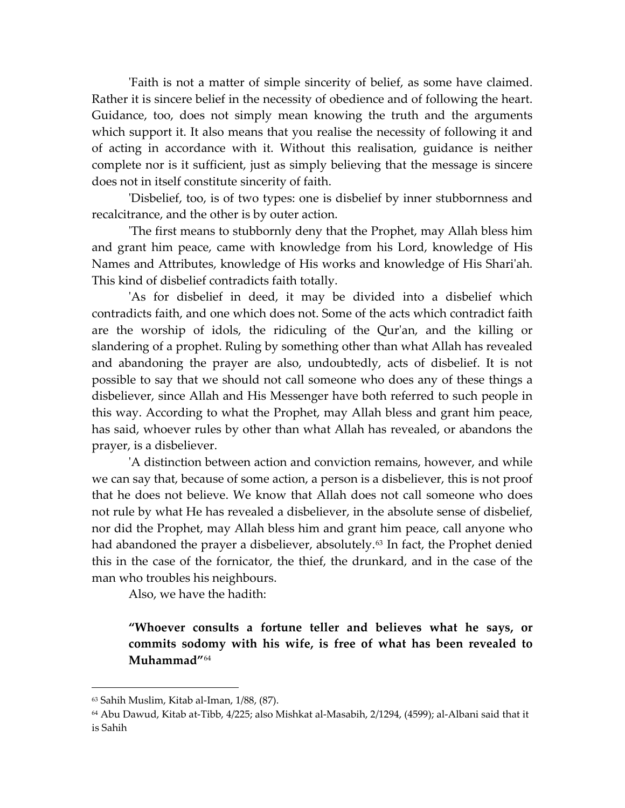ʹFaith is not a matter of simple sincerity of belief, as some have claimed. Rather it is sincere belief in the necessity of obedience and of following the heart. Guidance, too, does not simply mean knowing the truth and the arguments which support it. It also means that you realise the necessity of following it and of acting in accordance with it. Without this realisation, guidance is neither complete nor is it sufficient, just as simply believing that the message is sincere does not in itself constitute sincerity of faith.

ʹDisbelief, too, is of two types: one is disbelief by inner stubbornness and recalcitrance, and the other is by outer action.

ʹThe first means to stubbornly deny that the Prophet, may Allah bless him and grant him peace, came with knowledge from his Lord, knowledge of His Names and Attributes, knowledge of His works and knowledge of His Shariʹah. This kind of disbelief contradicts faith totally.

ʹAs for disbelief in deed, it may be divided into a disbelief which contradicts faith, and one which does not. Some of the acts which contradict faith are the worship of idols, the ridiculing of the Qurʹan, and the killing or slandering of a prophet. Ruling by something other than what Allah has revealed and abandoning the prayer are also, undoubtedly, acts of disbelief. It is not possible to say that we should not call someone who does any of these things a disbeliever, since Allah and His Messenger have both referred to such people in this way. According to what the Prophet, may Allah bless and grant him peace, has said, whoever rules by other than what Allah has revealed, or abandons the prayer, is a disbeliever.

'A distinction between action and conviction remains, however, and while we can say that, because of some action, a person is a disbeliever, this is not proof that he does not believe. We know that Allah does not call someone who does not rule by what He has revealed a disbeliever, in the absolute sense of disbelief, nor did the Prophet, may Allah bless him and grant him peace, call anyone who had abandoned the prayer a disbeliever, absolutely.<sup>[63](#page-47-0)</sup> In fact, the Prophet denied this in the case of the fornicator, the thief, the drunkard, and in the case of the man who troubles his neighbours.

Also, we have the hadith:

**"Whoever consults a fortune teller and believes what he says, or commits sodomy with his wife, is free of what has been revealed to Muhammad"**[64](#page-47-1)

<span id="page-47-0"></span><sup>63</sup> Sahih Muslim, Kitab al‐Iman, 1/88, (87).

<span id="page-47-1"></span><sup>64</sup> Abu Dawud, Kitab at‐Tibb, 4/225; also Mishkat al‐Masabih, 2/1294, (4599); al‐Albani said that it is Sahih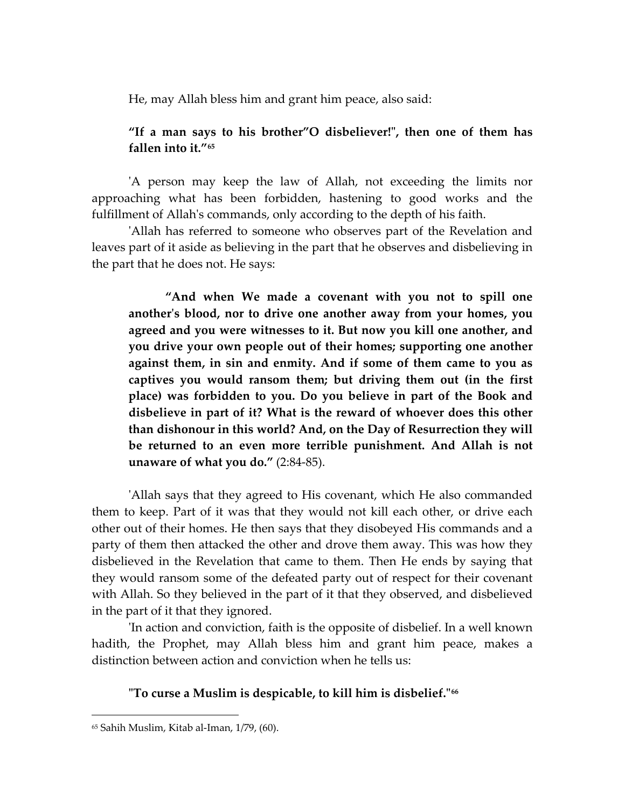He, may Allah bless him and grant him peace, also said:

### **"If a man says to his brother"O disbeliever!ʺ, then one of them has fallen into it."[65](#page-48-0)**

ʹA person may keep the law of Allah, not exceeding the limits nor approaching what has been forbidden, hastening to good works and the fulfillment of Allah's commands, only according to the depth of his faith.

'Allah has referred to someone who observes part of the Revelation and leaves part of it aside as believing in the part that he observes and disbelieving in the part that he does not. He says:

**"And when We made a covenant with you not to spill one anotherʹs blood, nor to drive one another away from your homes, you agreed and you were witnesses to it. But now you kill one another, and you drive your own people out of their homes; supporting one another against them, in sin and enmity. And if some of them came to you as captives you would ransom them; but driving them out (in the first place) was forbidden to you. Do you believe in part of the Book and disbelieve in part of it? What is the reward of whoever does this other than dishonour in this world? And, on the Day of Resurrection they will be returned to an even more terrible punishment. And Allah is not unaware of what you do."** (2:84‐85).

ʹAllah says that they agreed to His covenant, which He also commanded them to keep. Part of it was that they would not kill each other, or drive each other out of their homes. He then says that they disobeyed His commands and a party of them then attacked the other and drove them away. This was how they disbelieved in the Revelation that came to them. Then He ends by saying that they would ransom some of the defeated party out of respect for their covenant with Allah. So they believed in the part of it that they observed, and disbelieved in the part of it that they ignored.

ʹIn action and conviction, faith is the opposite of disbelief. In a well known hadith, the Prophet, may Allah bless him and grant him peace, makes a distinction between action and conviction when he tells us:

#### **ʺTo curse a Muslim is despicable, to kill him is disbelief.ʺ[66](#page-48-1)**

<span id="page-48-1"></span><span id="page-48-0"></span><sup>65</sup> Sahih Muslim, Kitab al‐Iman, 1/79, (60).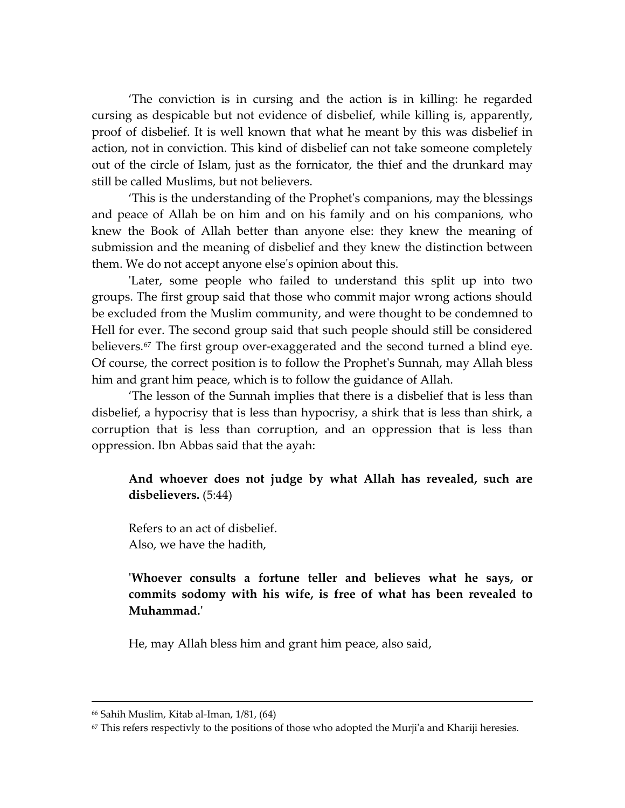'The conviction is in cursing and the action is in killing: he regarded cursing as despicable but not evidence of disbelief, while killing is, apparently, proof of disbelief. It is well known that what he meant by this was disbelief in action, not in conviction. This kind of disbelief can not take someone completely out of the circle of Islam, just as the fornicator, the thief and the drunkard may still be called Muslims, but not believers.

'This is the understanding of the Prophetʹs companions, may the blessings and peace of Allah be on him and on his family and on his companions, who knew the Book of Allah better than anyone else: they knew the meaning of submission and the meaning of disbelief and they knew the distinction between them. We do not accept anyone elseʹs opinion about this.

'Later, some people who failed to understand this split up into two groups. The first group said that those who commit major wrong actions should be excluded from the Muslim community, and were thought to be condemned to Hell for ever. The second group said that such people should still be considered believers.<sup>[67](#page-49-0)</sup> The first group over-exaggerated and the second turned a blind eye. Of course, the correct position is to follow the Prophetʹs Sunnah, may Allah bless him and grant him peace, which is to follow the guidance of Allah.

'The lesson of the Sunnah implies that there is a disbelief that is less than disbelief, a hypocrisy that is less than hypocrisy, a shirk that is less than shirk, a corruption that is less than corruption, and an oppression that is less than oppression. Ibn Abbas said that the ayah:

### **And whoever does not judge by what Allah has revealed, such are disbelievers.** (5:44)

Refers to an act of disbelief. Also, we have the hadith,

**ʹWhoever consults a fortune teller and believes what he says, or commits sodomy with his wife, is free of what has been revealed to Muhammad.ʹ**

He, may Allah bless him and grant him peace, also said,

<sup>66</sup> Sahih Muslim, Kitab al‐Iman, 1/81, (64)

<span id="page-49-0"></span> $67$  This refers respectivly to the positions of those who adopted the Murji'a and Khariji heresies.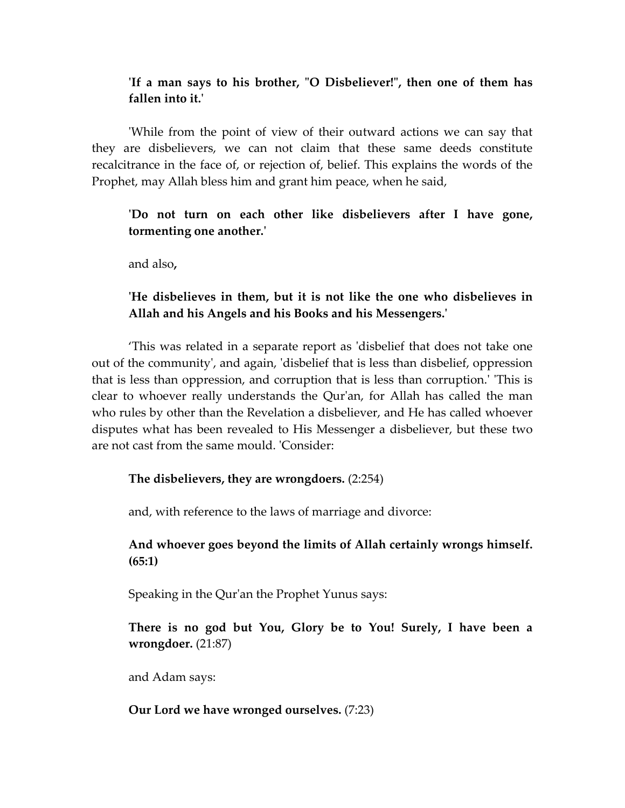## **ʹIf a man says to his brother, ʺO Disbeliever!ʺ, then one of them has fallen into it.ʹ**

ʹWhile from the point of view of their outward actions we can say that they are disbelievers, we can not claim that these same deeds constitute recalcitrance in the face of, or rejection of, belief. This explains the words of the Prophet, may Allah bless him and grant him peace, when he said,

## **ʹDo not turn on each other like disbelievers after I have gone, tormenting one another.ʹ**

and also**,** 

# **ʹHe disbelieves in them, but it is not like the one who disbelieves in Allah and his Angels and his Books and his Messengers.ʹ**

'This was related in a separate report as ʹdisbelief that does not take one out of the communityʹ, and again, ʹdisbelief that is less than disbelief, oppression that is less than oppression, and corruption that is less than corruption.ʹ ʹThis is clear to whoever really understands the Qurʹan, for Allah has called the man who rules by other than the Revelation a disbeliever, and He has called whoever disputes what has been revealed to His Messenger a disbeliever, but these two are not cast from the same mould. 'Consider:

## **The disbelievers, they are wrongdoers.** (2:254)

and, with reference to the laws of marriage and divorce:

# **And whoever goes beyond the limits of Allah certainly wrongs himself. (65:1)**

Speaking in the Qur'an the Prophet Yunus says:

**There is no god but You, Glory be to You! Surely, I have been a wrongdoer.** (21:87)

and Adam says:

## **Our Lord we have wronged ourselves.** (7:23)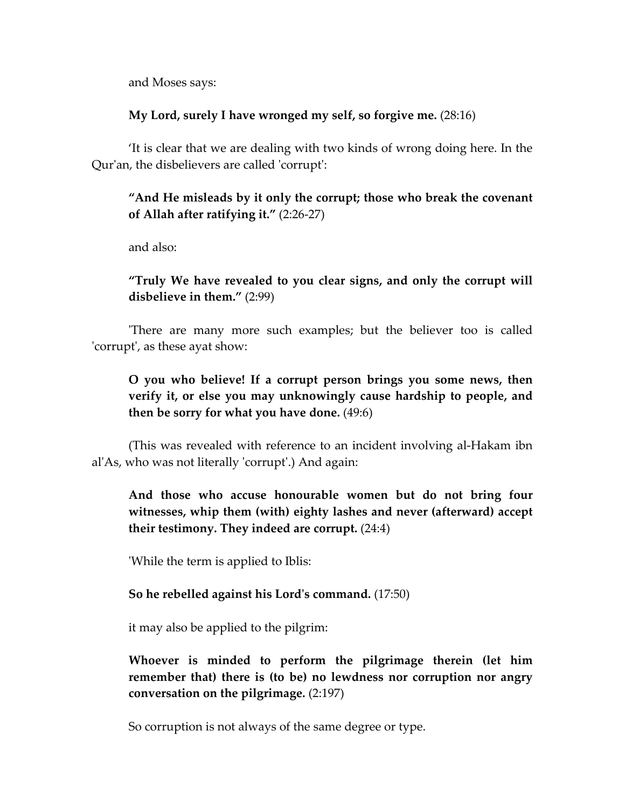and Moses says:

**My Lord, surely I have wronged my self, so forgive me.** (28:16)

'It is clear that we are dealing with two kinds of wrong doing here. In the Qur'an, the disbelievers are called 'corrupt':

**"And He misleads by it only the corrupt; those who break the covenant of Allah after ratifying it."** (2:26‐27)

and also:

**"Truly We have revealed to you clear signs, and only the corrupt will disbelieve in them."** (2:99)

ʹThere are many more such examples; but the believer too is called ʹcorruptʹ, as these ayat show:

**O you who believe! If a corrupt person brings you some news, then verify it, or else you may unknowingly cause hardship to people, and then be sorry for what you have done.** (49:6)

(This was revealed with reference to an incident involving al‐Hakam ibn al'As, who was not literally 'corrupt'.) And again:

**And those who accuse honourable women but do not bring four witnesses, whip them (with) eighty lashes and never (afterward) accept their testimony. They indeed are corrupt.** (24:4)

ʹWhile the term is applied to Iblis:

#### **So he rebelled against his Lordʹs command.** (17:50)

it may also be applied to the pilgrim:

**Whoever is minded to perform the pilgrimage therein (let him remember that) there is (to be) no lewdness nor corruption nor angry conversation on the pilgrimage.** (2:197)

So corruption is not always of the same degree or type.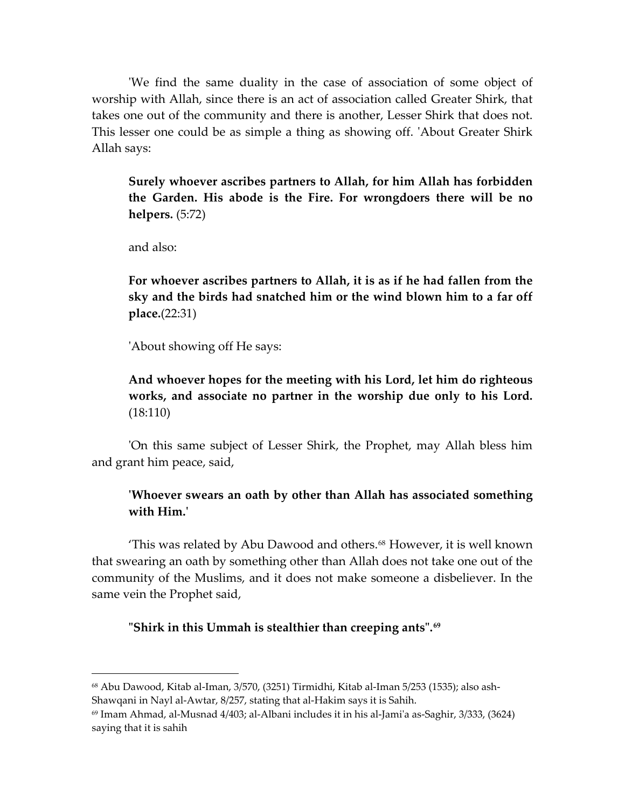ʹWe find the same duality in the case of association of some object of worship with Allah, since there is an act of association called Greater Shirk, that takes one out of the community and there is another, Lesser Shirk that does not. This lesser one could be as simple a thing as showing off. ʹAbout Greater Shirk Allah says:

**Surely whoever ascribes partners to Allah, for him Allah has forbidden the Garden. His abode is the Fire. For wrongdoers there will be no helpers.** (5:72)

and also:

 $\overline{a}$ 

**For whoever ascribes partners to Allah, it is as if he had fallen from the sky and the birds had snatched him or the wind blown him to a far off place.**(22:31)

ʹAbout showing off He says:

**And whoever hopes for the meeting with his Lord, let him do righteous works, and associate no partner in the worship due only to his Lord.** (18:110)

ʹOn this same subject of Lesser Shirk, the Prophet, may Allah bless him and grant him peace, said,

### **ʹWhoever swears an oath by other than Allah has associated something with Him.ʹ**

'This was related by Abu Dawood and others.<sup>[68](#page-52-0)</sup> However, it is well known that swearing an oath by something other than Allah does not take one out of the community of the Muslims, and it does not make someone a disbeliever. In the same vein the Prophet said,

#### **ʺShirk in this Ummah is stealthier than creeping antsʺ.[69](#page-52-1)**

<span id="page-52-0"></span><sup>68</sup> Abu Dawood, Kitab al‐Iman, 3/570, (3251) Tirmidhi, Kitab al‐Iman 5/253 (1535); also ash‐ Shawqani in Nayl al‐Awtar, 8/257, stating that al‐Hakim says it is Sahih.

<span id="page-52-1"></span><sup>69</sup> Imam Ahmad, al‐Musnad 4/403; al‐Albani includes it in his al‐Jamiʹa as‐Saghir, 3/333, (3624) saying that it is sahih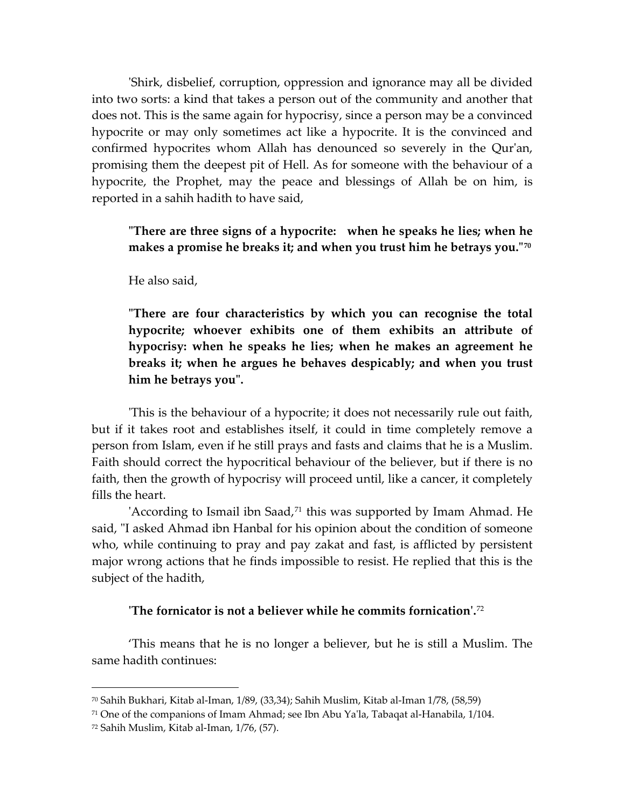ʹShirk, disbelief, corruption, oppression and ignorance may all be divided into two sorts: a kind that takes a person out of the community and another that does not. This is the same again for hypocrisy, since a person may be a convinced hypocrite or may only sometimes act like a hypocrite. It is the convinced and confirmed hypocrites whom Allah has denounced so severely in the Qur'an, promising them the deepest pit of Hell. As for someone with the behaviour of a hypocrite, the Prophet, may the peace and blessings of Allah be on him, is reported in a sahih hadith to have said,

**ʺThere are three signs of a hypocrite: when he speaks he lies; when he makes a promise he breaks it; and when you trust him he betrays you.ʺ[70](#page-53-0)**

He also said,

**ʺThere are four characteristics by which you can recognise the total hypocrite; whoever exhibits one of them exhibits an attribute of hypocrisy: when he speaks he lies; when he makes an agreement he breaks it; when he argues he behaves despicably; and when you trust him he betrays youʺ.**

ʹThis is the behaviour of a hypocrite; it does not necessarily rule out faith, but if it takes root and establishes itself, it could in time completely remove a person from Islam, even if he still prays and fasts and claims that he is a Muslim. Faith should correct the hypocritical behaviour of the believer, but if there is no faith, then the growth of hypocrisy will proceed until, like a cancer, it completely fills the heart.

'According to Ismail ibn Saad, $71$  this was supported by Imam Ahmad. He said, "I asked Ahmad ibn Hanbal for his opinion about the condition of someone who, while continuing to pray and pay zakat and fast, is afflicted by persistent major wrong actions that he finds impossible to resist. He replied that this is the subject of the hadith,

#### **ʹThe fornicator is not a believer while he commits fornicationʹ.** [72](#page-53-2)

'This means that he is no longer a believer, but he is still a Muslim. The same hadith continues:

<span id="page-53-0"></span> $70$  Sahih Bukhari, Kitab al-Iman, 1/89, (33,34); Sahih Muslim, Kitab al-Iman 1/78, (58,59)

<span id="page-53-1"></span> $71$  One of the companions of Imam Ahmad; see Ibn Abu Ya'la, Tabaqat al-Hanabila,  $1/104$ .

<span id="page-53-2"></span><sup>72</sup> Sahih Muslim, Kitab al‐Iman, 1/76, (57).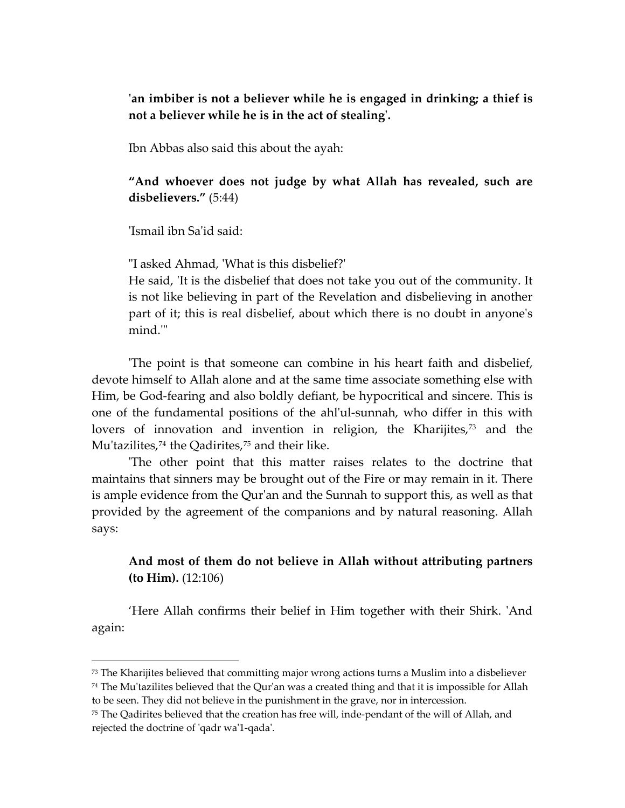**ʹan imbiber is not a believer while he is engaged in drinking; a thief is not a believer while he is in the act of stealingʹ.**

Ibn Abbas also said this about the ayah:

**"And whoever does not judge by what Allah has revealed, such are disbelievers."** (5:44)

ʹIsmail ibn Saʹid said:

 $\overline{a}$ 

ʺI asked Ahmad, ʹWhat is this disbelief?ʹ

He said, 'It is the disbelief that does not take you out of the community. It is not like believing in part of the Revelation and disbelieving in another part of it; this is real disbelief, about which there is no doubt in anyoneʹs mind."

ʹThe point is that someone can combine in his heart faith and disbelief, devote himself to Allah alone and at the same time associate something else with Him, be God‐fearing and also boldly defiant, be hypocritical and sincere. This is one of the fundamental positions of the ahlʹul‐sunnah, who differ in this with lovers of innovation and invention in religion, the Kharijites,<sup>73</sup> and the Mu'tazilites, $74$  the Qadirites, $75$  and their like.

ʹThe other point that this matter raises relates to the doctrine that maintains that sinners may be brought out of the Fire or may remain in it. There is ample evidence from the Qurʹan and the Sunnah to support this, as well as that provided by the agreement of the companions and by natural reasoning. Allah says:

### **And most of them do not believe in Allah without attributing partners (to Him).** (12:106)

'Here Allah confirms their belief in Him together with their Shirk. 'And again:

<span id="page-54-0"></span> $73$  The Kharijites believed that committing major wrong actions turns a Muslim into a disbeliever

<span id="page-54-1"></span> $74$  The Mu'tazilites believed that the Qur'an was a created thing and that it is impossible for Allah to be seen. They did not believe in the punishment in the grave, nor in intercession.

<span id="page-54-2"></span> $75$  The Qadirites believed that the creation has free will, inde-pendant of the will of Allah, and rejected the doctrine of 'qadr wa'1-qada'.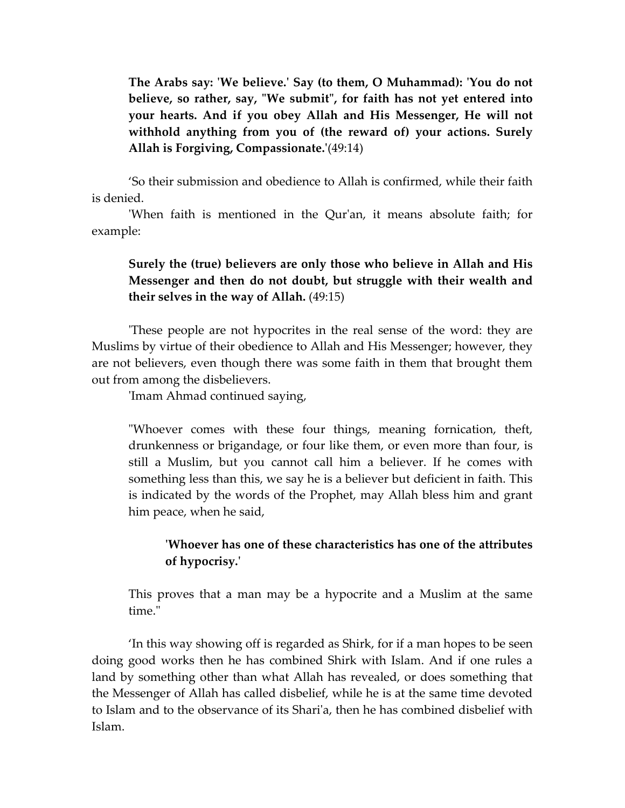**The Arabs say: ʹWe believe.ʹ Say (to them, O Muhammad): ʹYou do not believe, so rather, say, ʺWe submitʺ, for faith has not yet entered into your hearts. And if you obey Allah and His Messenger, He will not withhold anything from you of (the reward of) your actions. Surely Allah is Forgiving, Compassionate.ʹ**(49:14)

'So their submission and obedience to Allah is confirmed, while their faith is denied.

ʹWhen faith is mentioned in the Qurʹan, it means absolute faith; for example:

# **Surely the (true) believers are only those who believe in Allah and His Messenger and then do not doubt, but struggle with their wealth and their selves in the way of Allah.** (49:15)

ʹThese people are not hypocrites in the real sense of the word: they are Muslims by virtue of their obedience to Allah and His Messenger; however, they are not believers, even though there was some faith in them that brought them out from among the disbelievers.

ʹImam Ahmad continued saying,

ʺWhoever comes with these four things, meaning fornication, theft, drunkenness or brigandage, or four like them, or even more than four, is still a Muslim, but you cannot call him a believer. If he comes with something less than this, we say he is a believer but deficient in faith. This is indicated by the words of the Prophet, may Allah bless him and grant him peace, when he said,

# **ʹWhoever has one of these characteristics has one of the attributes of hypocrisy.ʹ**

This proves that a man may be a hypocrite and a Muslim at the same time."

'In this way showing off is regarded as Shirk, for if a man hopes to be seen doing good works then he has combined Shirk with Islam. And if one rules a land by something other than what Allah has revealed, or does something that the Messenger of Allah has called disbelief, while he is at the same time devoted to Islam and to the observance of its Shariʹa, then he has combined disbelief with Islam.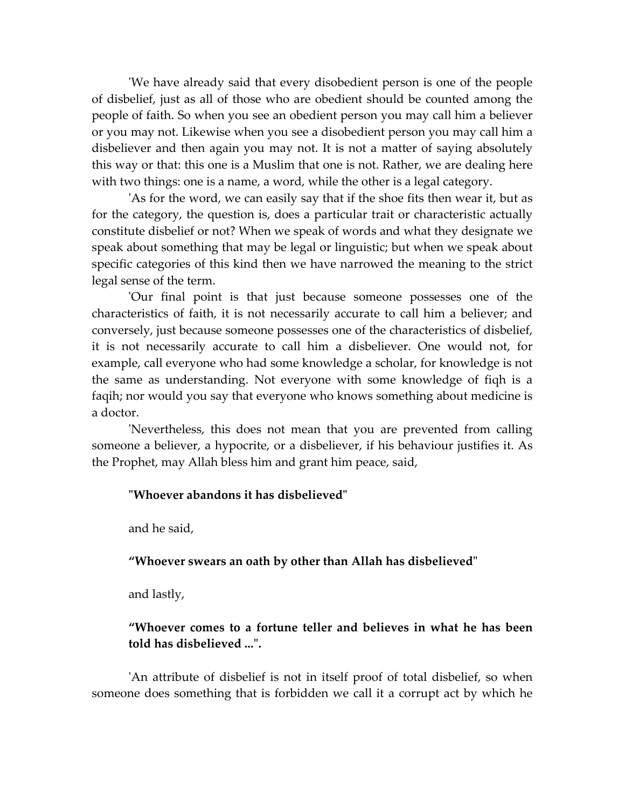ʹWe have already said that every disobedient person is one of the people of disbelief, just as all of those who are obedient should be counted among the people of faith. So when you see an obedient person you may call him a believer or you may not. Likewise when you see a disobedient person you may call him a disbeliever and then again you may not. It is not a matter of saying absolutely this way or that: this one is a Muslim that one is not. Rather, we are dealing here with two things: one is a name, a word, while the other is a legal category.

'As for the word, we can easily say that if the shoe fits then wear it, but as for the category, the question is, does a particular trait or characteristic actually constitute disbelief or not? When we speak of words and what they designate we speak about something that may be legal or linguistic; but when we speak about specific categories of this kind then we have narrowed the meaning to the strict legal sense of the term.

ʹOur final point is that just because someone possesses one of the characteristics of faith, it is not necessarily accurate to call him a believer; and conversely, just because someone possesses one of the characteristics of disbelief, it is not necessarily accurate to call him a disbeliever. One would not, for example, call everyone who had some knowledge a scholar, for knowledge is not the same as understanding. Not everyone with some knowledge of fiqh is a faqih; nor would you say that everyone who knows something about medicine is a doctor.

'Nevertheless, this does not mean that you are prevented from calling someone a believer, a hypocrite, or a disbeliever, if his behaviour justifies it. As the Prophet, may Allah bless him and grant him peace, said,

#### **ʺWhoever abandons it has disbelievedʺ**

and he said,

#### **"Whoever swears an oath by other than Allah has disbelievedʺ**

and lastly,

### **"Whoever comes to a fortune teller and believes in what he has been told has disbelieved ...ʺ.**

ʹAn attribute of disbelief is not in itself proof of total disbelief, so when someone does something that is forbidden we call it a corrupt act by which he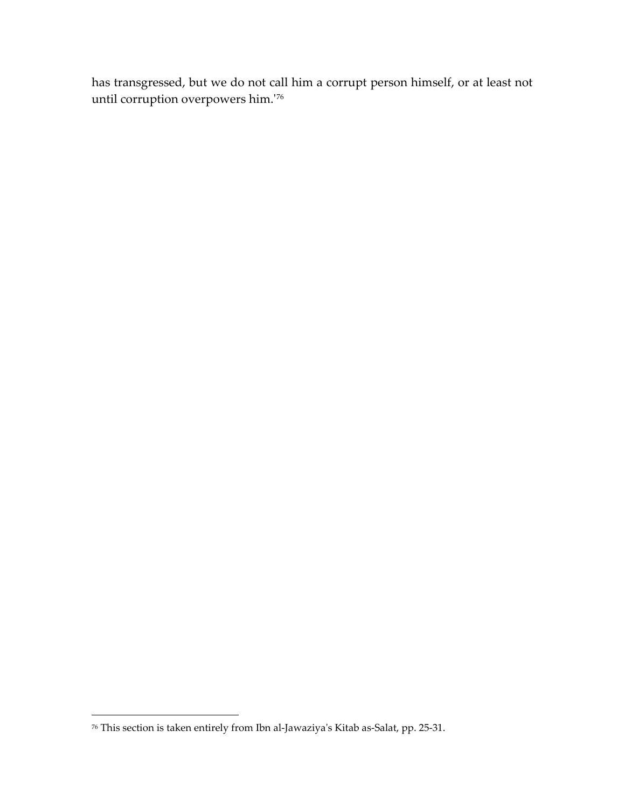has transgressed, but we do not call him a corrupt person himself, or at least not until corruption overpowers him.ʹ [76](#page-57-0)

<span id="page-57-0"></span> $^{76}$  This section is taken entirely from Ibn al-Jawaziya's Kitab as-Salat, pp. 25-31.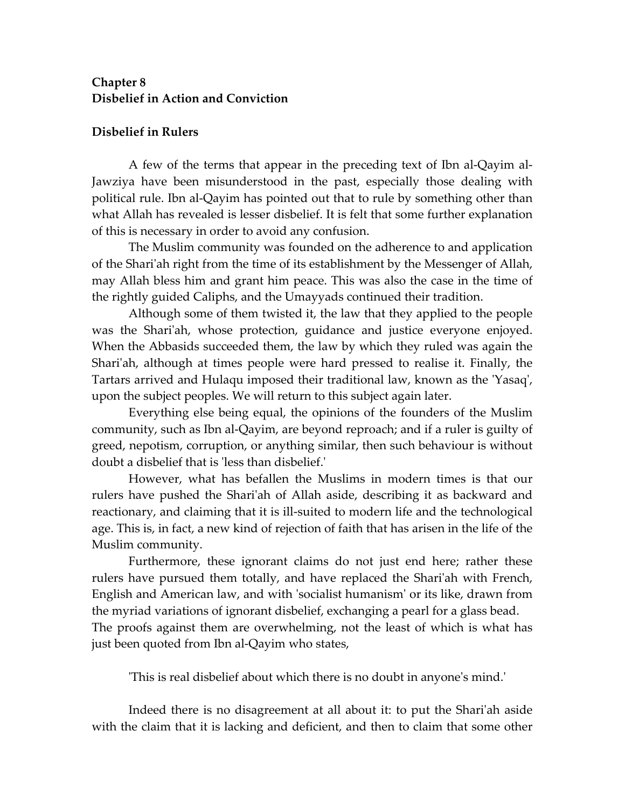## **Chapter 8 Disbelief in Action and Conviction**

### **Disbelief in Rulers**

A few of the terms that appear in the preceding text of Ibn al‐Qayim al‐ Jawziya have been misunderstood in the past, especially those dealing with political rule. Ibn al‐Qayim has pointed out that to rule by something other than what Allah has revealed is lesser disbelief. It is felt that some further explanation of this is necessary in order to avoid any confusion.

The Muslim community was founded on the adherence to and application of the Shariʹah right from the time of its establishment by the Messenger of Allah, may Allah bless him and grant him peace. This was also the case in the time of the rightly guided Caliphs, and the Umayyads continued their tradition.

Although some of them twisted it, the law that they applied to the people was the Shari'ah, whose protection, guidance and justice everyone enjoyed. When the Abbasids succeeded them, the law by which they ruled was again the Shariʹah, although at times people were hard pressed to realise it. Finally, the Tartars arrived and Hulaqu imposed their traditional law, known as the ʹYasaqʹ, upon the subject peoples. We will return to this subject again later.

Everything else being equal, the opinions of the founders of the Muslim community, such as Ibn al‐Qayim, are beyond reproach; and if a ruler is guilty of greed, nepotism, corruption, or anything similar, then such behaviour is without doubt a disbelief that is 'less than disbelief.'

However, what has befallen the Muslims in modern times is that our rulers have pushed the Shariʹah of Allah aside, describing it as backward and reactionary, and claiming that it is ill-suited to modern life and the technological age. This is, in fact, a new kind of rejection of faith that has arisen in the life of the Muslim community.

Furthermore, these ignorant claims do not just end here; rather these rulers have pursued them totally, and have replaced the Shari'ah with French, English and American law, and with ʹsocialist humanismʹ or its like, drawn from the myriad variations of ignorant disbelief, exchanging a pearl for a glass bead. The proofs against them are overwhelming, not the least of which is what has just been quoted from Ibn al‐Qayim who states,

ʹThis is real disbelief about which there is no doubt in anyoneʹs mind.ʹ

Indeed there is no disagreement at all about it: to put the Shariʹah aside with the claim that it is lacking and deficient, and then to claim that some other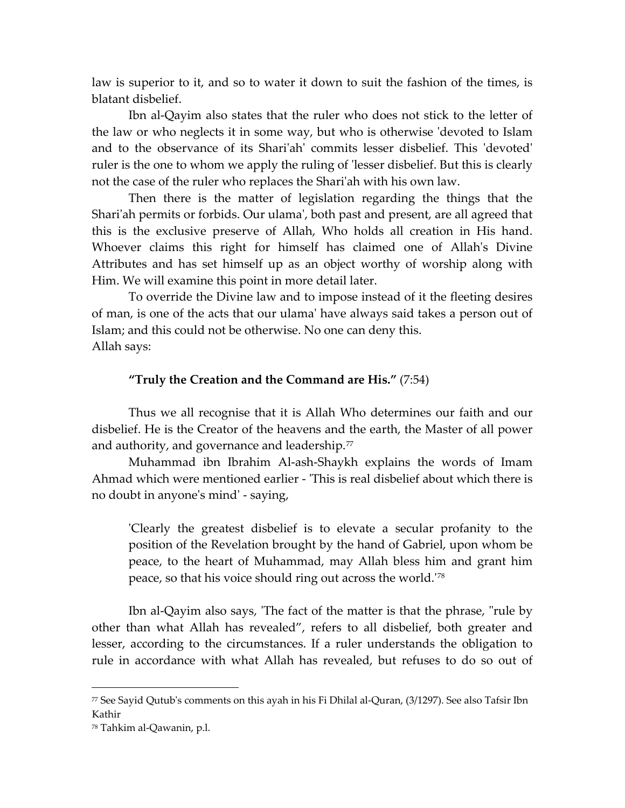law is superior to it, and so to water it down to suit the fashion of the times, is blatant disbelief.

Ibn al‐Qayim also states that the ruler who does not stick to the letter of the law or who neglects it in some way, but who is otherwise ʹdevoted to Islam and to the observance of its Shari'ah' commits lesser disbelief. This 'devoted' ruler is the one to whom we apply the ruling of 'lesser disbelief. But this is clearly not the case of the ruler who replaces the Shariʹah with his own law.

Then there is the matter of legislation regarding the things that the Shari'ah permits or forbids. Our ulama', both past and present, are all agreed that this is the exclusive preserve of Allah, Who holds all creation in His hand. Whoever claims this right for himself has claimed one of Allahʹs Divine Attributes and has set himself up as an object worthy of worship along with Him. We will examine this point in more detail later.

To override the Divine law and to impose instead of it the fleeting desires of man, is one of the acts that our ulamaʹ have always said takes a person out of Islam; and this could not be otherwise. No one can deny this. Allah says:

#### **"Truly the Creation and the Command are His."** (7:54)

Thus we all recognise that it is Allah Who determines our faith and our disbelief. He is the Creator of the heavens and the earth, the Master of all power and authority, and governance and leadership.<sup>[77](#page-59-0)</sup>

Muhammad ibn Ibrahim Al‐ash‐Shaykh explains the words of Imam Ahmad which were mentioned earlier - 'This is real disbelief about which there is no doubt in anyoneʹs mindʹ ‐ saying,

ʹClearly the greatest disbelief is to elevate a secular profanity to the position of the Revelation brought by the hand of Gabriel, upon whom be peace, to the heart of Muhammad, may Allah bless him and grant him peace, so that his voice should ring out across the world.'<sup>[78](#page-59-1)</sup>

Ibn al-Qayim also says, 'The fact of the matter is that the phrase, "rule by other than what Allah has revealed", refers to all disbelief, both greater and lesser, according to the circumstances. If a ruler understands the obligation to rule in accordance with what Allah has revealed, but refuses to do so out of

<span id="page-59-0"></span><sup>77</sup> See Sayid Qutub's comments on this ayah in his Fi Dhilal al-Quran, (3/1297). See also Tafsir Ibn Kathir

<span id="page-59-1"></span><sup>78</sup> Tahkim al‐Qawanin, p.l.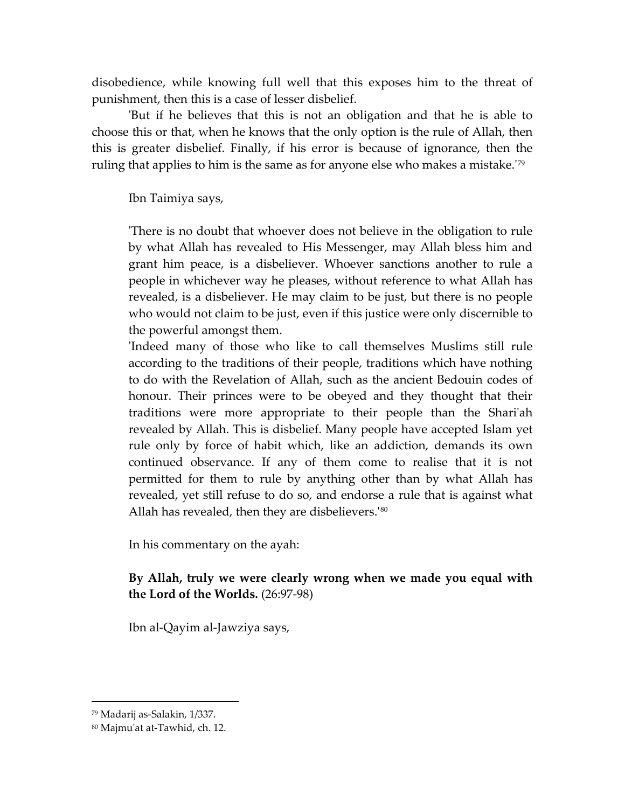disobedience, while knowing full well that this exposes him to the threat of punishment, then this is a case of lesser disbelief.

ʹBut if he believes that this is not an obligation and that he is able to choose this or that, when he knows that the only option is the rule of Allah, then this is greater disbelief. Finally, if his error is because of ignorance, then the ruling that applies to him is the same as for anyone else who makes a mistake.ʹ [79](#page-60-0)

Ibn Taimiya says,

ʹThere is no doubt that whoever does not believe in the obligation to rule by what Allah has revealed to His Messenger, may Allah bless him and grant him peace, is a disbeliever. Whoever sanctions another to rule a people in whichever way he pleases, without reference to what Allah has revealed, is a disbeliever. He may claim to be just, but there is no people who would not claim to be just, even if this justice were only discernible to the powerful amongst them.

ʹIndeed many of those who like to call themselves Muslims still rule according to the traditions of their people, traditions which have nothing to do with the Revelation of Allah, such as the ancient Bedouin codes of honour. Their princes were to be obeyed and they thought that their traditions were more appropriate to their people than the Shariʹah revealed by Allah. This is disbelief. Many people have accepted Islam yet rule only by force of habit which, like an addiction, demands its own continued observance. If any of them come to realise that it is not permitted for them to rule by anything other than by what Allah has revealed, yet still refuse to do so, and endorse a rule that is against what Allah has revealed, then they are disbelievers.' $^{\rm 80}$  $^{\rm 80}$  $^{\rm 80}$ 

In his commentary on the ayah:

# **By Allah, truly we were clearly wrong when we made you equal with the Lord of the Worlds.** (26:97‐98)

Ibn al‐Qayim al‐Jawziya says,

<span id="page-60-0"></span><sup>79</sup> Madarij as‐Salakin, 1/337.

<span id="page-60-1"></span><sup>80</sup> Majmuʹat at‐Tawhid, ch. 12.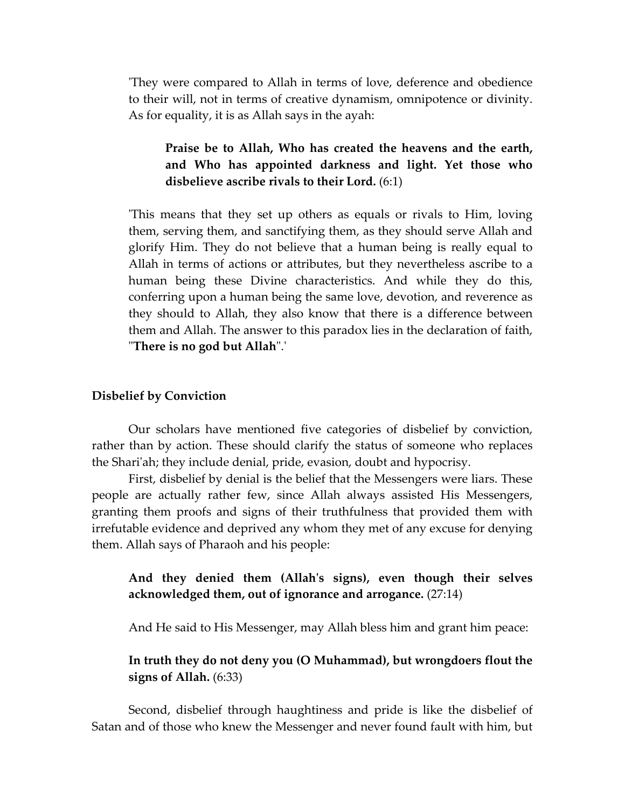ʹThey were compared to Allah in terms of love, deference and obedience to their will, not in terms of creative dynamism, omnipotence or divinity. As for equality, it is as Allah says in the ayah:

## **Praise be to Allah, Who has created the heavens and the earth, and Who has appointed darkness and light. Yet those who disbelieve ascribe rivals to their Lord.** (6:1)

ʹThis means that they set up others as equals or rivals to Him, loving them, serving them, and sanctifying them, as they should serve Allah and glorify Him. They do not believe that a human being is really equal to Allah in terms of actions or attributes, but they nevertheless ascribe to a human being these Divine characteristics. And while they do this, conferring upon a human being the same love, devotion, and reverence as they should to Allah, they also know that there is a difference between them and Allah. The answer to this paradox lies in the declaration of faith, ʺ**There is no god but Allah**ʺ.ʹ

#### **Disbelief by Conviction**

Our scholars have mentioned five categories of disbelief by conviction, rather than by action. These should clarify the status of someone who replaces the Shariʹah; they include denial, pride, evasion, doubt and hypocrisy.

First, disbelief by denial is the belief that the Messengers were liars. These people are actually rather few, since Allah always assisted His Messengers, granting them proofs and signs of their truthfulness that provided them with irrefutable evidence and deprived any whom they met of any excuse for denying them. Allah says of Pharaoh and his people:

## **And they denied them (Allahʹs signs), even though their selves acknowledged them, out of ignorance and arrogance.** (27:14)

And He said to His Messenger, may Allah bless him and grant him peace:

### **In truth they do not deny you (O Muhammad), but wrongdoers flout the signs of Allah.** (6:33)

Second, disbelief through haughtiness and pride is like the disbelief of Satan and of those who knew the Messenger and never found fault with him, but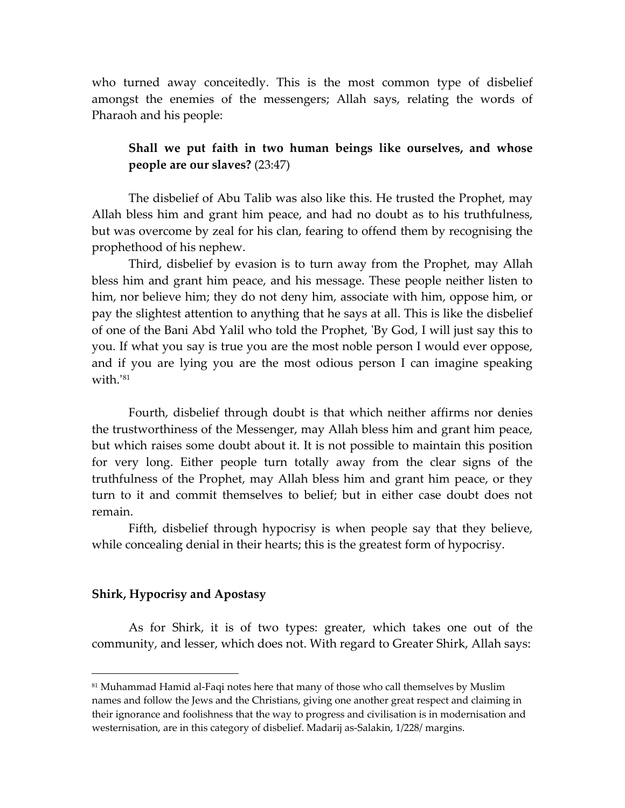who turned away conceitedly. This is the most common type of disbelief amongst the enemies of the messengers; Allah says, relating the words of Pharaoh and his people:

## **Shall we put faith in two human beings like ourselves, and whose people are our slaves?** (23:47)

The disbelief of Abu Talib was also like this. He trusted the Prophet, may Allah bless him and grant him peace, and had no doubt as to his truthfulness, but was overcome by zeal for his clan, fearing to offend them by recognising the prophethood of his nephew.

Third, disbelief by evasion is to turn away from the Prophet, may Allah bless him and grant him peace, and his message. These people neither listen to him, nor believe him; they do not deny him, associate with him, oppose him, or pay the slightest attention to anything that he says at all. This is like the disbelief of one of the Bani Abd Yalil who told the Prophet, ʹBy God, I will just say this to you. If what you say is true you are the most noble person I would ever oppose, and if you are lying you are the most odious person I can imagine speaking with.'<sup>[81](#page-62-0)</sup>

Fourth, disbelief through doubt is that which neither affirms nor denies the trustworthiness of the Messenger, may Allah bless him and grant him peace, but which raises some doubt about it. It is not possible to maintain this position for very long. Either people turn totally away from the clear signs of the truthfulness of the Prophet, may Allah bless him and grant him peace, or they turn to it and commit themselves to belief; but in either case doubt does not remain.

Fifth, disbelief through hypocrisy is when people say that they believe, while concealing denial in their hearts; this is the greatest form of hypocrisy.

#### **Shirk, Hypocrisy and Apostasy**

 $\overline{a}$ 

As for Shirk, it is of two types: greater, which takes one out of the community, and lesser, which does not. With regard to Greater Shirk, Allah says:

<span id="page-62-0"></span> $81$  Muhammad Hamid al-Faqi notes here that many of those who call themselves by Muslim names and follow the Jews and the Christians, giving one another great respect and claiming in their ignorance and foolishness that the way to progress and civilisation is in modernisation and westernisation, are in this category of disbelief. Madarij as‐Salakin, 1/228/ margins.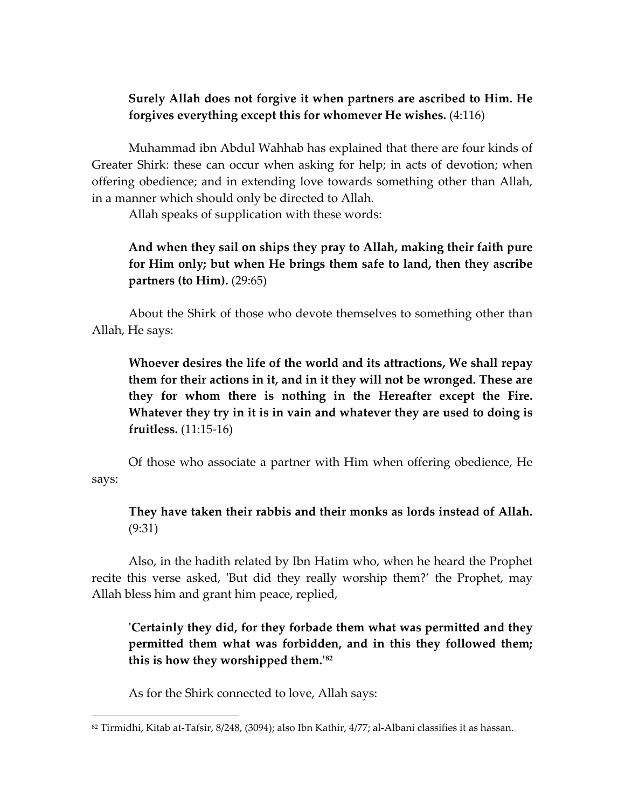## **Surely Allah does not forgive it when partners are ascribed to Him. He forgives everything except this for whomever He wishes.** (4:116)

Muhammad ibn Abdul Wahhab has explained that there are four kinds of Greater Shirk: these can occur when asking for help; in acts of devotion; when offering obedience; and in extending love towards something other than Allah, in a manner which should only be directed to Allah.

Allah speaks of supplication with these words:

# **And when they sail on ships they pray to Allah, making their faith pure for Him only; but when He brings them safe to land, then they ascribe partners (to Him).** (29:65)

About the Shirk of those who devote themselves to something other than Allah, He says:

**Whoever desires the life of the world and its attractions, We shall repay them for their actions in it, and in it they will not be wronged. These are they for whom there is nothing in the Hereafter except the Fire. Whatever they try in it is in vain and whatever they are used to doing is fruitless.** (11:15‐16)

Of those who associate a partner with Him when offering obedience, He says:

## **They have taken their rabbis and their monks as lords instead of Allah.** (9:31)

Also, in the hadith related by Ibn Hatim who, when he heard the Prophet recite this verse asked, 'But did they really worship them?' the Prophet, may Allah bless him and grant him peace, replied,

# **ʹCertainly they did, for they forbade them what was permitted and they permitted them what was forbidden, and in this they followed them; this is how they worshipped them.ʹ [82](#page-63-0)**

As for the Shirk connected to love, Allah says:

<span id="page-63-0"></span> $82$  Tirmidhi, Kitab at-Tafsir, 8/248, (3094); also Ibn Kathir, 4/77; al-Albani classifies it as hassan.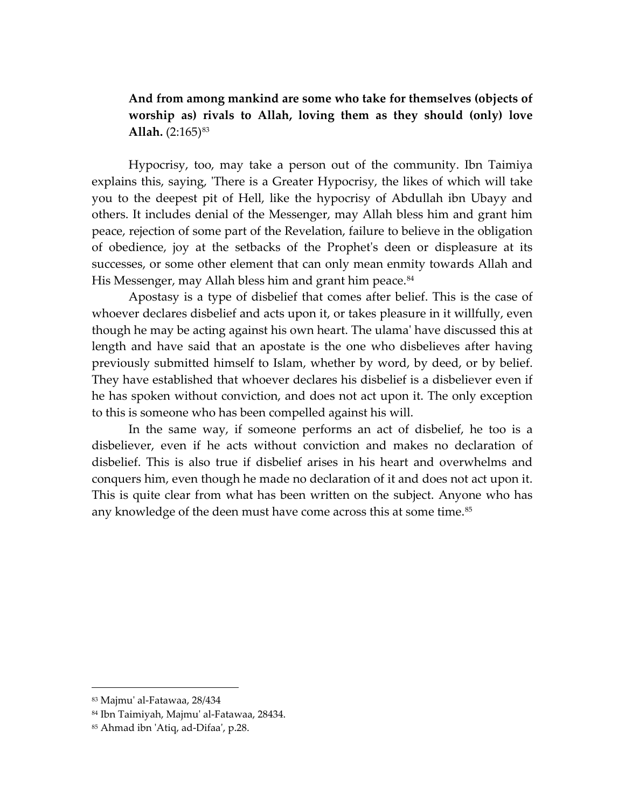# **And from among mankind are some who take for themselves (objects of worship as) rivals to Allah, loving them as they should (only) love Allah.** (2:165)<sup>[83](#page-64-0)</sup>

Hypocrisy, too, may take a person out of the community. Ibn Taimiya explains this, saying, 'There is a Greater Hypocrisy, the likes of which will take you to the deepest pit of Hell, like the hypocrisy of Abdullah ibn Ubayy and others. It includes denial of the Messenger, may Allah bless him and grant him peace, rejection of some part of the Revelation, failure to believe in the obligation of obedience, joy at the setbacks of the Prophetʹs deen or displeasure at its successes, or some other element that can only mean enmity towards Allah and His Messenger, may Allah bless him and grant him peace.<sup>[84](#page-64-1)</sup>

Apostasy is a type of disbelief that comes after belief. This is the case of whoever declares disbelief and acts upon it, or takes pleasure in it willfully, even though he may be acting against his own heart. The ulamaʹ have discussed this at length and have said that an apostate is the one who disbelieves after having previously submitted himself to Islam, whether by word, by deed, or by belief. They have established that whoever declares his disbelief is a disbeliever even if he has spoken without conviction, and does not act upon it. The only exception to this is someone who has been compelled against his will.

In the same way, if someone performs an act of disbelief, he too is a disbeliever, even if he acts without conviction and makes no declaration of disbelief. This is also true if disbelief arises in his heart and overwhelms and conquers him, even though he made no declaration of it and does not act upon it. This is quite clear from what has been written on the subject. Anyone who has any knowledge of the deen must have come across this at some time.<sup>[85](#page-64-2)</sup>

<span id="page-64-1"></span><span id="page-64-0"></span><sup>83</sup> Majmuʹ al‐Fatawaa, 28/434

<sup>84</sup> Ibn Taimiyah, Majmuʹ al‐Fatawaa, 28434.

<span id="page-64-2"></span><sup>85</sup> Ahmad ibn 'Atiq, ad-Difaa', p.28.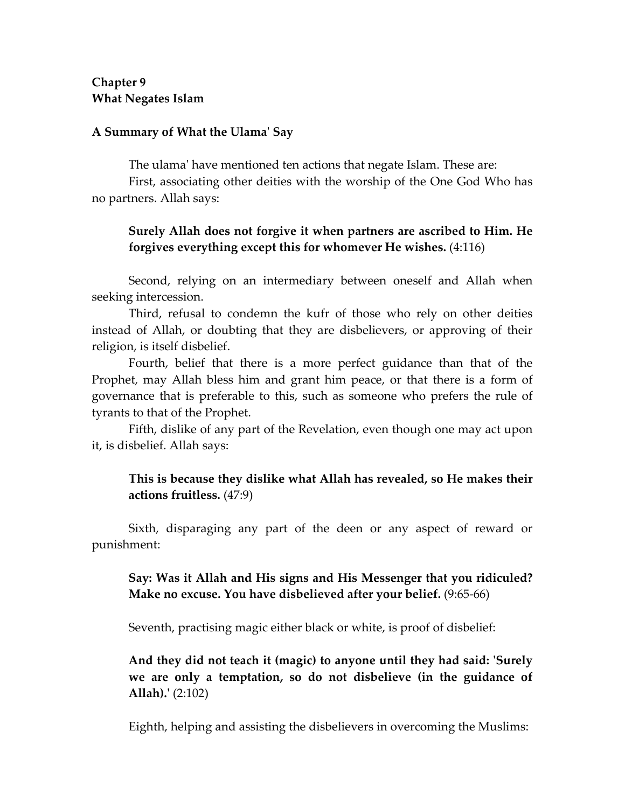**Chapter 9 What Negates Islam**

#### **A Summary of What the Ulamaʹ Say**

The ulama' have mentioned ten actions that negate Islam. These are:

First, associating other deities with the worship of the One God Who has no partners. Allah says:

## **Surely Allah does not forgive it when partners are ascribed to Him. He forgives everything except this for whomever He wishes.** (4:116)

Second, relying on an intermediary between oneself and Allah when seeking intercession.

Third, refusal to condemn the kufr of those who rely on other deities instead of Allah, or doubting that they are disbelievers, or approving of their religion, is itself disbelief.

Fourth, belief that there is a more perfect guidance than that of the Prophet, may Allah bless him and grant him peace, or that there is a form of governance that is preferable to this, such as someone who prefers the rule of tyrants to that of the Prophet.

Fifth, dislike of any part of the Revelation, even though one may act upon it, is disbelief. Allah says:

### **This is because they dislike what Allah has revealed, so He makes their actions fruitless.** (47:9)

Sixth, disparaging any part of the deen or any aspect of reward or punishment:

## **Say: Was it Allah and His signs and His Messenger that you ridiculed? Make no excuse. You have disbelieved after your belief.** (9:65‐66)

Seventh, practising magic either black or white, is proof of disbelief:

**And they did not teach it (magic) to anyone until they had said: ʹSurely we are only a temptation, so do not disbelieve (in the guidance of Allah).ʹ** (2:102)

Eighth, helping and assisting the disbelievers in overcoming the Muslims: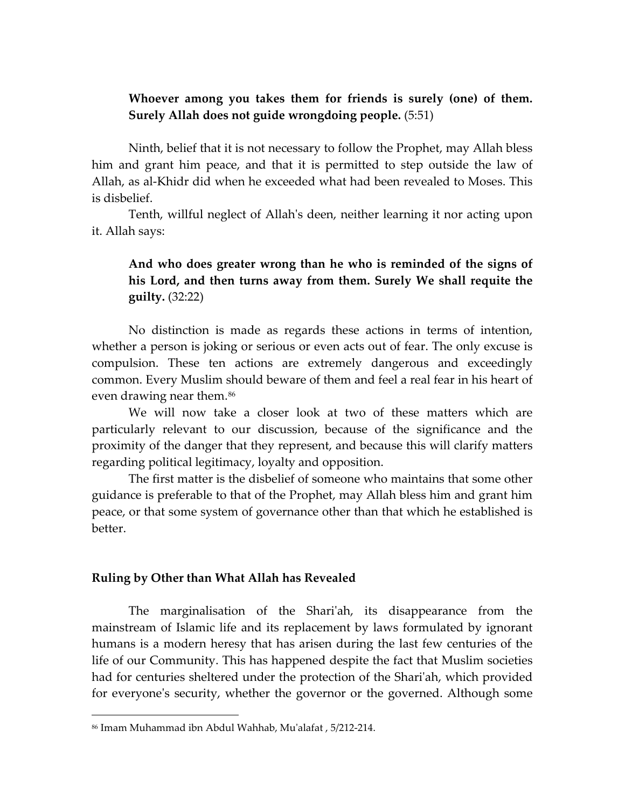### **Whoever among you takes them for friends is surely (one) of them. Surely Allah does not guide wrongdoing people.** (5:51)

Ninth, belief that it is not necessary to follow the Prophet, may Allah bless him and grant him peace, and that it is permitted to step outside the law of Allah, as al‐Khidr did when he exceeded what had been revealed to Moses. This is disbelief.

Tenth, willful neglect of Allahʹs deen, neither learning it nor acting upon it. Allah says:

# **And who does greater wrong than he who is reminded of the signs of his Lord, and then turns away from them. Surely We shall requite the guilty.** (32:22)

No distinction is made as regards these actions in terms of intention, whether a person is joking or serious or even acts out of fear. The only excuse is compulsion. These ten actions are extremely dangerous and exceedingly common. Every Muslim should beware of them and feel a real fear in his heart of even drawing near them.<sup>[86](#page-66-0)</sup>

We will now take a closer look at two of these matters which are particularly relevant to our discussion, because of the significance and the proximity of the danger that they represent, and because this will clarify matters regarding political legitimacy, loyalty and opposition.

The first matter is the disbelief of someone who maintains that some other guidance is preferable to that of the Prophet, may Allah bless him and grant him peace, or that some system of governance other than that which he established is better.

#### **Ruling by Other than What Allah has Revealed**

The marginalisation of the Shari'ah, its disappearance from the mainstream of Islamic life and its replacement by laws formulated by ignorant humans is a modern heresy that has arisen during the last few centuries of the life of our Community. This has happened despite the fact that Muslim societies had for centuries sheltered under the protection of the Shari'ah, which provided for everyoneʹs security, whether the governor or the governed. Although some

<span id="page-66-0"></span><sup>86</sup> Imam Muhammad ibn Abdul Wahhab, Muʹalafat , 5/212‐214.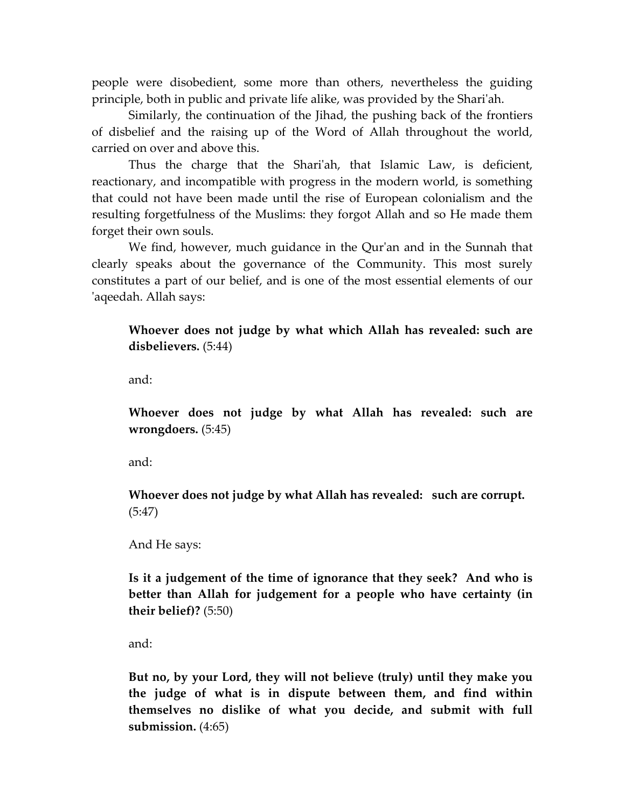people were disobedient, some more than others, nevertheless the guiding principle, both in public and private life alike, was provided by the Shariʹah.

Similarly, the continuation of the Jihad, the pushing back of the frontiers of disbelief and the raising up of the Word of Allah throughout the world, carried on over and above this.

Thus the charge that the Shari'ah, that Islamic Law, is deficient, reactionary, and incompatible with progress in the modern world, is something that could not have been made until the rise of European colonialism and the resulting forgetfulness of the Muslims: they forgot Allah and so He made them forget their own souls.

We find, however, much guidance in the Qur'an and in the Sunnah that clearly speaks about the governance of the Community. This most surely constitutes a part of our belief, and is one of the most essential elements of our ʹaqeedah. Allah says:

**Whoever does not judge by what which Allah has revealed: such are disbelievers.** (5:44)

and:

**Whoever does not judge by what Allah has revealed: such are wrongdoers.** (5:45)

and:

**Whoever does not judge by what Allah has revealed: such are corrupt.** (5:47)

And He says:

**Is it a judgement of the time of ignorance that they seek? And who is better than Allah for judgement for a people who have certainty (in their belief)?** (5:50)

and:

**But no, by your Lord, they will not believe (truly) until they make you the judge of what is in dispute between them, and find within themselves no dislike of what you decide, and submit with full submission.** (4:65)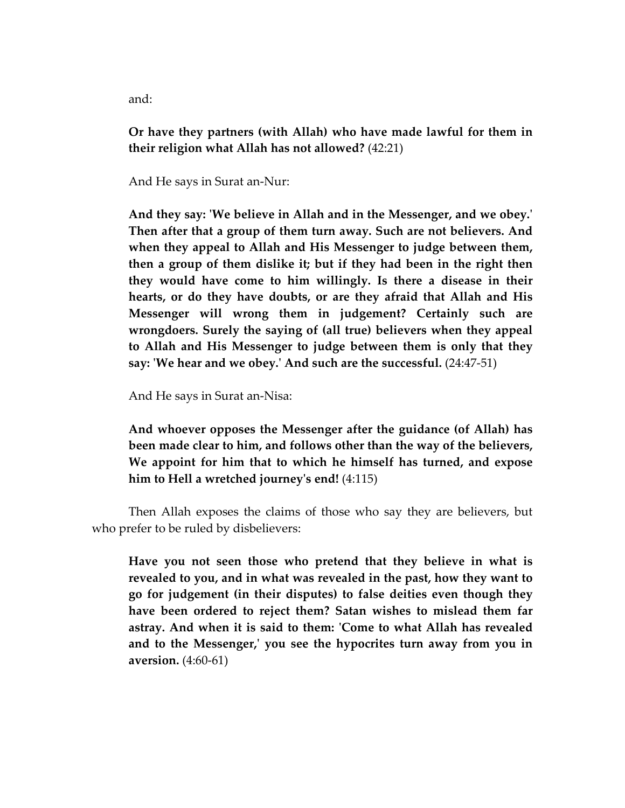**Or have they partners (with Allah) who have made lawful for them in their religion what Allah has not allowed?** (42:21)

And He says in Surat an‐Nur:

**And they say: ʹWe believe in Allah and in the Messenger, and we obey.ʹ Then after that a group of them turn away. Such are not believers. And when they appeal to Allah and His Messenger to judge between them, then a group of them dislike it; but if they had been in the right then they would have come to him willingly. Is there a disease in their hearts, or do they have doubts, or are they afraid that Allah and His Messenger will wrong them in judgement? Certainly such are wrongdoers. Surely the saying of (all true) believers when they appeal to Allah and His Messenger to judge between them is only that they say: ʹWe hear and we obey.ʹ And such are the successful.** (24:47‐51)

And He says in Surat an‐Nisa:

**And whoever opposes the Messenger after the guidance (of Allah) has been made clear to him, and follows other than the way of the believers, We appoint for him that to which he himself has turned, and expose him to Hell a wretched journeyʹs end!** (4:115)

Then Allah exposes the claims of those who say they are believers, but who prefer to be ruled by disbelievers:

**Have you not seen those who pretend that they believe in what is revealed to you, and in what was revealed in the past, how they want to go for judgement (in their disputes) to false deities even though they have been ordered to reject them? Satan wishes to mislead them far astray. And when it is said to them: ʹCome to what Allah has revealed and to the Messenger,ʹ you see the hypocrites turn away from you in aversion.** (4:60‐61)

and: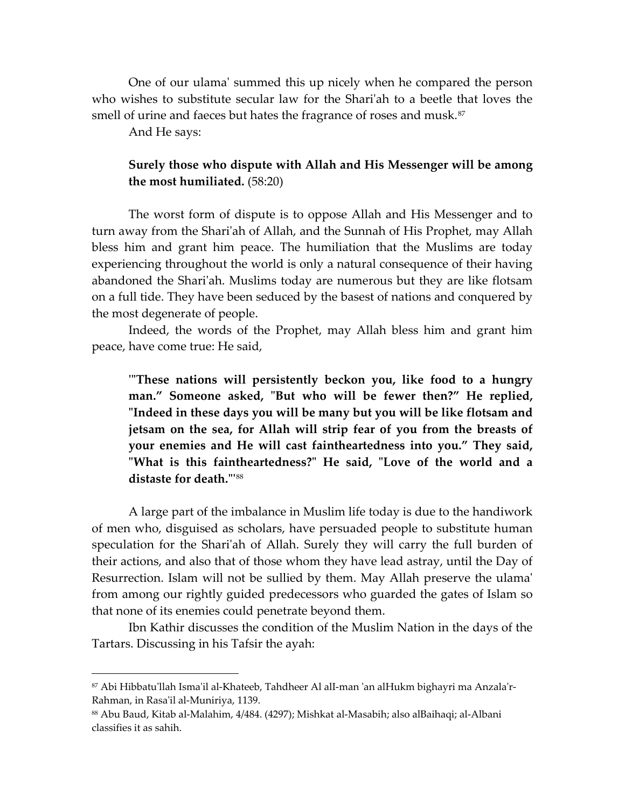One of our ulamaʹ summed this up nicely when he compared the person who wishes to substitute secular law for the Shari'ah to a beetle that loves the smell of urine and faeces but hates the fragrance of roses and musk.<sup>[87](#page-69-0)</sup>

And He says:

 $\overline{a}$ 

### **Surely those who dispute with Allah and His Messenger will be among the most humiliated.** (58:20)

The worst form of dispute is to oppose Allah and His Messenger and to turn away from the Shariʹah of Allah, and the Sunnah of His Prophet, may Allah bless him and grant him peace. The humiliation that the Muslims are today experiencing throughout the world is only a natural consequence of their having abandoned the Shari'ah. Muslims today are numerous but they are like flotsam on a full tide. They have been seduced by the basest of nations and conquered by the most degenerate of people.

Indeed, the words of the Prophet, may Allah bless him and grant him peace, have come true: He said,

**ʹʺThese nations will persistently beckon you, like food to a hungry man." Someone asked, ʺBut who will be fewer then?" He replied, ʺIndeed in these days you will be many but you will be like flotsam and jetsam on the sea, for Allah will strip fear of you from the breasts of your enemies and He will cast faintheartedness into you." They said, ʺWhat is this faintheartedness?ʺ He said, ʺLove of the world and a distaste for death.ʺʹ**[88](#page-69-1)

A large part of the imbalance in Muslim life today is due to the handiwork of men who, disguised as scholars, have persuaded people to substitute human speculation for the Shari'ah of Allah. Surely they will carry the full burden of their actions, and also that of those whom they have lead astray, until the Day of Resurrection. Islam will not be sullied by them. May Allah preserve the ulama' from among our rightly guided predecessors who guarded the gates of Islam so that none of its enemies could penetrate beyond them.

Ibn Kathir discusses the condition of the Muslim Nation in the days of the Tartars. Discussing in his Tafsir the ayah:

<span id="page-69-0"></span><sup>87</sup> Abi Hibbatu'llah Isma'il al-Khateeb, Tahdheer Al alI-man 'an alHukm bighayri ma Anzala'r-Rahman, in Rasaʹil al‐Muniriya, 1139.

<span id="page-69-1"></span><sup>88</sup> Abu Baud, Kitab al‐Malahim, 4/484. (4297); Mishkat al‐Masabih; also alBaihaqi; al‐Albani classifies it as sahih.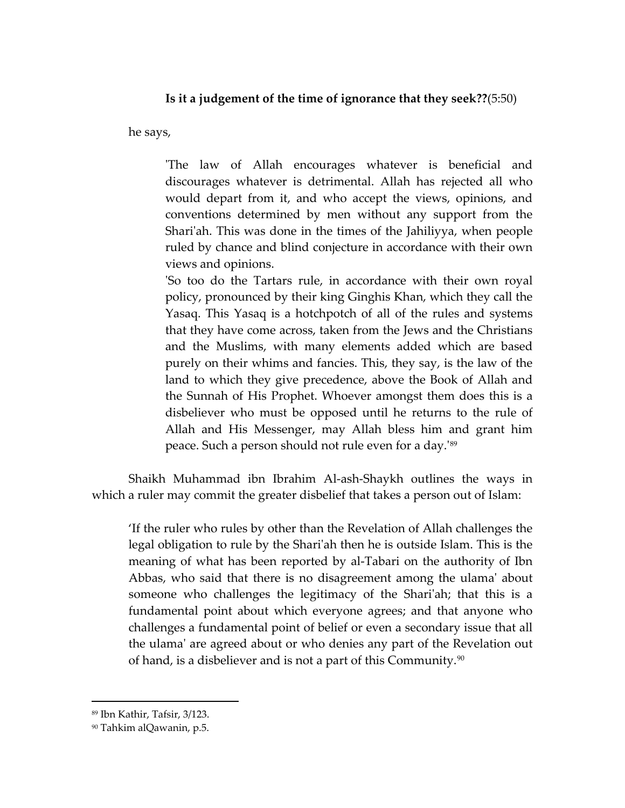#### **Is it a judgement of the time of ignorance that they seek??**(5:50)

he says,

ʹThe law of Allah encourages whatever is beneficial and discourages whatever is detrimental. Allah has rejected all who would depart from it, and who accept the views, opinions, and conventions determined by men without any support from the Shari'ah. This was done in the times of the Jahiliyya, when people ruled by chance and blind conjecture in accordance with their own views and opinions.

ʹSo too do the Tartars rule, in accordance with their own royal policy, pronounced by their king Ginghis Khan, which they call the Yasaq. This Yasaq is a hotchpotch of all of the rules and systems that they have come across, taken from the Jews and the Christians and the Muslims, with many elements added which are based purely on their whims and fancies. This, they say, is the law of the land to which they give precedence, above the Book of Allah and the Sunnah of His Prophet. Whoever amongst them does this is a disbeliever who must be opposed until he returns to the rule of Allah and His Messenger, may Allah bless him and grant him peace. Such a person should not rule even for a day.'<sup>[89](#page-70-0)</sup>

Shaikh Muhammad ibn Ibrahim Al‐ash‐Shaykh outlines the ways in which a ruler may commit the greater disbelief that takes a person out of Islam:

'If the ruler who rules by other than the Revelation of Allah challenges the legal obligation to rule by the Shariʹah then he is outside Islam. This is the meaning of what has been reported by al‐Tabari on the authority of Ibn Abbas, who said that there is no disagreement among the ulamaʹ about someone who challenges the legitimacy of the Shari'ah; that this is a fundamental point about which everyone agrees; and that anyone who challenges a fundamental point of belief or even a secondary issue that all the ulamaʹ are agreed about or who denies any part of the Revelation out of hand, is a disbeliever and is not a part of this Community.<sup>[90](#page-70-1)</sup>

<span id="page-70-0"></span><sup>89</sup> Ibn Kathir, Tafsir, 3/123.

<span id="page-70-1"></span><sup>90</sup> Tahkim alQawanin, p.5.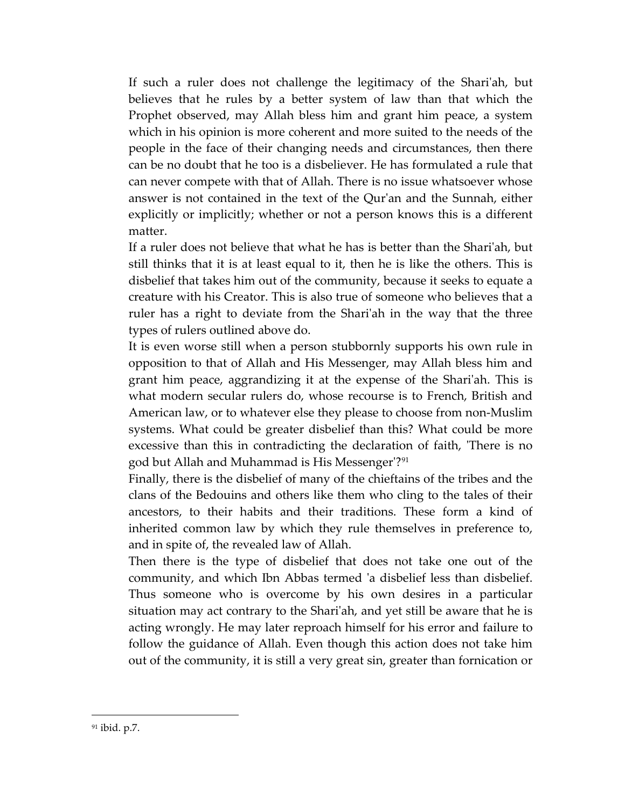If such a ruler does not challenge the legitimacy of the Shariʹah, but believes that he rules by a better system of law than that which the Prophet observed, may Allah bless him and grant him peace, a system which in his opinion is more coherent and more suited to the needs of the people in the face of their changing needs and circumstances, then there can be no doubt that he too is a disbeliever. He has formulated a rule that can never compete with that of Allah. There is no issue whatsoever whose answer is not contained in the text of the Qur'an and the Sunnah, either explicitly or implicitly; whether or not a person knows this is a different matter.

If a ruler does not believe that what he has is better than the Shariʹah, but still thinks that it is at least equal to it, then he is like the others. This is disbelief that takes him out of the community, because it seeks to equate a creature with his Creator. This is also true of someone who believes that a ruler has a right to deviate from the Shariʹah in the way that the three types of rulers outlined above do.

It is even worse still when a person stubbornly supports his own rule in opposition to that of Allah and His Messenger, may Allah bless him and grant him peace, aggrandizing it at the expense of the Shariʹah. This is what modern secular rulers do, whose recourse is to French, British and American law, or to whatever else they please to choose from non‐Muslim systems. What could be greater disbelief than this? What could be more excessive than this in contradicting the declaration of faith, There is no god but Allah and Muhammad is His Messengerʹ?[91](#page-71-0)

Finally, there is the disbelief of many of the chieftains of the tribes and the clans of the Bedouins and others like them who cling to the tales of their ancestors, to their habits and their traditions. These form a kind of inherited common law by which they rule themselves in preference to, and in spite of, the revealed law of Allah.

Then there is the type of disbelief that does not take one out of the community, and which Ibn Abbas termed 'a disbelief less than disbelief. Thus someone who is overcome by his own desires in a particular situation may act contrary to the Shari'ah, and yet still be aware that he is acting wrongly. He may later reproach himself for his error and failure to follow the guidance of Allah. Even though this action does not take him out of the community, it is still a very great sin, greater than fornication or

<span id="page-71-0"></span> $91$  ibid. p.7.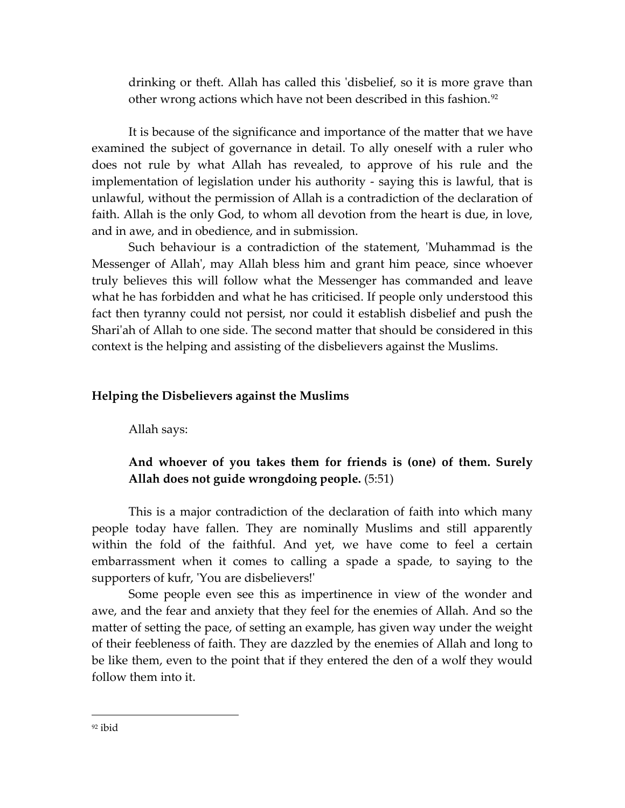drinking or theft. Allah has called this ʹdisbelief, so it is more grave than other wrong actions which have not been described in this fashion.<sup>[92](#page-72-0)</sup>

It is because of the significance and importance of the matter that we have examined the subject of governance in detail. To ally oneself with a ruler who does not rule by what Allah has revealed, to approve of his rule and the implementation of legislation under his authority - saying this is lawful, that is unlawful, without the permission of Allah is a contradiction of the declaration of faith. Allah is the only God, to whom all devotion from the heart is due, in love, and in awe, and in obedience, and in submission.

Such behaviour is a contradiction of the statement, 'Muhammad is the Messenger of Allahʹ, may Allah bless him and grant him peace, since whoever truly believes this will follow what the Messenger has commanded and leave what he has forbidden and what he has criticised. If people only understood this fact then tyranny could not persist, nor could it establish disbelief and push the Shari'ah of Allah to one side. The second matter that should be considered in this context is the helping and assisting of the disbelievers against the Muslims.

## **Helping the Disbelievers against the Muslims**

Allah says:

## **And whoever of you takes them for friends is (one) of them. Surely Allah does not guide wrongdoing people.** (5:51)

This is a major contradiction of the declaration of faith into which many people today have fallen. They are nominally Muslims and still apparently within the fold of the faithful. And yet, we have come to feel a certain embarrassment when it comes to calling a spade a spade, to saying to the supporters of kufr, 'You are disbelievers!'

Some people even see this as impertinence in view of the wonder and awe, and the fear and anxiety that they feel for the enemies of Allah. And so the matter of setting the pace, of setting an example, has given way under the weight of their feebleness of faith. They are dazzled by the enemies of Allah and long to be like them, even to the point that if they entered the den of a wolf they would follow them into it.

<span id="page-72-0"></span> $\overline{a}$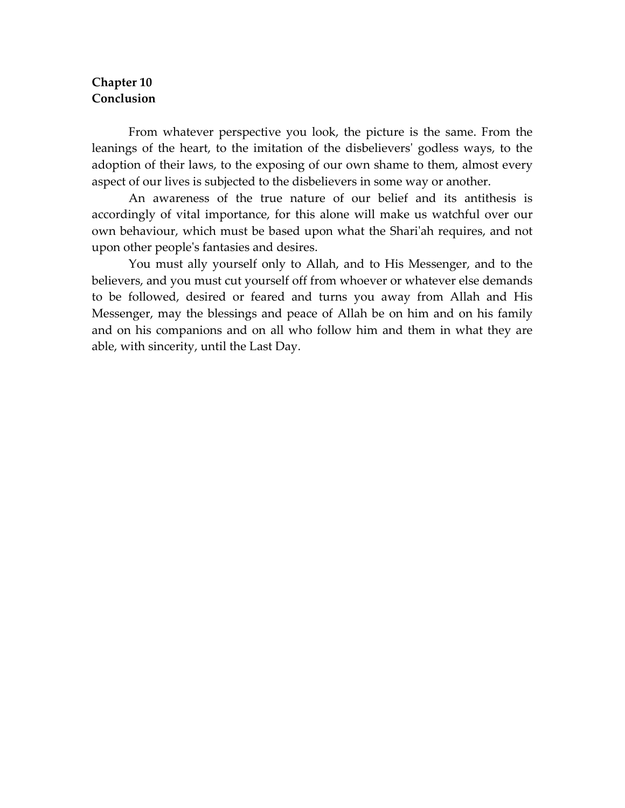## **Chapter 10 Conclusion**

From whatever perspective you look, the picture is the same. From the leanings of the heart, to the imitation of the disbelieversʹ godless ways, to the adoption of their laws, to the exposing of our own shame to them, almost every aspect of our lives is subjected to the disbelievers in some way or another.

An awareness of the true nature of our belief and its antithesis is accordingly of vital importance, for this alone will make us watchful over our own behaviour, which must be based upon what the Shariʹah requires, and not upon other peopleʹs fantasies and desires.

You must ally yourself only to Allah, and to His Messenger, and to the believers, and you must cut yourself off from whoever or whatever else demands to be followed, desired or feared and turns you away from Allah and His Messenger, may the blessings and peace of Allah be on him and on his family and on his companions and on all who follow him and them in what they are able, with sincerity, until the Last Day.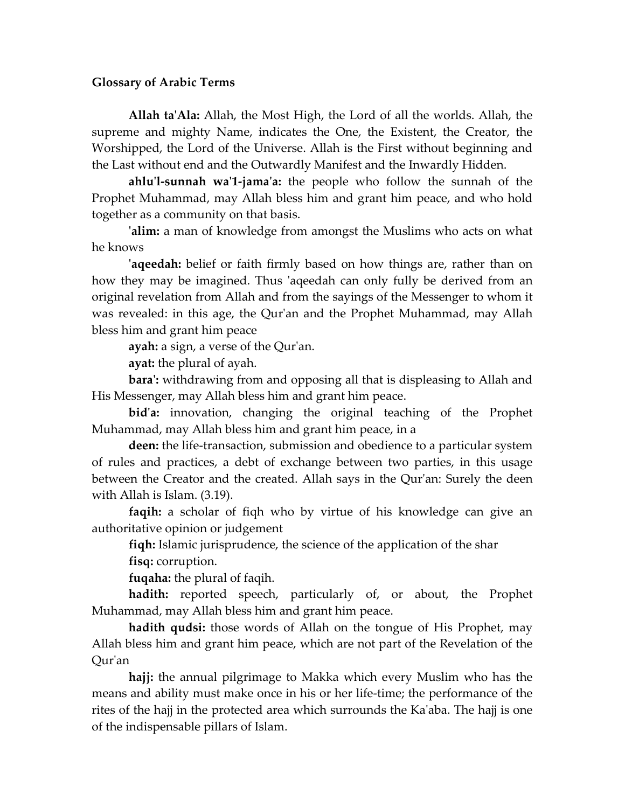## **Glossary of Arabic Terms**

**Allah taʹAla:** Allah, the Most High, the Lord of all the worlds. Allah, the supreme and mighty Name, indicates the One, the Existent, the Creator, the Worshipped, the Lord of the Universe. Allah is the First without beginning and the Last without end and the Outwardly Manifest and the Inwardly Hidden.

**ahluʹl‐sunnah waʹ1‐jamaʹa:** the people who follow the sunnah of the Prophet Muhammad, may Allah bless him and grant him peace, and who hold together as a community on that basis.

**ʹalim:** a man of knowledge from amongst the Muslims who acts on what he knows

**ʹaqeedah:** belief or faith firmly based on how things are, rather than on how they may be imagined. Thus 'aqeedah can only fully be derived from an original revelation from Allah and from the sayings of the Messenger to whom it was revealed: in this age, the Qurʹan and the Prophet Muhammad, may Allah bless him and grant him peace

**ayah:** a sign, a verse of the Qurʹan.

**ayat:** the plural of ayah.

**baraʹ:** withdrawing from and opposing all that is displeasing to Allah and His Messenger, may Allah bless him and grant him peace.

**bidʹa:** innovation, changing the original teaching of the Prophet Muhammad, may Allah bless him and grant him peace, in a

**deen:** the life-transaction, submission and obedience to a particular system of rules and practices, a debt of exchange between two parties, in this usage between the Creator and the created. Allah says in the Qur'an: Surely the deen with Allah is Islam. (3.19).

**faqih:** a scholar of fiqh who by virtue of his knowledge can give an authoritative opinion or judgement

**fiqh:** Islamic jurisprudence, the science of the application of the shar

**fisq:** corruption.

**fuqaha:** the plural of faqih.

**hadith:** reported speech, particularly of, or about, the Prophet Muhammad, may Allah bless him and grant him peace.

**hadith qudsi:** those words of Allah on the tongue of His Prophet, may Allah bless him and grant him peace, which are not part of the Revelation of the Qurʹan

**hajj:** the annual pilgrimage to Makka which every Muslim who has the means and ability must make once in his or her life-time; the performance of the rites of the hajj in the protected area which surrounds the Kaʹaba. The hajj is one of the indispensable pillars of Islam.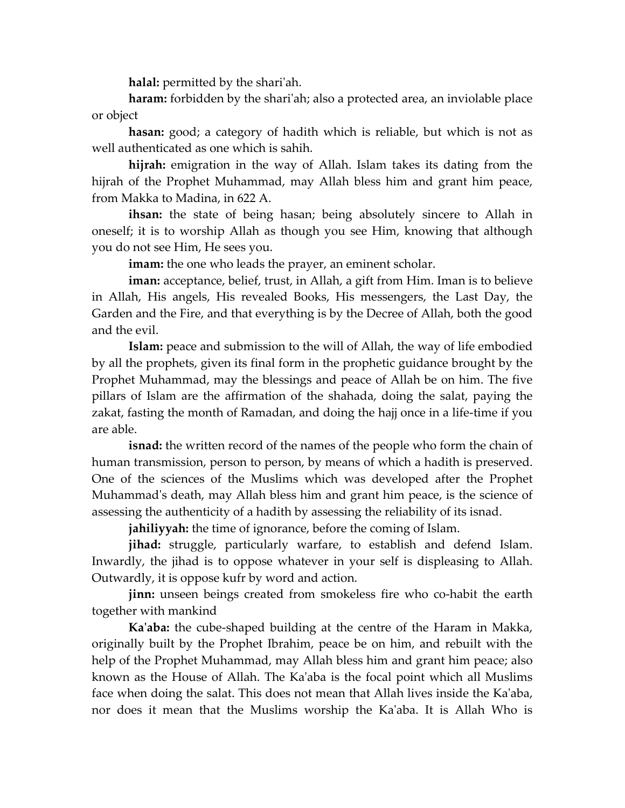**halal:** permitted by the shariʹah.

**haram:** forbidden by the shari'ah; also a protected area, an inviolable place or object

**hasan:** good; a category of hadith which is reliable, but which is not as well authenticated as one which is sahih.

**hijrah:** emigration in the way of Allah. Islam takes its dating from the hijrah of the Prophet Muhammad, may Allah bless him and grant him peace, from Makka to Madina, in 622 A.

**ihsan:** the state of being hasan; being absolutely sincere to Allah in oneself; it is to worship Allah as though you see Him, knowing that although you do not see Him, He sees you.

**imam:** the one who leads the prayer, an eminent scholar.

**iman:** acceptance, belief, trust, in Allah, a gift from Him. Iman is to believe in Allah, His angels, His revealed Books, His messengers, the Last Day, the Garden and the Fire, and that everything is by the Decree of Allah, both the good and the evil.

**Islam:** peace and submission to the will of Allah, the way of life embodied by all the prophets, given its final form in the prophetic guidance brought by the Prophet Muhammad, may the blessings and peace of Allah be on him. The five pillars of Islam are the affirmation of the shahada, doing the salat, paying the zakat, fasting the month of Ramadan, and doing the hajj once in a life‐time if you are able.

**isnad:** the written record of the names of the people who form the chain of human transmission, person to person, by means of which a hadith is preserved. One of the sciences of the Muslims which was developed after the Prophet Muhammad's death, may Allah bless him and grant him peace, is the science of assessing the authenticity of a hadith by assessing the reliability of its isnad.

**jahiliyyah:** the time of ignorance, before the coming of Islam.

**jihad:** struggle, particularly warfare, to establish and defend Islam. Inwardly, the jihad is to oppose whatever in your self is displeasing to Allah. Outwardly, it is oppose kufr by word and action.

**jinn:** unseen beings created from smokeless fire who co-habit the earth together with mankind

**Kaʹaba:** the cube‐shaped building at the centre of the Haram in Makka, originally built by the Prophet Ibrahim, peace be on him, and rebuilt with the help of the Prophet Muhammad, may Allah bless him and grant him peace; also known as the House of Allah. The Kaʹaba is the focal point which all Muslims face when doing the salat. This does not mean that Allah lives inside the Kaʹaba, nor does it mean that the Muslims worship the Kaʹaba. It is Allah Who is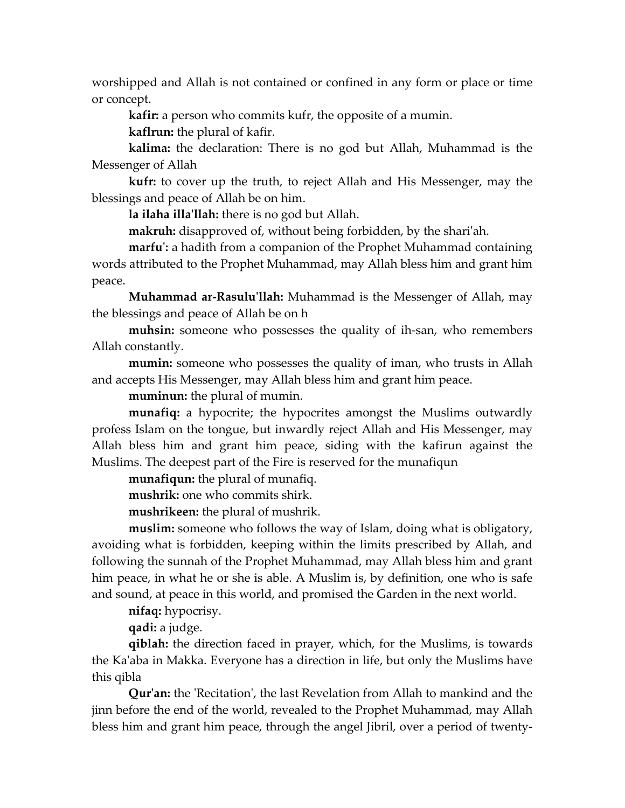worshipped and Allah is not contained or confined in any form or place or time or concept.

**kafir:** a person who commits kufr, the opposite of a mumin.

**kaflrun:** the plural of kafir.

**kalima:** the declaration: There is no god but Allah, Muhammad is the Messenger of Allah

**kufr:** to cover up the truth, to reject Allah and His Messenger, may the blessings and peace of Allah be on him.

**la ilaha illaʹllah:** there is no god but Allah.

**makruh:** disapproved of, without being forbidden, by the shariʹah.

**marfu':** a hadith from a companion of the Prophet Muhammad containing words attributed to the Prophet Muhammad, may Allah bless him and grant him peace.

**Muhammad ar‐Rasuluʹllah:** Muhammad is the Messenger of Allah, may the blessings and peace of Allah be on h

**muhsin:** someone who possesses the quality of ih-san, who remembers Allah constantly.

**mumin:** someone who possesses the quality of iman, who trusts in Allah and accepts His Messenger, may Allah bless him and grant him peace.

**muminun:** the plural of mumin.

**munafiq:** a hypocrite; the hypocrites amongst the Muslims outwardly profess Islam on the tongue, but inwardly reject Allah and His Messenger, may Allah bless him and grant him peace, siding with the kafirun against the Muslims. The deepest part of the Fire is reserved for the munafiqun

**munafiqun:** the plural of munafiq.

**mushrik:** one who commits shirk.

**mushrikeen:** the plural of mushrik.

**muslim:** someone who follows the way of Islam, doing what is obligatory, avoiding what is forbidden, keeping within the limits prescribed by Allah, and following the sunnah of the Prophet Muhammad, may Allah bless him and grant him peace, in what he or she is able. A Muslim is, by definition, one who is safe and sound, at peace in this world, and promised the Garden in the next world.

**nifaq:** hypocrisy.

**qadi:** a judge.

**qiblah:** the direction faced in prayer, which, for the Muslims, is towards the Kaʹaba in Makka. Everyone has a direction in life, but only the Muslims have this qibla

**Qurʹan:** the ʹRecitationʹ, the last Revelation from Allah to mankind and the jinn before the end of the world, revealed to the Prophet Muhammad, may Allah bless him and grant him peace, through the angel Jibril, over a period of twenty‐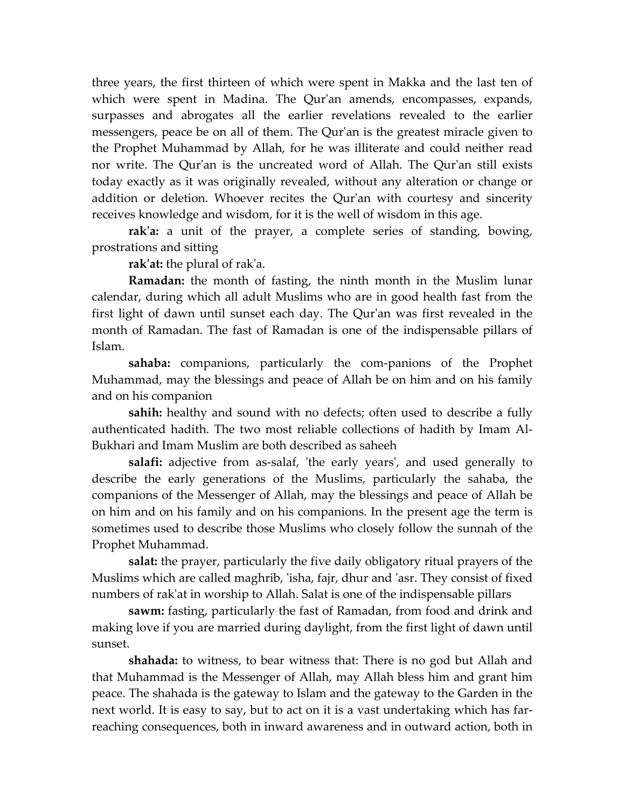three years, the first thirteen of which were spent in Makka and the last ten of which were spent in Madina. The Qur'an amends, encompasses, expands, surpasses and abrogates all the earlier revelations revealed to the earlier messengers, peace be on all of them. The Qur'an is the greatest miracle given to the Prophet Muhammad by Allah, for he was illiterate and could neither read nor write. The Qurʹan is the uncreated word of Allah. The Qurʹan still exists today exactly as it was originally revealed, without any alteration or change or addition or deletion. Whoever recites the Qur'an with courtesy and sincerity receives knowledge and wisdom, for it is the well of wisdom in this age.

**rakʹa:** a unit of the prayer, a complete series of standing, bowing, prostrations and sitting

**rakʹat:** the plural of rakʹa.

**Ramadan:** the month of fasting, the ninth month in the Muslim lunar calendar, during which all adult Muslims who are in good health fast from the first light of dawn until sunset each day. The Qurʹan was first revealed in the month of Ramadan. The fast of Ramadan is one of the indispensable pillars of Islam.

**sahaba:** companions, particularly the com-panions of the Prophet Muhammad, may the blessings and peace of Allah be on him and on his family and on his companion

**sahih:** healthy and sound with no defects; often used to describe a fully authenticated hadith. The two most reliable collections of hadith by Imam Al‐ Bukhari and Imam Muslim are both described as saheeh

salafi: adjective from as-salaf, 'the early years', and used generally to describe the early generations of the Muslims, particularly the sahaba, the companions of the Messenger of Allah, may the blessings and peace of Allah be on him and on his family and on his companions. In the present age the term is sometimes used to describe those Muslims who closely follow the sunnah of the Prophet Muhammad.

**salat:** the prayer, particularly the five daily obligatory ritual prayers of the Muslims which are called maghrib, 'isha, fajr, dhur and 'asr. They consist of fixed numbers of rak'at in worship to Allah. Salat is one of the indispensable pillars

**sawm:** fasting, particularly the fast of Ramadan, from food and drink and making love if you are married during daylight, from the first light of dawn until sunset.

**shahada:** to witness, to bear witness that: There is no god but Allah and that Muhammad is the Messenger of Allah, may Allah bless him and grant him peace. The shahada is the gateway to Islam and the gateway to the Garden in the next world. It is easy to say, but to act on it is a vast undertaking which has far‐ reaching consequences, both in inward awareness and in outward action, both in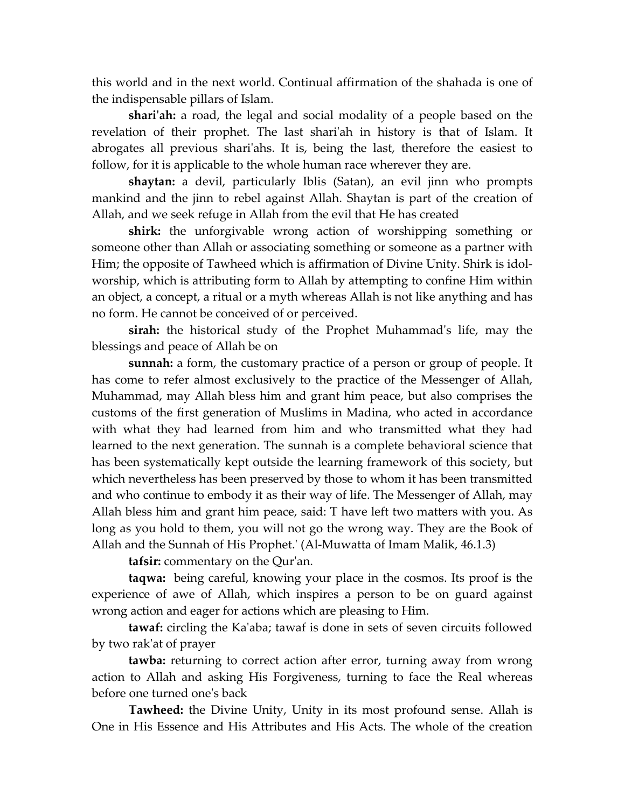this world and in the next world. Continual affirmation of the shahada is one of the indispensable pillars of Islam.

**shariʹah:** a road, the legal and social modality of a people based on the revelation of their prophet. The last shari'ah in history is that of Islam. It abrogates all previous shari'ahs. It is, being the last, therefore the easiest to follow, for it is applicable to the whole human race wherever they are.

**shaytan:** a devil, particularly Iblis (Satan), an evil jinn who prompts mankind and the jinn to rebel against Allah. Shaytan is part of the creation of Allah, and we seek refuge in Allah from the evil that He has created

**shirk:** the unforgivable wrong action of worshipping something or someone other than Allah or associating something or someone as a partner with Him; the opposite of Tawheed which is affirmation of Divine Unity. Shirk is idol‐ worship, which is attributing form to Allah by attempting to confine Him within an object, a concept, a ritual or a myth whereas Allah is not like anything and has no form. He cannot be conceived of or perceived.

**sirah:** the historical study of the Prophet Muhammadʹs life, may the blessings and peace of Allah be on

**sunnah:** a form, the customary practice of a person or group of people. It has come to refer almost exclusively to the practice of the Messenger of Allah, Muhammad, may Allah bless him and grant him peace, but also comprises the customs of the first generation of Muslims in Madina, who acted in accordance with what they had learned from him and who transmitted what they had learned to the next generation. The sunnah is a complete behavioral science that has been systematically kept outside the learning framework of this society, but which nevertheless has been preserved by those to whom it has been transmitted and who continue to embody it as their way of life. The Messenger of Allah, may Allah bless him and grant him peace, said: T have left two matters with you. As long as you hold to them, you will not go the wrong way. They are the Book of Allah and the Sunnah of His Prophet.ʹ (Al‐Muwatta of Imam Malik, 46.1.3)

**tafsir:** commentary on the Qurʹan.

**taqwa:** being careful, knowing your place in the cosmos. Its proof is the experience of awe of Allah, which inspires a person to be on guard against wrong action and eager for actions which are pleasing to Him.

**tawaf:** circling the Kaʹaba; tawaf is done in sets of seven circuits followed by two rakʹat of prayer

**tawba:** returning to correct action after error, turning away from wrong action to Allah and asking His Forgiveness, turning to face the Real whereas before one turned oneʹs back

**Tawheed:** the Divine Unity, Unity in its most profound sense. Allah is One in His Essence and His Attributes and His Acts. The whole of the creation